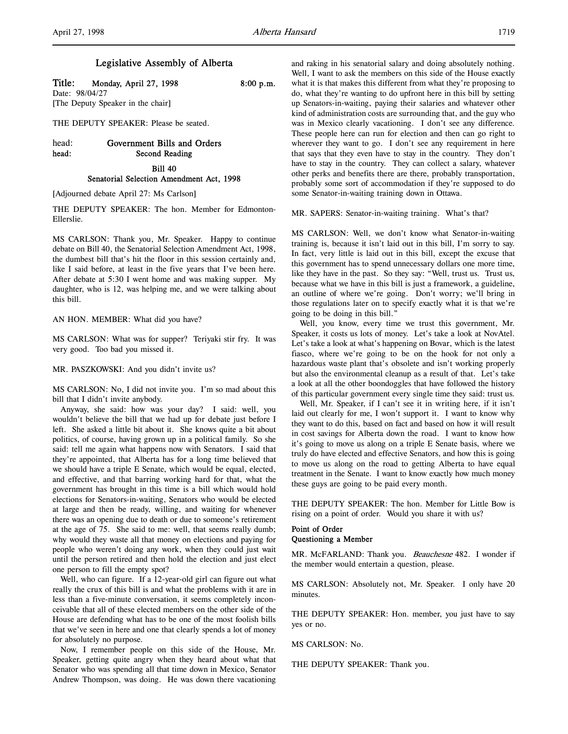### Legislative Assembly of Alberta

Title: Monday, April 27, 1998 8:00 p.m.

Date: 98/04/27 [The Deputy Speaker in the chair]

THE DEPUTY SPEAKER: Please be seated.

# head: Government Bills and Orders head: Second Reading Bill 40 Senatorial Selection Amendment Act, 1998

[Adjourned debate April 27: Ms Carlson]

THE DEPUTY SPEAKER: The hon. Member for Edmonton-Ellerslie.

MS CARLSON: Thank you, Mr. Speaker. Happy to continue debate on Bill 40, the Senatorial Selection Amendment Act, 1998, the dumbest bill that's hit the floor in this session certainly and, like I said before, at least in the five years that I've been here. After debate at 5:30 I went home and was making supper. My daughter, who is 12, was helping me, and we were talking about this bill.

AN HON. MEMBER: What did you have?

MS CARLSON: What was for supper? Teriyaki stir fry. It was very good. Too bad you missed it.

MR. PASZKOWSKI: And you didn't invite us?

MS CARLSON: No, I did not invite you. I'm so mad about this bill that I didn't invite anybody.

Anyway, she said: how was your day? I said: well, you wouldn't believe the bill that we had up for debate just before I left. She asked a little bit about it. She knows quite a bit about politics, of course, having grown up in a political family. So she said: tell me again what happens now with Senators. I said that they're appointed, that Alberta has for a long time believed that we should have a triple E Senate, which would be equal, elected, and effective, and that barring working hard for that, what the government has brought in this time is a bill which would hold elections for Senators-in-waiting, Senators who would be elected at large and then be ready, willing, and waiting for whenever there was an opening due to death or due to someone's retirement at the age of 75. She said to me: well, that seems really dumb; why would they waste all that money on elections and paying for people who weren't doing any work, when they could just wait until the person retired and then hold the election and just elect one person to fill the empty spot?

Well, who can figure. If a 12-year-old girl can figure out what really the crux of this bill is and what the problems with it are in less than a five-minute conversation, it seems completely inconceivable that all of these elected members on the other side of the House are defending what has to be one of the most foolish bills that we've seen in here and one that clearly spends a lot of money for absolutely no purpose.

Now, I remember people on this side of the House, Mr. Speaker, getting quite angry when they heard about what that Senator who was spending all that time down in Mexico, Senator Andrew Thompson, was doing. He was down there vacationing

and raking in his senatorial salary and doing absolutely nothing. Well, I want to ask the members on this side of the House exactly what it is that makes this different from what they're proposing to do, what they're wanting to do upfront here in this bill by setting up Senators-in-waiting, paying their salaries and whatever other kind of administration costs are surrounding that, and the guy who was in Mexico clearly vacationing. I don't see any difference. These people here can run for election and then can go right to wherever they want to go. I don't see any requirement in here that says that they even have to stay in the country. They don't have to stay in the country. They can collect a salary, whatever other perks and benefits there are there, probably transportation, probably some sort of accommodation if they're supposed to do some Senator-in-waiting training down in Ottawa.

MR. SAPERS: Senator-in-waiting training. What's that?

MS CARLSON: Well, we don't know what Senator-in-waiting training is, because it isn't laid out in this bill, I'm sorry to say. In fact, very little is laid out in this bill, except the excuse that this government has to spend unnecessary dollars one more time, like they have in the past. So they say: "Well, trust us. Trust us, because what we have in this bill is just a framework, a guideline, an outline of where we're going. Don't worry; we'll bring in those regulations later on to specify exactly what it is that we're going to be doing in this bill."

Well, you know, every time we trust this government, Mr. Speaker, it costs us lots of money. Let's take a look at NovAtel. Let's take a look at what's happening on Bovar, which is the latest fiasco, where we're going to be on the hook for not only a hazardous waste plant that's obsolete and isn't working properly but also the environmental cleanup as a result of that. Let's take a look at all the other boondoggles that have followed the history of this particular government every single time they said: trust us.

Well, Mr. Speaker, if I can't see it in writing here, if it isn't laid out clearly for me, I won't support it. I want to know why they want to do this, based on fact and based on how it will result in cost savings for Alberta down the road. I want to know how it's going to move us along on a triple E Senate basis, where we truly do have elected and effective Senators, and how this is going to move us along on the road to getting Alberta to have equal treatment in the Senate. I want to know exactly how much money these guys are going to be paid every month.

THE DEPUTY SPEAKER: The hon. Member for Little Bow is rising on a point of order. Would you share it with us?

### Point of Order Questioning a Member

MR. McFARLAND: Thank you. Beauchesne 482. I wonder if the member would entertain a question, please.

MS CARLSON: Absolutely not, Mr. Speaker. I only have 20 minutes.

THE DEPUTY SPEAKER: Hon. member, you just have to say yes or no.

MS CARLSON: No.

THE DEPUTY SPEAKER: Thank you.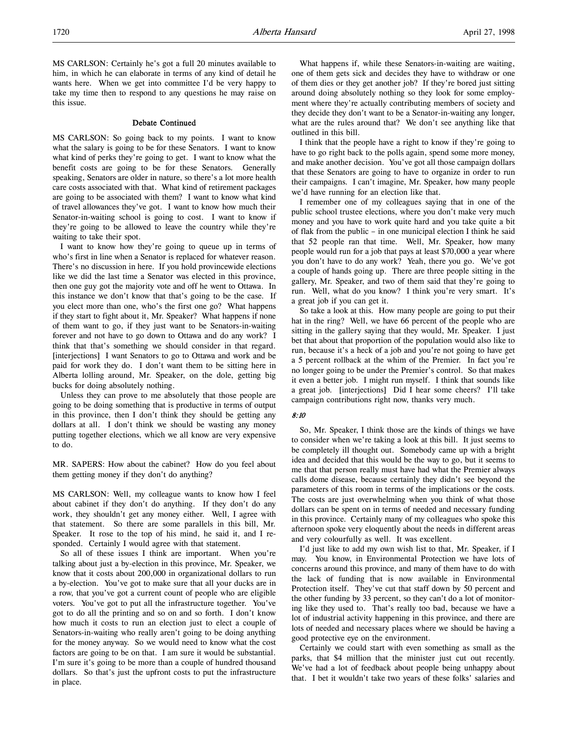MS CARLSON: Certainly he's got a full 20 minutes available to him, in which he can elaborate in terms of any kind of detail he wants here. When we get into committee I'd be very happy to take my time then to respond to any questions he may raise on this issue.

#### Debate Continued

MS CARLSON: So going back to my points. I want to know what the salary is going to be for these Senators. I want to know what kind of perks they're going to get. I want to know what the benefit costs are going to be for these Senators. Generally speaking, Senators are older in nature, so there's a lot more health care costs associated with that. What kind of retirement packages are going to be associated with them? I want to know what kind of travel allowances they've got. I want to know how much their Senator-in-waiting school is going to cost. I want to know if they're going to be allowed to leave the country while they're waiting to take their spot.

I want to know how they're going to queue up in terms of who's first in line when a Senator is replaced for whatever reason. There's no discussion in here. If you hold provincewide elections like we did the last time a Senator was elected in this province, then one guy got the majority vote and off he went to Ottawa. In this instance we don't know that that's going to be the case. If you elect more than one, who's the first one go? What happens if they start to fight about it, Mr. Speaker? What happens if none of them want to go, if they just want to be Senators-in-waiting forever and not have to go down to Ottawa and do any work? I think that that's something we should consider in that regard. [interjections] I want Senators to go to Ottawa and work and be paid for work they do. I don't want them to be sitting here in Alberta lolling around, Mr. Speaker, on the dole, getting big bucks for doing absolutely nothing.

Unless they can prove to me absolutely that those people are going to be doing something that is productive in terms of output in this province, then I don't think they should be getting any dollars at all. I don't think we should be wasting any money putting together elections, which we all know are very expensive to do.

MR. SAPERS: How about the cabinet? How do you feel about them getting money if they don't do anything?

MS CARLSON: Well, my colleague wants to know how I feel about cabinet if they don't do anything. If they don't do any work, they shouldn't get any money either. Well, I agree with that statement. So there are some parallels in this bill, Mr. Speaker. It rose to the top of his mind, he said it, and I responded. Certainly I would agree with that statement.

So all of these issues I think are important. When you're talking about just a by-election in this province, Mr. Speaker, we know that it costs about 200,000 in organizational dollars to run a by-election. You've got to make sure that all your ducks are in a row, that you've got a current count of people who are eligible voters. You've got to put all the infrastructure together. You've got to do all the printing and so on and so forth. I don't know how much it costs to run an election just to elect a couple of Senators-in-waiting who really aren't going to be doing anything for the money anyway. So we would need to know what the cost factors are going to be on that. I am sure it would be substantial. I'm sure it's going to be more than a couple of hundred thousand dollars. So that's just the upfront costs to put the infrastructure in place.

What happens if, while these Senators-in-waiting are waiting, one of them gets sick and decides they have to withdraw or one of them dies or they get another job? If they're bored just sitting around doing absolutely nothing so they look for some employment where they're actually contributing members of society and they decide they don't want to be a Senator-in-waiting any longer, what are the rules around that? We don't see anything like that outlined in this bill.

I think that the people have a right to know if they're going to have to go right back to the polls again, spend some more money, and make another decision. You've got all those campaign dollars that these Senators are going to have to organize in order to run their campaigns. I can't imagine, Mr. Speaker, how many people we'd have running for an election like that.

I remember one of my colleagues saying that in one of the public school trustee elections, where you don't make very much money and you have to work quite hard and you take quite a bit of flak from the public – in one municipal election I think he said that 52 people ran that time. Well, Mr. Speaker, how many people would run for a job that pays at least \$70,000 a year where you don't have to do any work? Yeah, there you go. We've got a couple of hands going up. There are three people sitting in the gallery, Mr. Speaker, and two of them said that they're going to run. Well, what do you know? I think you're very smart. It's a great job if you can get it.

So take a look at this. How many people are going to put their hat in the ring? Well, we have 66 percent of the people who are sitting in the gallery saying that they would, Mr. Speaker. I just bet that about that proportion of the population would also like to run, because it's a heck of a job and you're not going to have get a 5 percent rollback at the whim of the Premier. In fact you're no longer going to be under the Premier's control. So that makes it even a better job. I might run myself. I think that sounds like a great job. [interjections] Did I hear some cheers? I'll take campaign contributions right now, thanks very much.

#### 8:10

So, Mr. Speaker, I think those are the kinds of things we have to consider when we're taking a look at this bill. It just seems to be completely ill thought out. Somebody came up with a bright idea and decided that this would be the way to go, but it seems to me that that person really must have had what the Premier always calls dome disease, because certainly they didn't see beyond the parameters of this room in terms of the implications or the costs. The costs are just overwhelming when you think of what those dollars can be spent on in terms of needed and necessary funding in this province. Certainly many of my colleagues who spoke this afternoon spoke very eloquently about the needs in different areas and very colourfully as well. It was excellent.

I'd just like to add my own wish list to that, Mr. Speaker, if I may. You know, in Environmental Protection we have lots of concerns around this province, and many of them have to do with the lack of funding that is now available in Environmental Protection itself. They've cut that staff down by 50 percent and the other funding by 33 percent, so they can't do a lot of monitoring like they used to. That's really too bad, because we have a lot of industrial activity happening in this province, and there are lots of needed and necessary places where we should be having a good protective eye on the environment.

Certainly we could start with even something as small as the parks, that \$4 million that the minister just cut out recently. We've had a lot of feedback about people being unhappy about that. I bet it wouldn't take two years of these folks' salaries and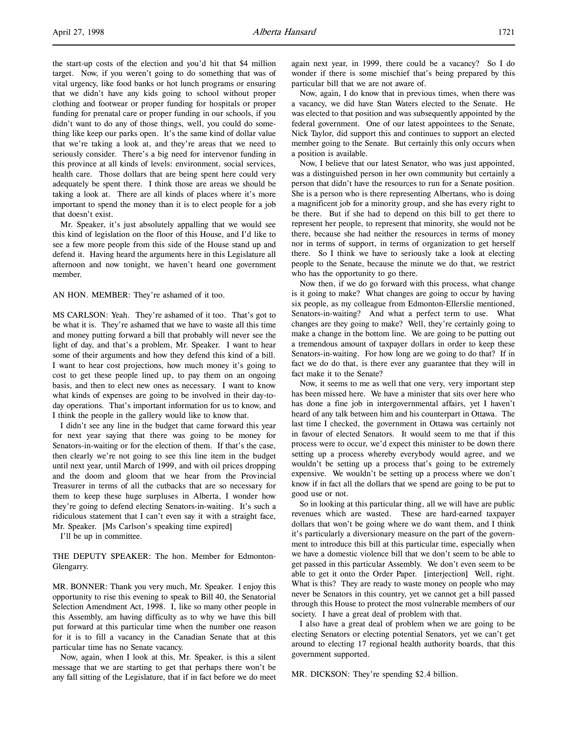the start-up costs of the election and you'd hit that \$4 million target. Now, if you weren't going to do something that was of vital urgency, like food banks or hot lunch programs or ensuring that we didn't have any kids going to school without proper clothing and footwear or proper funding for hospitals or proper funding for prenatal care or proper funding in our schools, if you didn't want to do any of those things, well, you could do something like keep our parks open. It's the same kind of dollar value that we're taking a look at, and they're areas that we need to seriously consider. There's a big need for intervenor funding in this province at all kinds of levels: environment, social services, health care. Those dollars that are being spent here could very adequately be spent there. I think those are areas we should be taking a look at. There are all kinds of places where it's more important to spend the money than it is to elect people for a job that doesn't exist.

Mr. Speaker, it's just absolutely appalling that we would see this kind of legislation on the floor of this House, and I'd like to see a few more people from this side of the House stand up and defend it. Having heard the arguments here in this Legislature all afternoon and now tonight, we haven't heard one government member.

AN HON. MEMBER: They're ashamed of it too.

MS CARLSON: Yeah. They're ashamed of it too. That's got to be what it is. They're ashamed that we have to waste all this time and money putting forward a bill that probably will never see the light of day, and that's a problem, Mr. Speaker. I want to hear some of their arguments and how they defend this kind of a bill. I want to hear cost projections, how much money it's going to cost to get these people lined up, to pay them on an ongoing basis, and then to elect new ones as necessary. I want to know what kinds of expenses are going to be involved in their day-today operations. That's important information for us to know, and I think the people in the gallery would like to know that.

I didn't see any line in the budget that came forward this year for next year saying that there was going to be money for Senators-in-waiting or for the election of them. If that's the case, then clearly we're not going to see this line item in the budget until next year, until March of 1999, and with oil prices dropping and the doom and gloom that we hear from the Provincial Treasurer in terms of all the cutbacks that are so necessary for them to keep these huge surpluses in Alberta, I wonder how they're going to defend electing Senators-in-waiting. It's such a ridiculous statement that I can't even say it with a straight face, Mr. Speaker. [Ms Carlson's speaking time expired]

I'll be up in committee.

THE DEPUTY SPEAKER: The hon. Member for Edmonton-Glengarry.

MR. BONNER: Thank you very much, Mr. Speaker. I enjoy this opportunity to rise this evening to speak to Bill 40, the Senatorial Selection Amendment Act, 1998. I, like so many other people in this Assembly, am having difficulty as to why we have this bill put forward at this particular time when the number one reason for it is to fill a vacancy in the Canadian Senate that at this particular time has no Senate vacancy.

Now, again, when I look at this, Mr. Speaker, is this a silent message that we are starting to get that perhaps there won't be any fall sitting of the Legislature, that if in fact before we do meet again next year, in 1999, there could be a vacancy? So I do wonder if there is some mischief that's being prepared by this particular bill that we are not aware of.

Now, again, I do know that in previous times, when there was a vacancy, we did have Stan Waters elected to the Senate. He was elected to that position and was subsequently appointed by the federal government. One of our latest appointees to the Senate, Nick Taylor, did support this and continues to support an elected member going to the Senate. But certainly this only occurs when a position is available.

Now, I believe that our latest Senator, who was just appointed, was a distinguished person in her own community but certainly a person that didn't have the resources to run for a Senate position. She is a person who is there representing Albertans, who is doing a magnificent job for a minority group, and she has every right to be there. But if she had to depend on this bill to get there to represent her people, to represent that minority, she would not be there, because she had neither the resources in terms of money nor in terms of support, in terms of organization to get herself there. So I think we have to seriously take a look at electing people to the Senate, because the minute we do that, we restrict who has the opportunity to go there.

Now then, if we do go forward with this process, what change is it going to make? What changes are going to occur by having six people, as my colleague from Edmonton-Ellerslie mentioned, Senators-in-waiting? And what a perfect term to use. What changes are they going to make? Well, they're certainly going to make a change in the bottom line. We are going to be putting out a tremendous amount of taxpayer dollars in order to keep these Senators-in-waiting. For how long are we going to do that? If in fact we do do that, is there ever any guarantee that they will in fact make it to the Senate?

Now, it seems to me as well that one very, very important step has been missed here. We have a minister that sits over here who has done a fine job in intergovernmental affairs, yet I haven't heard of any talk between him and his counterpart in Ottawa. The last time I checked, the government in Ottawa was certainly not in favour of elected Senators. It would seem to me that if this process were to occur, we'd expect this minister to be down there setting up a process whereby everybody would agree, and we wouldn't be setting up a process that's going to be extremely expensive. We wouldn't be setting up a process where we don't know if in fact all the dollars that we spend are going to be put to good use or not.

So in looking at this particular thing, all we will have are public revenues which are wasted. These are hard-earned taxpayer dollars that won't be going where we do want them, and I think it's particularly a diversionary measure on the part of the government to introduce this bill at this particular time, especially when we have a domestic violence bill that we don't seem to be able to get passed in this particular Assembly. We don't even seem to be able to get it onto the Order Paper. [interjection] Well, right. What is this? They are ready to waste money on people who may never be Senators in this country, yet we cannot get a bill passed through this House to protect the most vulnerable members of our society. I have a great deal of problem with that.

I also have a great deal of problem when we are going to be electing Senators or electing potential Senators, yet we can't get around to electing 17 regional health authority boards, that this government supported.

MR. DICKSON: They're spending \$2.4 billion.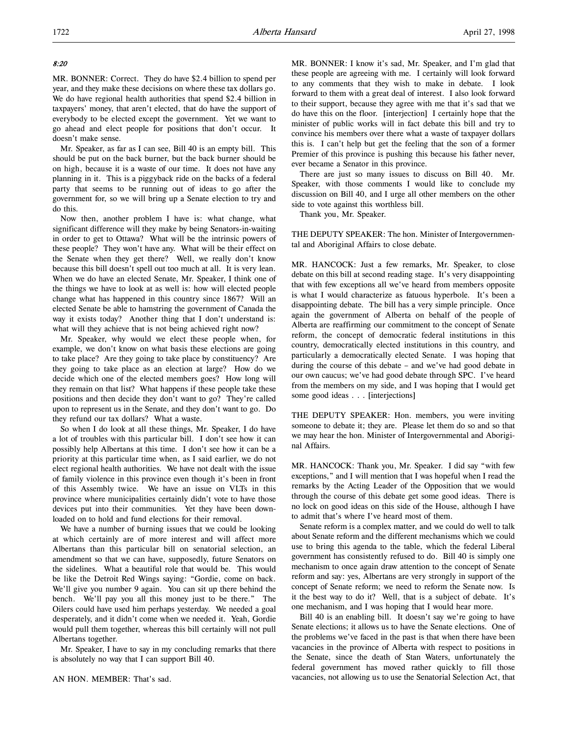### 8:20

MR. BONNER: Correct. They do have \$2.4 billion to spend per year, and they make these decisions on where these tax dollars go. We do have regional health authorities that spend \$2.4 billion in taxpayers' money, that aren't elected, that do have the support of everybody to be elected except the government. Yet we want to go ahead and elect people for positions that don't occur. It doesn't make sense.

Mr. Speaker, as far as I can see, Bill 40 is an empty bill. This should be put on the back burner, but the back burner should be on high, because it is a waste of our time. It does not have any planning in it. This is a piggyback ride on the backs of a federal party that seems to be running out of ideas to go after the government for, so we will bring up a Senate election to try and do this.

Now then, another problem I have is: what change, what significant difference will they make by being Senators-in-waiting in order to get to Ottawa? What will be the intrinsic powers of these people? They won't have any. What will be their effect on the Senate when they get there? Well, we really don't know because this bill doesn't spell out too much at all. It is very lean. When we do have an elected Senate, Mr. Speaker, I think one of the things we have to look at as well is: how will elected people change what has happened in this country since 1867? Will an elected Senate be able to hamstring the government of Canada the way it exists today? Another thing that I don't understand is: what will they achieve that is not being achieved right now?

Mr. Speaker, why would we elect these people when, for example, we don't know on what basis these elections are going to take place? Are they going to take place by constituency? Are they going to take place as an election at large? How do we decide which one of the elected members goes? How long will they remain on that list? What happens if these people take these positions and then decide they don't want to go? They're called upon to represent us in the Senate, and they don't want to go. Do they refund our tax dollars? What a waste.

So when I do look at all these things, Mr. Speaker, I do have a lot of troubles with this particular bill. I don't see how it can possibly help Albertans at this time. I don't see how it can be a priority at this particular time when, as I said earlier, we do not elect regional health authorities. We have not dealt with the issue of family violence in this province even though it's been in front of this Assembly twice. We have an issue on VLTs in this province where municipalities certainly didn't vote to have those devices put into their communities. Yet they have been downloaded on to hold and fund elections for their removal.

We have a number of burning issues that we could be looking at which certainly are of more interest and will affect more Albertans than this particular bill on senatorial selection, an amendment so that we can have, supposedly, future Senators on the sidelines. What a beautiful role that would be. This would be like the Detroit Red Wings saying: "Gordie, come on back. We'll give you number 9 again. You can sit up there behind the bench. We'll pay you all this money just to be there." The Oilers could have used him perhaps yesterday. We needed a goal desperately, and it didn't come when we needed it. Yeah, Gordie would pull them together, whereas this bill certainly will not pull Albertans together.

Mr. Speaker, I have to say in my concluding remarks that there is absolutely no way that I can support Bill 40.

MR. BONNER: I know it's sad, Mr. Speaker, and I'm glad that these people are agreeing with me. I certainly will look forward to any comments that they wish to make in debate. I look forward to them with a great deal of interest. I also look forward to their support, because they agree with me that it's sad that we do have this on the floor. [interjection] I certainly hope that the minister of public works will in fact debate this bill and try to convince his members over there what a waste of taxpayer dollars this is. I can't help but get the feeling that the son of a former Premier of this province is pushing this because his father never, ever became a Senator in this province.

There are just so many issues to discuss on Bill 40. Mr. Speaker, with those comments I would like to conclude my discussion on Bill 40, and I urge all other members on the other side to vote against this worthless bill.

Thank you, Mr. Speaker.

THE DEPUTY SPEAKER: The hon. Minister of Intergovernmental and Aboriginal Affairs to close debate.

MR. HANCOCK: Just a few remarks, Mr. Speaker, to close debate on this bill at second reading stage. It's very disappointing that with few exceptions all we've heard from members opposite is what I would characterize as fatuous hyperbole. It's been a disappointing debate. The bill has a very simple principle. Once again the government of Alberta on behalf of the people of Alberta are reaffirming our commitment to the concept of Senate reform, the concept of democratic federal institutions in this country, democratically elected institutions in this country, and particularly a democratically elected Senate. I was hoping that during the course of this debate – and we've had good debate in our own caucus; we've had good debate through SPC. I've heard from the members on my side, and I was hoping that I would get some good ideas . . . [interjections]

THE DEPUTY SPEAKER: Hon. members, you were inviting someone to debate it; they are. Please let them do so and so that we may hear the hon. Minister of Intergovernmental and Aboriginal Affairs.

MR. HANCOCK: Thank you, Mr. Speaker. I did say "with few exceptions," and I will mention that I was hopeful when I read the remarks by the Acting Leader of the Opposition that we would through the course of this debate get some good ideas. There is no lock on good ideas on this side of the House, although I have to admit that's where I've heard most of them.

Senate reform is a complex matter, and we could do well to talk about Senate reform and the different mechanisms which we could use to bring this agenda to the table, which the federal Liberal government has consistently refused to do. Bill 40 is simply one mechanism to once again draw attention to the concept of Senate reform and say: yes, Albertans are very strongly in support of the concept of Senate reform; we need to reform the Senate now. Is it the best way to do it? Well, that is a subject of debate. It's one mechanism, and I was hoping that I would hear more.

Bill 40 is an enabling bill. It doesn't say we're going to have Senate elections; it allows us to have the Senate elections. One of the problems we've faced in the past is that when there have been vacancies in the province of Alberta with respect to positions in the Senate, since the death of Stan Waters, unfortunately the federal government has moved rather quickly to fill those vacancies, not allowing us to use the Senatorial Selection Act, that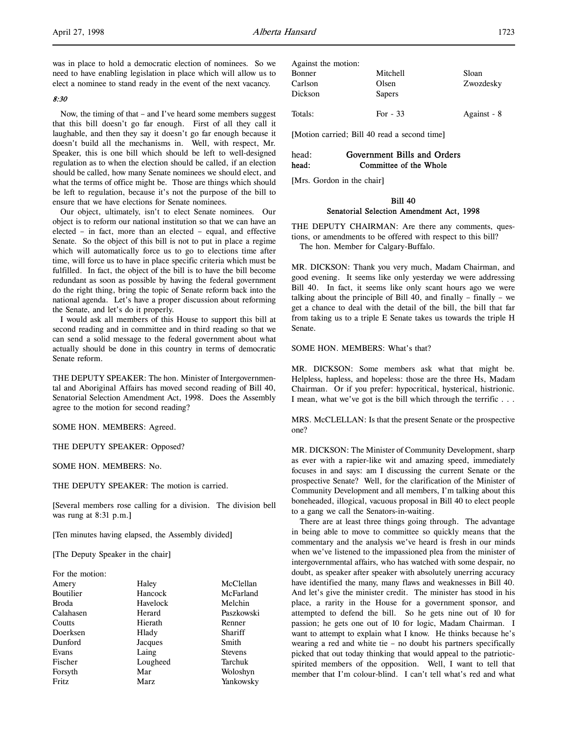was in place to hold a democratic election of nominees. So we need to have enabling legislation in place which will allow us to elect a nominee to stand ready in the event of the next vacancy.

### 8:30

Now, the timing of that – and I've heard some members suggest that this bill doesn't go far enough. First of all they call it laughable, and then they say it doesn't go far enough because it doesn't build all the mechanisms in. Well, with respect, Mr. Speaker, this is one bill which should be left to well-designed regulation as to when the election should be called, if an election should be called, how many Senate nominees we should elect, and what the terms of office might be. Those are things which should be left to regulation, because it's not the purpose of the bill to ensure that we have elections for Senate nominees.

Our object, ultimately, isn't to elect Senate nominees. Our object is to reform our national institution so that we can have an elected – in fact, more than an elected – equal, and effective Senate. So the object of this bill is not to put in place a regime which will automatically force us to go to elections time after time, will force us to have in place specific criteria which must be fulfilled. In fact, the object of the bill is to have the bill become redundant as soon as possible by having the federal government do the right thing, bring the topic of Senate reform back into the national agenda. Let's have a proper discussion about reforming the Senate, and let's do it properly.

I would ask all members of this House to support this bill at second reading and in committee and in third reading so that we can send a solid message to the federal government about what actually should be done in this country in terms of democratic Senate reform.

THE DEPUTY SPEAKER: The hon. Minister of Intergovernmental and Aboriginal Affairs has moved second reading of Bill 40, Senatorial Selection Amendment Act, 1998. Does the Assembly agree to the motion for second reading?

SOME HON. MEMBERS: Agreed.

THE DEPUTY SPEAKER: Opposed?

SOME HON. MEMBERS: No.

THE DEPUTY SPEAKER: The motion is carried.

[Several members rose calling for a division. The division bell was rung at 8:31 p.m.]

[Ten minutes having elapsed, the Assembly divided]

[The Deputy Speaker in the chair]

 $\mathbf{F}$  the motion:  $\mathbf{F}$  the motion:

| For the motion: |          |                |
|-----------------|----------|----------------|
| Amery           | Haley    | McClellan      |
| Boutilier       | Hancock  | McFarland      |
| <b>Broda</b>    | Havelock | Melchin        |
| Calahasen       | Herard   | Paszkowski     |
| Coutts          | Hierath  | Renner         |
| Doerksen        | Hlady    | Shariff        |
| Dunford         | Jacques  | Smith          |
| Evans           | Laing    | <b>Stevens</b> |
| Fischer         | Lougheed | Tarchuk        |
| Forsyth         | Mar      | Woloshyn       |
| Fritz           | Marz     | Yankowsky      |
|                 |          |                |

| Against the motion: |           |             |
|---------------------|-----------|-------------|
| Bonner              | Mitchell  | Sloan       |
| Carlson             | Olsen     | Zwozdesky   |
| Dickson             | Sapers    |             |
| Totals:             | For $-33$ | Against - 8 |

[Motion carried; Bill 40 read a second time]

# head: Government Bills and Orders head: Committee of the Whole

[Mrs. Gordon in the chair]

# Bill 40 Senatorial Selection Amendment Act, 1998

THE DEPUTY CHAIRMAN: Are there any comments, questions, or amendments to be offered with respect to this bill? The hon. Member for Calgary-Buffalo.

MR. DICKSON: Thank you very much, Madam Chairman, and good evening. It seems like only yesterday we were addressing Bill 40. In fact, it seems like only scant hours ago we were talking about the principle of Bill 40, and finally – finally – we get a chance to deal with the detail of the bill, the bill that far from taking us to a triple E Senate takes us towards the triple H Senate.

### SOME HON. MEMBERS: What's that?

MR. DICKSON: Some members ask what that might be. Helpless, hapless, and hopeless: those are the three Hs, Madam Chairman. Or if you prefer: hypocritical, hysterical, histrionic. I mean, what we've got is the bill which through the terrific . . .

MRS. McCLELLAN: Is that the present Senate or the prospective one?

MR. DICKSON: The Minister of Community Development, sharp as ever with a rapier-like wit and amazing speed, immediately focuses in and says: am I discussing the current Senate or the prospective Senate? Well, for the clarification of the Minister of Community Development and all members, I'm talking about this boneheaded, illogical, vacuous proposal in Bill 40 to elect people to a gang we call the Senators-in-waiting.

There are at least three things going through. The advantage in being able to move to committee so quickly means that the commentary and the analysis we've heard is fresh in our minds when we've listened to the impassioned plea from the minister of intergovernmental affairs, who has watched with some despair, no doubt, as speaker after speaker with absolutely unerring accuracy have identified the many, many flaws and weaknesses in Bill 40. And let's give the minister credit. The minister has stood in his place, a rarity in the House for a government sponsor, and attempted to defend the bill. So he gets nine out of 10 for passion; he gets one out of 10 for logic, Madam Chairman. I want to attempt to explain what I know. He thinks because he's wearing a red and white tie – no doubt his partners specifically picked that out today thinking that would appeal to the patrioticspirited members of the opposition. Well, I want to tell that member that I'm colour-blind. I can't tell what's red and what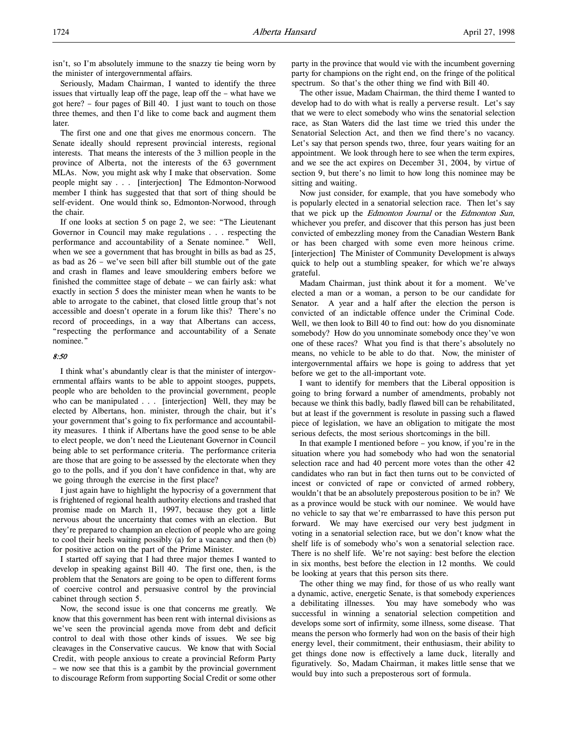isn't, so I'm absolutely immune to the snazzy tie being worn by the minister of intergovernmental affairs.

Seriously, Madam Chairman, I wanted to identify the three issues that virtually leap off the page, leap off the – what have we got here? – four pages of Bill 40. I just want to touch on those three themes, and then I'd like to come back and augment them **later** 

The first one and one that gives me enormous concern. The Senate ideally should represent provincial interests, regional interests. That means the interests of the 3 million people in the province of Alberta, not the interests of the 63 government MLAs. Now, you might ask why I make that observation. Some people might say . . . [interjection] The Edmonton-Norwood member I think has suggested that that sort of thing should be self-evident. One would think so, Edmonton-Norwood, through the chair.

If one looks at section 5 on page 2, we see: "The Lieutenant Governor in Council may make regulations . . . respecting the performance and accountability of a Senate nominee." Well, when we see a government that has brought in bills as bad as 25, as bad as 26 – we've seen bill after bill stumble out of the gate and crash in flames and leave smouldering embers before we finished the committee stage of debate – we can fairly ask: what exactly in section 5 does the minister mean when he wants to be able to arrogate to the cabinet, that closed little group that's not accessible and doesn't operate in a forum like this? There's no record of proceedings, in a way that Albertans can access, "respecting the performance and accountability of a Senate nominee."

#### 8:50

I think what's abundantly clear is that the minister of intergovernmental affairs wants to be able to appoint stooges, puppets, people who are beholden to the provincial government, people who can be manipulated . . . [interjection] Well, they may be elected by Albertans, hon. minister, through the chair, but it's your government that's going to fix performance and accountability measures. I think if Albertans have the good sense to be able to elect people, we don't need the Lieutenant Governor in Council being able to set performance criteria. The performance criteria are those that are going to be assessed by the electorate when they go to the polls, and if you don't have confidence in that, why are we going through the exercise in the first place?

I just again have to highlight the hypocrisy of a government that is frightened of regional health authority elections and trashed that promise made on March 11, 1997, because they got a little nervous about the uncertainty that comes with an election. But they're prepared to champion an election of people who are going to cool their heels waiting possibly (a) for a vacancy and then (b) for positive action on the part of the Prime Minister.

I started off saying that I had three major themes I wanted to develop in speaking against Bill 40. The first one, then, is the problem that the Senators are going to be open to different forms of coercive control and persuasive control by the provincial cabinet through section 5.

Now, the second issue is one that concerns me greatly. We know that this government has been rent with internal divisions as we've seen the provincial agenda move from debt and deficit control to deal with those other kinds of issues. We see big cleavages in the Conservative caucus. We know that with Social Credit, with people anxious to create a provincial Reform Party – we now see that this is a gambit by the provincial government to discourage Reform from supporting Social Credit or some other

party in the province that would vie with the incumbent governing party for champions on the right end, on the fringe of the political spectrum. So that's the other thing we find with Bill 40.

The other issue, Madam Chairman, the third theme I wanted to develop had to do with what is really a perverse result. Let's say that we were to elect somebody who wins the senatorial selection race, as Stan Waters did the last time we tried this under the Senatorial Selection Act, and then we find there's no vacancy. Let's say that person spends two, three, four years waiting for an appointment. We look through here to see when the term expires, and we see the act expires on December 31, 2004, by virtue of section 9, but there's no limit to how long this nominee may be sitting and waiting.

Now just consider, for example, that you have somebody who is popularly elected in a senatorial selection race. Then let's say that we pick up the Edmonton Journal or the Edmonton Sun, whichever you prefer, and discover that this person has just been convicted of embezzling money from the Canadian Western Bank or has been charged with some even more heinous crime. [interjection] The Minister of Community Development is always quick to help out a stumbling speaker, for which we're always grateful.

Madam Chairman, just think about it for a moment. We've elected a man or a woman, a person to be our candidate for Senator. A year and a half after the election the person is convicted of an indictable offence under the Criminal Code. Well, we then look to Bill 40 to find out: how do you disnominate somebody? How do you unnominate somebody once they've won one of these races? What you find is that there's absolutely no means, no vehicle to be able to do that. Now, the minister of intergovernmental affairs we hope is going to address that yet before we get to the all-important vote.

I want to identify for members that the Liberal opposition is going to bring forward a number of amendments, probably not because we think this badly, badly flawed bill can be rehabilitated, but at least if the government is resolute in passing such a flawed piece of legislation, we have an obligation to mitigate the most serious defects, the most serious shortcomings in the bill.

In that example I mentioned before – you know, if you're in the situation where you had somebody who had won the senatorial selection race and had 40 percent more votes than the other 42 candidates who ran but in fact then turns out to be convicted of incest or convicted of rape or convicted of armed robbery, wouldn't that be an absolutely preposterous position to be in? We as a province would be stuck with our nominee. We would have no vehicle to say that we're embarrassed to have this person put forward. We may have exercised our very best judgment in voting in a senatorial selection race, but we don't know what the shelf life is of somebody who's won a senatorial selection race. There is no shelf life. We're not saying: best before the election in six months, best before the election in 12 months. We could be looking at years that this person sits there.

The other thing we may find, for those of us who really want a dynamic, active, energetic Senate, is that somebody experiences a debilitating illnesses. You may have somebody who was successful in winning a senatorial selection competition and develops some sort of infirmity, some illness, some disease. That means the person who formerly had won on the basis of their high energy level, their commitment, their enthusiasm, their ability to get things done now is effectively a lame duck, literally and figuratively. So, Madam Chairman, it makes little sense that we would buy into such a preposterous sort of formula.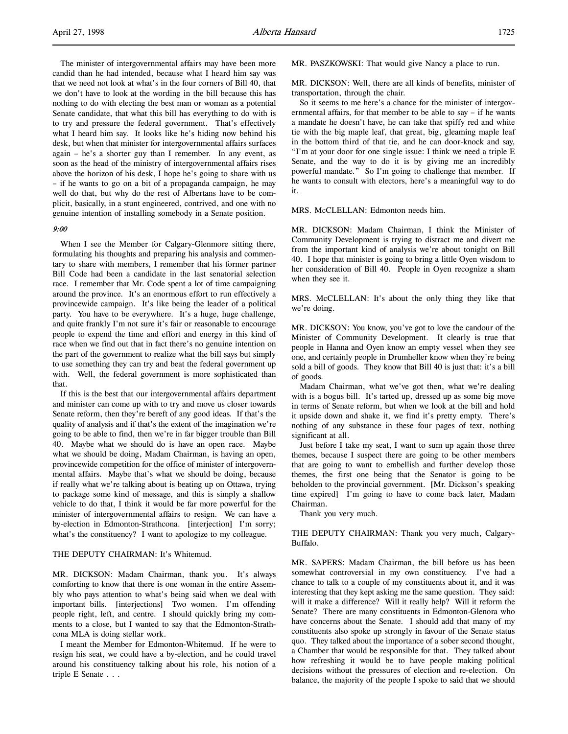The minister of intergovernmental affairs may have been more candid than he had intended, because what I heard him say was that we need not look at what's in the four corners of Bill 40, that we don't have to look at the wording in the bill because this has nothing to do with electing the best man or woman as a potential Senate candidate, that what this bill has everything to do with is to try and pressure the federal government. That's effectively what I heard him say. It looks like he's hiding now behind his desk, but when that minister for intergovernmental affairs surfaces again – he's a shorter guy than I remember. In any event, as soon as the head of the ministry of intergovernmental affairs rises above the horizon of his desk, I hope he's going to share with us – if he wants to go on a bit of a propaganda campaign, he may well do that, but why do the rest of Albertans have to be complicit, basically, in a stunt engineered, contrived, and one with no genuine intention of installing somebody in a Senate position.

### 9:00

When I see the Member for Calgary-Glenmore sitting there, formulating his thoughts and preparing his analysis and commentary to share with members, I remember that his former partner Bill Code had been a candidate in the last senatorial selection race. I remember that Mr. Code spent a lot of time campaigning around the province. It's an enormous effort to run effectively a provincewide campaign. It's like being the leader of a political party. You have to be everywhere. It's a huge, huge challenge, and quite frankly I'm not sure it's fair or reasonable to encourage people to expend the time and effort and energy in this kind of race when we find out that in fact there's no genuine intention on the part of the government to realize what the bill says but simply to use something they can try and beat the federal government up with. Well, the federal government is more sophisticated than that.

If this is the best that our intergovernmental affairs department and minister can come up with to try and move us closer towards Senate reform, then they're bereft of any good ideas. If that's the quality of analysis and if that's the extent of the imagination we're going to be able to find, then we're in far bigger trouble than Bill 40. Maybe what we should do is have an open race. Maybe what we should be doing, Madam Chairman, is having an open, provincewide competition for the office of minister of intergovernmental affairs. Maybe that's what we should be doing, because if really what we're talking about is beating up on Ottawa, trying to package some kind of message, and this is simply a shallow vehicle to do that, I think it would be far more powerful for the minister of intergovernmental affairs to resign. We can have a by-election in Edmonton-Strathcona. [interjection] I'm sorry; what's the constituency? I want to apologize to my colleague.

#### THE DEPUTY CHAIRMAN: It's Whitemud.

MR. DICKSON: Madam Chairman, thank you. It's always comforting to know that there is one woman in the entire Assembly who pays attention to what's being said when we deal with important bills. [interjections] Two women. I'm offending people right, left, and centre. I should quickly bring my comments to a close, but I wanted to say that the Edmonton-Strathcona MLA is doing stellar work.

I meant the Member for Edmonton-Whitemud. If he were to resign his seat, we could have a by-election, and he could travel around his constituency talking about his role, his notion of a triple E Senate . . .

MR. PASZKOWSKI: That would give Nancy a place to run.

MR. DICKSON: Well, there are all kinds of benefits, minister of transportation, through the chair.

So it seems to me here's a chance for the minister of intergovernmental affairs, for that member to be able to say – if he wants a mandate he doesn't have, he can take that spiffy red and white tie with the big maple leaf, that great, big, gleaming maple leaf in the bottom third of that tie, and he can door-knock and say, "I'm at your door for one single issue: I think we need a triple E Senate, and the way to do it is by giving me an incredibly powerful mandate." So I'm going to challenge that member. If he wants to consult with electors, here's a meaningful way to do it.

MRS. McCLELLAN: Edmonton needs him.

MR. DICKSON: Madam Chairman, I think the Minister of Community Development is trying to distract me and divert me from the important kind of analysis we're about tonight on Bill 40. I hope that minister is going to bring a little Oyen wisdom to her consideration of Bill 40. People in Oyen recognize a sham when they see it.

MRS. McCLELLAN: It's about the only thing they like that we're doing.

MR. DICKSON: You know, you've got to love the candour of the Minister of Community Development. It clearly is true that people in Hanna and Oyen know an empty vessel when they see one, and certainly people in Drumheller know when they're being sold a bill of goods. They know that Bill 40 is just that: it's a bill of goods.

Madam Chairman, what we've got then, what we're dealing with is a bogus bill. It's tarted up, dressed up as some big move in terms of Senate reform, but when we look at the bill and hold it upside down and shake it, we find it's pretty empty. There's nothing of any substance in these four pages of text, nothing significant at all.

Just before I take my seat, I want to sum up again those three themes, because I suspect there are going to be other members that are going to want to embellish and further develop those themes, the first one being that the Senator is going to be beholden to the provincial government. [Mr. Dickson's speaking time expired] I'm going to have to come back later, Madam Chairman.

Thank you very much.

### THE DEPUTY CHAIRMAN: Thank you very much, Calgary-Buffalo.

MR. SAPERS: Madam Chairman, the bill before us has been somewhat controversial in my own constituency. I've had a chance to talk to a couple of my constituents about it, and it was interesting that they kept asking me the same question. They said: will it make a difference? Will it really help? Will it reform the Senate? There are many constituents in Edmonton-Glenora who have concerns about the Senate. I should add that many of my constituents also spoke up strongly in favour of the Senate status quo. They talked about the importance of a sober second thought, a Chamber that would be responsible for that. They talked about how refreshing it would be to have people making political decisions without the pressures of election and re-election. On balance, the majority of the people I spoke to said that we should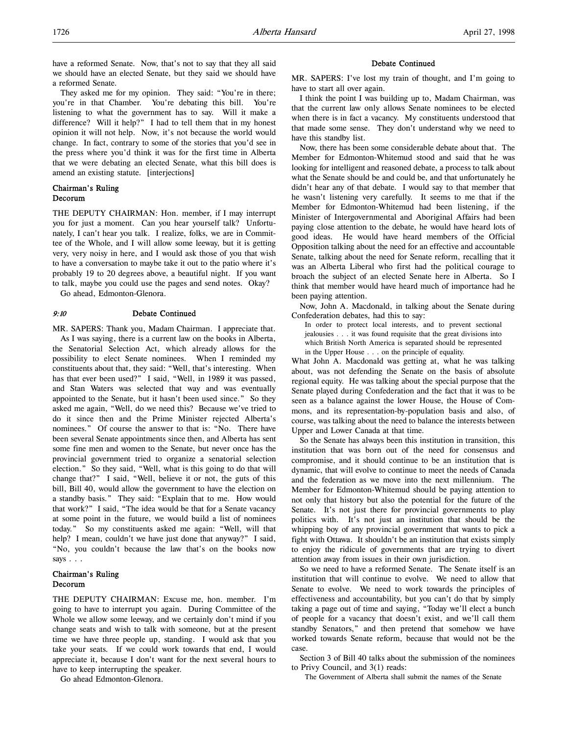have a reformed Senate. Now, that's not to say that they all said we should have an elected Senate, but they said we should have a reformed Senate.

They asked me for my opinion. They said: "You're in there; you're in that Chamber. You're debating this bill. You're listening to what the government has to say. Will it make a difference? Will it help?" I had to tell them that in my honest opinion it will not help. Now, it's not because the world would change. In fact, contrary to some of the stories that you'd see in the press where you'd think it was for the first time in Alberta that we were debating an elected Senate, what this bill does is amend an existing statute. [interjections]

# Chairman's Ruling Decorum

THE DEPUTY CHAIRMAN: Hon. member, if I may interrupt you for just a moment. Can you hear yourself talk? Unfortunately, I can't hear you talk. I realize, folks, we are in Committee of the Whole, and I will allow some leeway, but it is getting very, very noisy in here, and I would ask those of you that wish to have a conversation to maybe take it out to the patio where it's probably 19 to 20 degrees above, a beautiful night. If you want to talk, maybe you could use the pages and send notes. Okay?

Go ahead, Edmonton-Glenora.

### 9:10 Debate Continued

MR. SAPERS: Thank you, Madam Chairman. I appreciate that. As I was saying, there is a current law on the books in Alberta, the Senatorial Selection Act, which already allows for the possibility to elect Senate nominees. When I reminded my constituents about that, they said: "Well, that's interesting. When has that ever been used?" I said, "Well, in 1989 it was passed, and Stan Waters was selected that way and was eventually appointed to the Senate, but it hasn't been used since." So they asked me again, "Well, do we need this? Because we've tried to do it since then and the Prime Minister rejected Alberta's nominees." Of course the answer to that is: "No. There have been several Senate appointments since then, and Alberta has sent some fine men and women to the Senate, but never once has the provincial government tried to organize a senatorial selection election." So they said, "Well, what is this going to do that will change that?" I said, "Well, believe it or not, the guts of this bill, Bill 40, would allow the government to have the election on a standby basis." They said: "Explain that to me. How would that work?" I said, "The idea would be that for a Senate vacancy at some point in the future, we would build a list of nominees today." So my constituents asked me again: "Well, will that help? I mean, couldn't we have just done that anyway?" I said, "No, you couldn't because the law that's on the books now says . . .

### Chairman's Ruling Decorum

THE DEPUTY CHAIRMAN: Excuse me, hon. member. I'm going to have to interrupt you again. During Committee of the Whole we allow some leeway, and we certainly don't mind if you change seats and wish to talk with someone, but at the present time we have three people up, standing. I would ask that you take your seats. If we could work towards that end, I would appreciate it, because I don't want for the next several hours to have to keep interrupting the speaker.

Go ahead Edmonton-Glenora.

#### Debate Continued

MR. SAPERS: I've lost my train of thought, and I'm going to have to start all over again.

I think the point I was building up to, Madam Chairman, was that the current law only allows Senate nominees to be elected when there is in fact a vacancy. My constituents understood that that made some sense. They don't understand why we need to have this standby list.

Now, there has been some considerable debate about that. The Member for Edmonton-Whitemud stood and said that he was looking for intelligent and reasoned debate, a process to talk about what the Senate should be and could be, and that unfortunately he didn't hear any of that debate. I would say to that member that he wasn't listening very carefully. It seems to me that if the Member for Edmonton-Whitemud had been listening, if the Minister of Intergovernmental and Aboriginal Affairs had been paying close attention to the debate, he would have heard lots of good ideas. He would have heard members of the Official Opposition talking about the need for an effective and accountable Senate, talking about the need for Senate reform, recalling that it was an Alberta Liberal who first had the political courage to broach the subject of an elected Senate here in Alberta. So I think that member would have heard much of importance had he been paying attention.

Now, John A. Macdonald, in talking about the Senate during Confederation debates, had this to say:

In order to protect local interests, and to prevent sectional jealousies . . . it was found requisite that the great divisions into which British North America is separated should be represented in the Upper House . . . on the principle of equality.

What John A. Macdonald was getting at, what he was talking about, was not defending the Senate on the basis of absolute regional equity. He was talking about the special purpose that the Senate played during Confederation and the fact that it was to be seen as a balance against the lower House, the House of Commons, and its representation-by-population basis and also, of course, was talking about the need to balance the interests between Upper and Lower Canada at that time.

So the Senate has always been this institution in transition, this institution that was born out of the need for consensus and compromise, and it should continue to be an institution that is dynamic, that will evolve to continue to meet the needs of Canada and the federation as we move into the next millennium. The Member for Edmonton-Whitemud should be paying attention to not only that history but also the potential for the future of the Senate. It's not just there for provincial governments to play politics with. It's not just an institution that should be the whipping boy of any provincial government that wants to pick a fight with Ottawa. It shouldn't be an institution that exists simply to enjoy the ridicule of governments that are trying to divert attention away from issues in their own jurisdiction.

So we need to have a reformed Senate. The Senate itself is an institution that will continue to evolve. We need to allow that Senate to evolve. We need to work towards the principles of effectiveness and accountability, but you can't do that by simply taking a page out of time and saying, "Today we'll elect a bunch of people for a vacancy that doesn't exist, and we'll call them standby Senators," and then pretend that somehow we have worked towards Senate reform, because that would not be the case.

Section 3 of Bill 40 talks about the submission of the nominees to Privy Council, and 3(1) reads:

The Government of Alberta shall submit the names of the Senate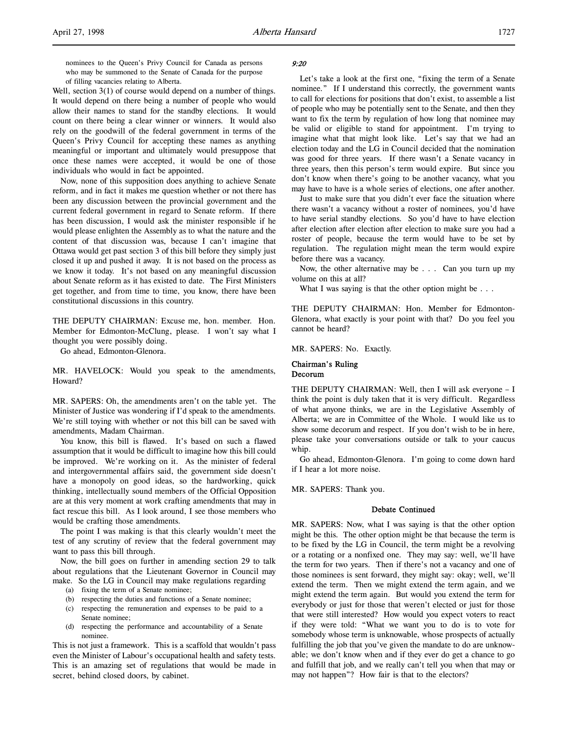nominees to the Queen's Privy Council for Canada as persons who may be summoned to the Senate of Canada for the purpose of filling vacancies relating to Alberta.

Well, section 3(1) of course would depend on a number of things. It would depend on there being a number of people who would allow their names to stand for the standby elections. It would count on there being a clear winner or winners. It would also rely on the goodwill of the federal government in terms of the Queen's Privy Council for accepting these names as anything meaningful or important and ultimately would presuppose that once these names were accepted, it would be one of those individuals who would in fact be appointed.

Now, none of this supposition does anything to achieve Senate reform, and in fact it makes me question whether or not there has been any discussion between the provincial government and the current federal government in regard to Senate reform. If there has been discussion, I would ask the minister responsible if he would please enlighten the Assembly as to what the nature and the content of that discussion was, because I can't imagine that Ottawa would get past section 3 of this bill before they simply just closed it up and pushed it away. It is not based on the process as we know it today. It's not based on any meaningful discussion about Senate reform as it has existed to date. The First Ministers get together, and from time to time, you know, there have been constitutional discussions in this country.

THE DEPUTY CHAIRMAN: Excuse me, hon. member. Hon. Member for Edmonton-McClung, please. I won't say what I thought you were possibly doing.

Go ahead, Edmonton-Glenora.

MR. HAVELOCK: Would you speak to the amendments, Howard?

MR. SAPERS: Oh, the amendments aren't on the table yet. The Minister of Justice was wondering if I'd speak to the amendments. We're still toying with whether or not this bill can be saved with amendments, Madam Chairman.

You know, this bill is flawed. It's based on such a flawed assumption that it would be difficult to imagine how this bill could be improved. We're working on it. As the minister of federal and intergovernmental affairs said, the government side doesn't have a monopoly on good ideas, so the hardworking, quick thinking, intellectually sound members of the Official Opposition are at this very moment at work crafting amendments that may in fact rescue this bill. As I look around, I see those members who would be crafting those amendments.

The point I was making is that this clearly wouldn't meet the test of any scrutiny of review that the federal government may want to pass this bill through.

Now, the bill goes on further in amending section 29 to talk about regulations that the Lieutenant Governor in Council may make. So the LG in Council may make regulations regarding

- (a) fixing the term of a Senate nominee;
- (b) respecting the duties and functions of a Senate nominee;
- (c) respecting the remuneration and expenses to be paid to a Senate nominee;
- (d) respecting the performance and accountability of a Senate nominee.

This is not just a framework. This is a scaffold that wouldn't pass even the Minister of Labour's occupational health and safety tests. This is an amazing set of regulations that would be made in secret, behind closed doors, by cabinet.

### 9:20

Let's take a look at the first one, "fixing the term of a Senate nominee." If I understand this correctly, the government wants to call for elections for positions that don't exist, to assemble a list of people who may be potentially sent to the Senate, and then they want to fix the term by regulation of how long that nominee may be valid or eligible to stand for appointment. I'm trying to imagine what that might look like. Let's say that we had an election today and the LG in Council decided that the nomination was good for three years. If there wasn't a Senate vacancy in three years, then this person's term would expire. But since you don't know when there's going to be another vacancy, what you may have to have is a whole series of elections, one after another.

Just to make sure that you didn't ever face the situation where there wasn't a vacancy without a roster of nominees, you'd have to have serial standby elections. So you'd have to have election after election after election after election to make sure you had a roster of people, because the term would have to be set by regulation. The regulation might mean the term would expire before there was a vacancy.

Now, the other alternative may be . . . Can you turn up my volume on this at all?

What I was saying is that the other option might be . . .

THE DEPUTY CHAIRMAN: Hon. Member for Edmonton-Glenora, what exactly is your point with that? Do you feel you cannot be heard?

MR. SAPERS: No. Exactly.

### Chairman's Ruling Decorum

THE DEPUTY CHAIRMAN: Well, then I will ask everyone – I think the point is duly taken that it is very difficult. Regardless of what anyone thinks, we are in the Legislative Assembly of Alberta; we are in Committee of the Whole. I would like us to show some decorum and respect. If you don't wish to be in here, please take your conversations outside or talk to your caucus whip.

Go ahead, Edmonton-Glenora. I'm going to come down hard if I hear a lot more noise.

MR. SAPERS: Thank you.

### Debate Continued

MR. SAPERS: Now, what I was saying is that the other option might be this. The other option might be that because the term is to be fixed by the LG in Council, the term might be a revolving or a rotating or a nonfixed one. They may say: well, we'll have the term for two years. Then if there's not a vacancy and one of those nominees is sent forward, they might say: okay; well, we'll extend the term. Then we might extend the term again, and we might extend the term again. But would you extend the term for everybody or just for those that weren't elected or just for those that were still interested? How would you expect voters to react if they were told: "What we want you to do is to vote for somebody whose term is unknowable, whose prospects of actually fulfilling the job that you've given the mandate to do are unknowable; we don't know when and if they ever do get a chance to go and fulfill that job, and we really can't tell you when that may or may not happen"? How fair is that to the electors?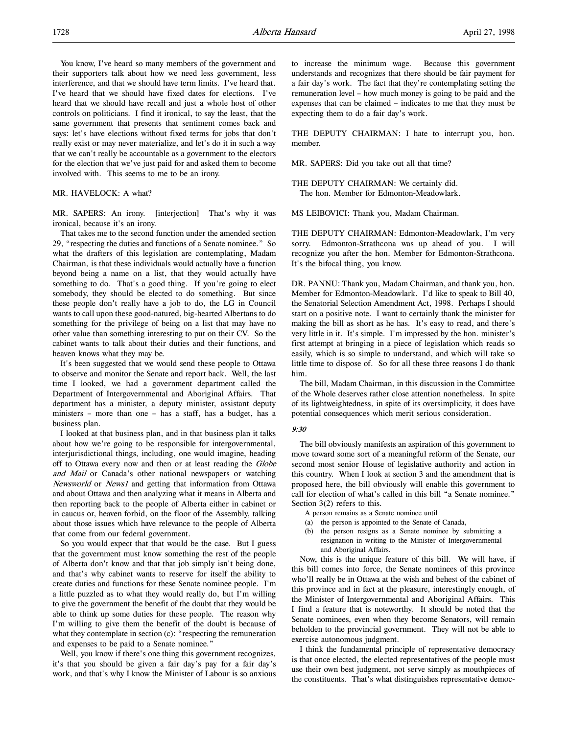You know, I've heard so many members of the government and their supporters talk about how we need less government, less interference, and that we should have term limits. I've heard that. I've heard that we should have fixed dates for elections. I've heard that we should have recall and just a whole host of other controls on politicians. I find it ironical, to say the least, that the same government that presents that sentiment comes back and says: let's have elections without fixed terms for jobs that don't really exist or may never materialize, and let's do it in such a way that we can't really be accountable as a government to the electors for the election that we've just paid for and asked them to become involved with. This seems to me to be an irony.

### MR. HAVELOCK: A what?

MR. SAPERS: An irony. [interjection] That's why it was ironical, because it's an irony.

That takes me to the second function under the amended section 29, "respecting the duties and functions of a Senate nominee." So what the drafters of this legislation are contemplating, Madam Chairman, is that these individuals would actually have a function beyond being a name on a list, that they would actually have something to do. That's a good thing. If you're going to elect somebody, they should be elected to do something. But since these people don't really have a job to do, the LG in Council wants to call upon these good-natured, big-hearted Albertans to do something for the privilege of being on a list that may have no other value than something interesting to put on their CV. So the cabinet wants to talk about their duties and their functions, and heaven knows what they may be.

It's been suggested that we would send these people to Ottawa to observe and monitor the Senate and report back. Well, the last time I looked, we had a government department called the Department of Intergovernmental and Aboriginal Affairs. That department has a minister, a deputy minister, assistant deputy ministers – more than one – has a staff, has a budget, has a business plan.

I looked at that business plan, and in that business plan it talks about how we're going to be responsible for intergovernmental, interjurisdictional things, including, one would imagine, heading off to Ottawa every now and then or at least reading the Globe and Mail or Canada's other national newspapers or watching Newsworld or News1 and getting that information from Ottawa and about Ottawa and then analyzing what it means in Alberta and then reporting back to the people of Alberta either in cabinet or in caucus or, heaven forbid, on the floor of the Assembly, talking about those issues which have relevance to the people of Alberta that come from our federal government.

So you would expect that that would be the case. But I guess that the government must know something the rest of the people of Alberta don't know and that that job simply isn't being done, and that's why cabinet wants to reserve for itself the ability to create duties and functions for these Senate nominee people. I'm a little puzzled as to what they would really do, but I'm willing to give the government the benefit of the doubt that they would be able to think up some duties for these people. The reason why I'm willing to give them the benefit of the doubt is because of what they contemplate in section (c): "respecting the remuneration and expenses to be paid to a Senate nominee."

Well, you know if there's one thing this government recognizes, it's that you should be given a fair day's pay for a fair day's work, and that's why I know the Minister of Labour is so anxious

to increase the minimum wage. Because this government understands and recognizes that there should be fair payment for a fair day's work. The fact that they're contemplating setting the remuneration level – how much money is going to be paid and the expenses that can be claimed – indicates to me that they must be expecting them to do a fair day's work.

THE DEPUTY CHAIRMAN: I hate to interrupt you, hon. member.

MR. SAPERS: Did you take out all that time?

THE DEPUTY CHAIRMAN: We certainly did. The hon. Member for Edmonton-Meadowlark.

MS LEIBOVICI: Thank you, Madam Chairman.

THE DEPUTY CHAIRMAN: Edmonton-Meadowlark, I'm very sorry. Edmonton-Strathcona was up ahead of you. I will recognize you after the hon. Member for Edmonton-Strathcona. It's the bifocal thing, you know.

DR. PANNU: Thank you, Madam Chairman, and thank you, hon. Member for Edmonton-Meadowlark. I'd like to speak to Bill 40, the Senatorial Selection Amendment Act, 1998. Perhaps I should start on a positive note. I want to certainly thank the minister for making the bill as short as he has. It's easy to read, and there's very little in it. It's simple. I'm impressed by the hon. minister's first attempt at bringing in a piece of legislation which reads so easily, which is so simple to understand, and which will take so little time to dispose of. So for all these three reasons I do thank him.

The bill, Madam Chairman, in this discussion in the Committee of the Whole deserves rather close attention nonetheless. In spite of its lightweightedness, in spite of its oversimplicity, it does have potential consequences which merit serious consideration.

#### 9:30

The bill obviously manifests an aspiration of this government to move toward some sort of a meaningful reform of the Senate, our second most senior House of legislative authority and action in this country. When I look at section 3 and the amendment that is proposed here, the bill obviously will enable this government to call for election of what's called in this bill "a Senate nominee." Section 3(2) refers to this.

A person remains as a Senate nominee until

- (a) the person is appointed to the Senate of Canada,
- (b) the person resigns as a Senate nominee by submitting a resignation in writing to the Minister of Intergovernmental and Aboriginal Affairs.

Now, this is the unique feature of this bill. We will have, if this bill comes into force, the Senate nominees of this province who'll really be in Ottawa at the wish and behest of the cabinet of this province and in fact at the pleasure, interestingly enough, of the Minister of Intergovernmental and Aboriginal Affairs. This I find a feature that is noteworthy. It should be noted that the Senate nominees, even when they become Senators, will remain beholden to the provincial government. They will not be able to exercise autonomous judgment.

I think the fundamental principle of representative democracy is that once elected, the elected representatives of the people must use their own best judgment, not serve simply as mouthpieces of the constituents. That's what distinguishes representative democ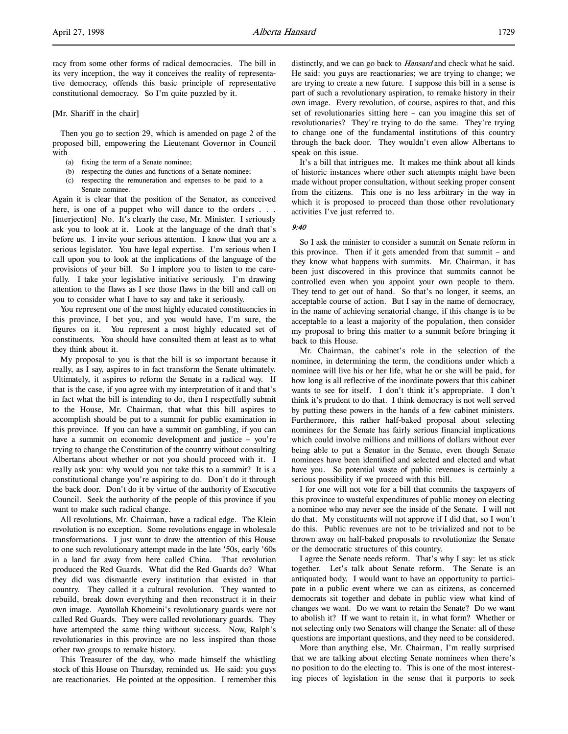[Mr. Shariff in the chair]

Then you go to section 29, which is amended on page 2 of the proposed bill, empowering the Lieutenant Governor in Council with

- (a) fixing the term of a Senate nominee;
- (b) respecting the duties and functions of a Senate nominee;
- respecting the remuneration and expenses to be paid to a Senate nominee.

Again it is clear that the position of the Senator, as conceived here, is one of a puppet who will dance to the orders . . . [interjection] No. It's clearly the case, Mr. Minister. I seriously ask you to look at it. Look at the language of the draft that's before us. I invite your serious attention. I know that you are a serious legislator. You have legal expertise. I'm serious when I call upon you to look at the implications of the language of the provisions of your bill. So I implore you to listen to me carefully. I take your legislative initiative seriously. I'm drawing attention to the flaws as I see those flaws in the bill and call on you to consider what I have to say and take it seriously.

You represent one of the most highly educated constituencies in this province, I bet you, and you would have, I'm sure, the figures on it. You represent a most highly educated set of constituents. You should have consulted them at least as to what they think about it.

My proposal to you is that the bill is so important because it really, as I say, aspires to in fact transform the Senate ultimately. Ultimately, it aspires to reform the Senate in a radical way. If that is the case, if you agree with my interpretation of it and that's in fact what the bill is intending to do, then I respectfully submit to the House, Mr. Chairman, that what this bill aspires to accomplish should be put to a summit for public examination in this province. If you can have a summit on gambling, if you can have a summit on economic development and justice – you're trying to change the Constitution of the country without consulting Albertans about whether or not you should proceed with it. I really ask you: why would you not take this to a summit? It is a constitutional change you're aspiring to do. Don't do it through the back door. Don't do it by virtue of the authority of Executive Council. Seek the authority of the people of this province if you want to make such radical change.

All revolutions, Mr. Chairman, have a radical edge. The Klein revolution is no exception. Some revolutions engage in wholesale transformations. I just want to draw the attention of this House to one such revolutionary attempt made in the late '50s, early '60s in a land far away from here called China. That revolution produced the Red Guards. What did the Red Guards do? What they did was dismantle every institution that existed in that country. They called it a cultural revolution. They wanted to rebuild, break down everything and then reconstruct it in their own image. Ayatollah Khomeini's revolutionary guards were not called Red Guards. They were called revolutionary guards. They have attempted the same thing without success. Now, Ralph's revolutionaries in this province are no less inspired than those other two groups to remake history.

This Treasurer of the day, who made himself the whistling stock of this House on Thursday, reminded us. He said: you guys are reactionaries. He pointed at the opposition. I remember this

distinctly, and we can go back to *Hansard* and check what he said. He said: you guys are reactionaries; we are trying to change; we are trying to create a new future. I suppose this bill in a sense is part of such a revolutionary aspiration, to remake history in their own image. Every revolution, of course, aspires to that, and this set of revolutionaries sitting here – can you imagine this set of revolutionaries? They're trying to do the same. They're trying to change one of the fundamental institutions of this country through the back door. They wouldn't even allow Albertans to speak on this issue.

It's a bill that intrigues me. It makes me think about all kinds of historic instances where other such attempts might have been made without proper consultation, without seeking proper consent from the citizens. This one is no less arbitrary in the way in which it is proposed to proceed than those other revolutionary activities I've just referred to.

#### 9:40

So I ask the minister to consider a summit on Senate reform in this province. Then if it gets amended from that summit – and they know what happens with summits. Mr. Chairman, it has been just discovered in this province that summits cannot be controlled even when you appoint your own people to them. They tend to get out of hand. So that's no longer, it seems, an acceptable course of action. But I say in the name of democracy, in the name of achieving senatorial change, if this change is to be acceptable to a least a majority of the population, then consider my proposal to bring this matter to a summit before bringing it back to this House.

Mr. Chairman, the cabinet's role in the selection of the nominee, in determining the term, the conditions under which a nominee will live his or her life, what he or she will be paid, for how long is all reflective of the inordinate powers that this cabinet wants to see for itself. I don't think it's appropriate. I don't think it's prudent to do that. I think democracy is not well served by putting these powers in the hands of a few cabinet ministers. Furthermore, this rather half-baked proposal about selecting nominees for the Senate has fairly serious financial implications which could involve millions and millions of dollars without ever being able to put a Senator in the Senate, even though Senate nominees have been identified and selected and elected and what have you. So potential waste of public revenues is certainly a serious possibility if we proceed with this bill.

I for one will not vote for a bill that commits the taxpayers of this province to wasteful expenditures of public money on electing a nominee who may never see the inside of the Senate. I will not do that. My constituents will not approve if I did that, so I won't do this. Public revenues are not to be trivialized and not to be thrown away on half-baked proposals to revolutionize the Senate or the democratic structures of this country.

I agree the Senate needs reform. That's why I say: let us stick together. Let's talk about Senate reform. The Senate is an antiquated body. I would want to have an opportunity to participate in a public event where we can as citizens, as concerned democrats sit together and debate in public view what kind of changes we want. Do we want to retain the Senate? Do we want to abolish it? If we want to retain it, in what form? Whether or not selecting only two Senators will change the Senate: all of these questions are important questions, and they need to be considered.

More than anything else, Mr. Chairman, I'm really surprised that we are talking about electing Senate nominees when there's no position to do the electing to. This is one of the most interesting pieces of legislation in the sense that it purports to seek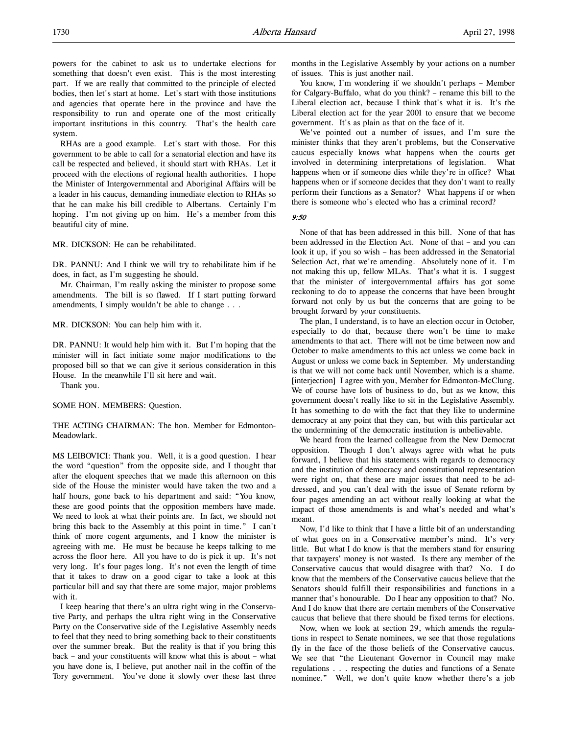system. RHAs are a good example. Let's start with those. For this government to be able to call for a senatorial election and have its call be respected and believed, it should start with RHAs. Let it proceed with the elections of regional health authorities. I hope the Minister of Intergovernmental and Aboriginal Affairs will be a leader in his caucus, demanding immediate election to RHAs so that he can make his bill credible to Albertans. Certainly I'm hoping. I'm not giving up on him. He's a member from this beautiful city of mine.

MR. DICKSON: He can be rehabilitated.

DR. PANNU: And I think we will try to rehabilitate him if he does, in fact, as I'm suggesting he should.

Mr. Chairman, I'm really asking the minister to propose some amendments. The bill is so flawed. If I start putting forward amendments, I simply wouldn't be able to change . . .

MR. DICKSON: You can help him with it.

DR. PANNU: It would help him with it. But I'm hoping that the minister will in fact initiate some major modifications to the proposed bill so that we can give it serious consideration in this House. In the meanwhile I'll sit here and wait.

Thank you.

SOME HON. MEMBERS: Question.

THE ACTING CHAIRMAN: The hon. Member for Edmonton-Meadowlark.

MS LEIBOVICI: Thank you. Well, it is a good question. I hear the word "question" from the opposite side, and I thought that after the eloquent speeches that we made this afternoon on this side of the House the minister would have taken the two and a half hours, gone back to his department and said: "You know, these are good points that the opposition members have made. We need to look at what their points are. In fact, we should not bring this back to the Assembly at this point in time." I can't think of more cogent arguments, and I know the minister is agreeing with me. He must be because he keeps talking to me across the floor here. All you have to do is pick it up. It's not very long. It's four pages long. It's not even the length of time that it takes to draw on a good cigar to take a look at this particular bill and say that there are some major, major problems with it.

I keep hearing that there's an ultra right wing in the Conservative Party, and perhaps the ultra right wing in the Conservative Party on the Conservative side of the Legislative Assembly needs to feel that they need to bring something back to their constituents over the summer break. But the reality is that if you bring this back – and your constituents will know what this is about – what you have done is, I believe, put another nail in the coffin of the Tory government. You've done it slowly over these last three

months in the Legislative Assembly by your actions on a number of issues. This is just another nail.

You know, I'm wondering if we shouldn't perhaps – Member for Calgary-Buffalo, what do you think? – rename this bill to the Liberal election act, because I think that's what it is. It's the Liberal election act for the year 2001 to ensure that we become government. It's as plain as that on the face of it.

We've pointed out a number of issues, and I'm sure the minister thinks that they aren't problems, but the Conservative caucus especially knows what happens when the courts get involved in determining interpretations of legislation. What happens when or if someone dies while they're in office? What happens when or if someone decides that they don't want to really perform their functions as a Senator? What happens if or when there is someone who's elected who has a criminal record?

9:50

None of that has been addressed in this bill. None of that has been addressed in the Election Act. None of that – and you can look it up, if you so wish – has been addressed in the Senatorial Selection Act, that we're amending. Absolutely none of it. I'm not making this up, fellow MLAs. That's what it is. I suggest that the minister of intergovernmental affairs has got some reckoning to do to appease the concerns that have been brought forward not only by us but the concerns that are going to be brought forward by your constituents.

The plan, I understand, is to have an election occur in October, especially to do that, because there won't be time to make amendments to that act. There will not be time between now and October to make amendments to this act unless we come back in August or unless we come back in September. My understanding is that we will not come back until November, which is a shame. [interjection] I agree with you, Member for Edmonton-McClung. We of course have lots of business to do, but as we know, this government doesn't really like to sit in the Legislative Assembly. It has something to do with the fact that they like to undermine democracy at any point that they can, but with this particular act the undermining of the democratic institution is unbelievable.

We heard from the learned colleague from the New Democrat opposition. Though I don't always agree with what he puts forward, I believe that his statements with regards to democracy and the institution of democracy and constitutional representation were right on, that these are major issues that need to be addressed, and you can't deal with the issue of Senate reform by four pages amending an act without really looking at what the impact of those amendments is and what's needed and what's meant.

Now, I'd like to think that I have a little bit of an understanding of what goes on in a Conservative member's mind. It's very little. But what I do know is that the members stand for ensuring that taxpayers' money is not wasted. Is there any member of the Conservative caucus that would disagree with that? No. I do know that the members of the Conservative caucus believe that the Senators should fulfill their responsibilities and functions in a manner that's honourable. Do I hear any opposition to that? No. And I do know that there are certain members of the Conservative caucus that believe that there should be fixed terms for elections.

Now, when we look at section 29, which amends the regulations in respect to Senate nominees, we see that those regulations fly in the face of the those beliefs of the Conservative caucus. We see that "the Lieutenant Governor in Council may make regulations . . . respecting the duties and functions of a Senate nominee." Well, we don't quite know whether there's a job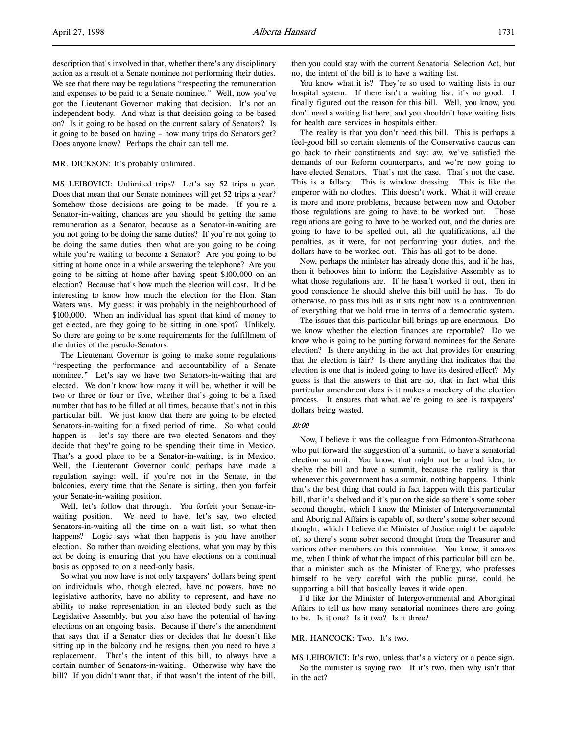description that's involved in that, whether there's any disciplinary action as a result of a Senate nominee not performing their duties. We see that there may be regulations "respecting the remuneration and expenses to be paid to a Senate nominee." Well, now you've got the Lieutenant Governor making that decision. It's not an independent body. And what is that decision going to be based on? Is it going to be based on the current salary of Senators? Is it going to be based on having – how many trips do Senators get? Does anyone know? Perhaps the chair can tell me.

#### MR. DICKSON: It's probably unlimited.

MS LEIBOVICI: Unlimited trips? Let's say 52 trips a year. Does that mean that our Senate nominees will get 52 trips a year? Somehow those decisions are going to be made. If you're a Senator-in-waiting, chances are you should be getting the same remuneration as a Senator, because as a Senator-in-waiting are you not going to be doing the same duties? If you're not going to be doing the same duties, then what are you going to be doing while you're waiting to become a Senator? Are you going to be sitting at home once in a while answering the telephone? Are you going to be sitting at home after having spent \$100,000 on an election? Because that's how much the election will cost. It'd be interesting to know how much the election for the Hon. Stan Waters was. My guess: it was probably in the neighbourhood of \$100,000. When an individual has spent that kind of money to get elected, are they going to be sitting in one spot? Unlikely. So there are going to be some requirements for the fulfillment of the duties of the pseudo-Senators.

The Lieutenant Governor is going to make some regulations "respecting the performance and accountability of a Senate nominee." Let's say we have two Senators-in-waiting that are elected. We don't know how many it will be, whether it will be two or three or four or five, whether that's going to be a fixed number that has to be filled at all times, because that's not in this particular bill. We just know that there are going to be elected Senators-in-waiting for a fixed period of time. So what could happen is – let's say there are two elected Senators and they decide that they're going to be spending their time in Mexico. That's a good place to be a Senator-in-waiting, is in Mexico. Well, the Lieutenant Governor could perhaps have made a regulation saying: well, if you're not in the Senate, in the balconies, every time that the Senate is sitting, then you forfeit your Senate-in-waiting position.

Well, let's follow that through. You forfeit your Senate-inwaiting position. We need to have, let's say, two elected Senators-in-waiting all the time on a wait list, so what then happens? Logic says what then happens is you have another election. So rather than avoiding elections, what you may by this act be doing is ensuring that you have elections on a continual basis as opposed to on a need-only basis.

So what you now have is not only taxpayers' dollars being spent on individuals who, though elected, have no powers, have no legislative authority, have no ability to represent, and have no ability to make representation in an elected body such as the Legislative Assembly, but you also have the potential of having elections on an ongoing basis. Because if there's the amendment that says that if a Senator dies or decides that he doesn't like sitting up in the balcony and he resigns, then you need to have a replacement. That's the intent of this bill, to always have a certain number of Senators-in-waiting. Otherwise why have the bill? If you didn't want that, if that wasn't the intent of the bill,

then you could stay with the current Senatorial Selection Act, but no, the intent of the bill is to have a waiting list.

You know what it is? They're so used to waiting lists in our hospital system. If there isn't a waiting list, it's no good. I finally figured out the reason for this bill. Well, you know, you don't need a waiting list here, and you shouldn't have waiting lists for health care services in hospitals either.

The reality is that you don't need this bill. This is perhaps a feel-good bill so certain elements of the Conservative caucus can go back to their constituents and say: aw, we've satisfied the demands of our Reform counterparts, and we're now going to have elected Senators. That's not the case. That's not the case. This is a fallacy. This is window dressing. This is like the emperor with no clothes. This doesn't work. What it will create is more and more problems, because between now and October those regulations are going to have to be worked out. Those regulations are going to have to be worked out, and the duties are going to have to be spelled out, all the qualifications, all the penalties, as it were, for not performing your duties, and the dollars have to be worked out. This has all got to be done.

Now, perhaps the minister has already done this, and if he has, then it behooves him to inform the Legislative Assembly as to what those regulations are. If he hasn't worked it out, then in good conscience he should shelve this bill until he has. To do otherwise, to pass this bill as it sits right now is a contravention of everything that we hold true in terms of a democratic system.

The issues that this particular bill brings up are enormous. Do we know whether the election finances are reportable? Do we know who is going to be putting forward nominees for the Senate election? Is there anything in the act that provides for ensuring that the election is fair? Is there anything that indicates that the election is one that is indeed going to have its desired effect? My guess is that the answers to that are no, that in fact what this particular amendment does is it makes a mockery of the election process. It ensures that what we're going to see is taxpayers' dollars being wasted.

#### 10:00

Now, I believe it was the colleague from Edmonton-Strathcona who put forward the suggestion of a summit, to have a senatorial election summit. You know, that might not be a bad idea, to shelve the bill and have a summit, because the reality is that whenever this government has a summit, nothing happens. I think that's the best thing that could in fact happen with this particular bill, that it's shelved and it's put on the side so there's some sober second thought, which I know the Minister of Intergovernmental and Aboriginal Affairs is capable of, so there's some sober second thought, which I believe the Minister of Justice might be capable of, so there's some sober second thought from the Treasurer and various other members on this committee. You know, it amazes me, when I think of what the impact of this particular bill can be, that a minister such as the Minister of Energy, who professes himself to be very careful with the public purse, could be supporting a bill that basically leaves it wide open.

I'd like for the Minister of Intergovernmental and Aboriginal Affairs to tell us how many senatorial nominees there are going to be. Is it one? Is it two? Is it three?

#### MR. HANCOCK: Two. It's two.

MS LEIBOVICI: It's two, unless that's a victory or a peace sign. So the minister is saying two. If it's two, then why isn't that in the act?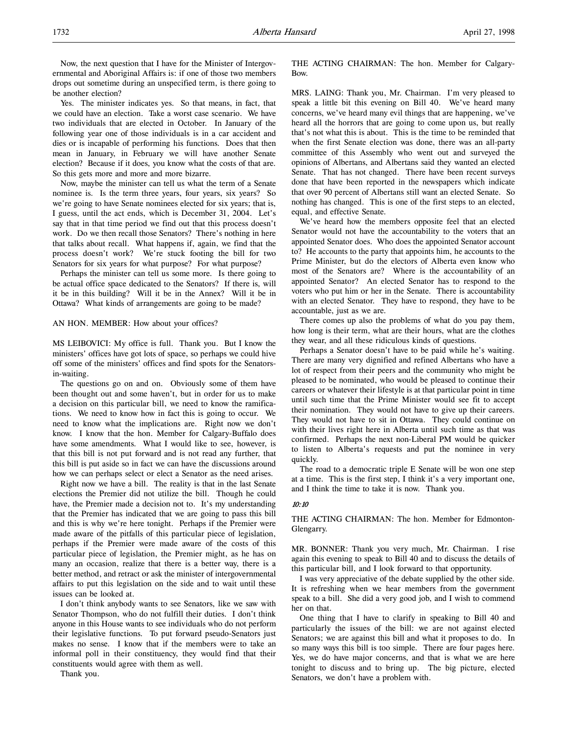Yes. The minister indicates yes. So that means, in fact, that we could have an election. Take a worst case scenario. We have two individuals that are elected in October. In January of the following year one of those individuals is in a car accident and dies or is incapable of performing his functions. Does that then mean in January, in February we will have another Senate election? Because if it does, you know what the costs of that are. So this gets more and more and more bizarre.

Now, maybe the minister can tell us what the term of a Senate nominee is. Is the term three years, four years, six years? So we're going to have Senate nominees elected for six years; that is, I guess, until the act ends, which is December 31, 2004. Let's say that in that time period we find out that this process doesn't work. Do we then recall those Senators? There's nothing in here that talks about recall. What happens if, again, we find that the process doesn't work? We're stuck footing the bill for two Senators for six years for what purpose? For what purpose?

Perhaps the minister can tell us some more. Is there going to be actual office space dedicated to the Senators? If there is, will it be in this building? Will it be in the Annex? Will it be in Ottawa? What kinds of arrangements are going to be made?

#### AN HON. MEMBER: How about your offices?

MS LEIBOVICI: My office is full. Thank you. But I know the ministers' offices have got lots of space, so perhaps we could hive off some of the ministers' offices and find spots for the Senatorsin-waiting.

The questions go on and on. Obviously some of them have been thought out and some haven't, but in order for us to make a decision on this particular bill, we need to know the ramifications. We need to know how in fact this is going to occur. We need to know what the implications are. Right now we don't know. I know that the hon. Member for Calgary-Buffalo does have some amendments. What I would like to see, however, is that this bill is not put forward and is not read any further, that this bill is put aside so in fact we can have the discussions around how we can perhaps select or elect a Senator as the need arises.

Right now we have a bill. The reality is that in the last Senate elections the Premier did not utilize the bill. Though he could have, the Premier made a decision not to. It's my understanding that the Premier has indicated that we are going to pass this bill and this is why we're here tonight. Perhaps if the Premier were made aware of the pitfalls of this particular piece of legislation, perhaps if the Premier were made aware of the costs of this particular piece of legislation, the Premier might, as he has on many an occasion, realize that there is a better way, there is a better method, and retract or ask the minister of intergovernmental affairs to put this legislation on the side and to wait until these issues can be looked at.

I don't think anybody wants to see Senators, like we saw with Senator Thompson, who do not fulfill their duties. I don't think anyone in this House wants to see individuals who do not perform their legislative functions. To put forward pseudo-Senators just makes no sense. I know that if the members were to take an informal poll in their constituency, they would find that their constituents would agree with them as well.

Thank you.

THE ACTING CHAIRMAN: The hon. Member for Calgary-Bow.

MRS. LAING: Thank you, Mr. Chairman. I'm very pleased to speak a little bit this evening on Bill 40. We've heard many concerns, we've heard many evil things that are happening, we've heard all the horrors that are going to come upon us, but really that's not what this is about. This is the time to be reminded that when the first Senate election was done, there was an all-party committee of this Assembly who went out and surveyed the opinions of Albertans, and Albertans said they wanted an elected Senate. That has not changed. There have been recent surveys done that have been reported in the newspapers which indicate that over 90 percent of Albertans still want an elected Senate. So nothing has changed. This is one of the first steps to an elected, equal, and effective Senate.

We've heard how the members opposite feel that an elected Senator would not have the accountability to the voters that an appointed Senator does. Who does the appointed Senator account to? He accounts to the party that appoints him, he accounts to the Prime Minister, but do the electors of Alberta even know who most of the Senators are? Where is the accountability of an appointed Senator? An elected Senator has to respond to the voters who put him or her in the Senate. There is accountability with an elected Senator. They have to respond, they have to be accountable, just as we are.

There comes up also the problems of what do you pay them, how long is their term, what are their hours, what are the clothes they wear, and all these ridiculous kinds of questions.

Perhaps a Senator doesn't have to be paid while he's waiting. There are many very dignified and refined Albertans who have a lot of respect from their peers and the community who might be pleased to be nominated, who would be pleased to continue their careers or whatever their lifestyle is at that particular point in time until such time that the Prime Minister would see fit to accept their nomination. They would not have to give up their careers. They would not have to sit in Ottawa. They could continue on with their lives right here in Alberta until such time as that was confirmed. Perhaps the next non-Liberal PM would be quicker to listen to Alberta's requests and put the nominee in very quickly.

The road to a democratic triple E Senate will be won one step at a time. This is the first step, I think it's a very important one, and I think the time to take it is now. Thank you.

### 10:10

THE ACTING CHAIRMAN: The hon. Member for Edmonton-Glengarry.

MR. BONNER: Thank you very much, Mr. Chairman. I rise again this evening to speak to Bill 40 and to discuss the details of this particular bill, and I look forward to that opportunity.

I was very appreciative of the debate supplied by the other side. It is refreshing when we hear members from the government speak to a bill. She did a very good job, and I wish to commend her on that.

One thing that I have to clarify in speaking to Bill 40 and particularly the issues of the bill: we are not against elected Senators; we are against this bill and what it proposes to do. In so many ways this bill is too simple. There are four pages here. Yes, we do have major concerns, and that is what we are here tonight to discuss and to bring up. The big picture, elected Senators, we don't have a problem with.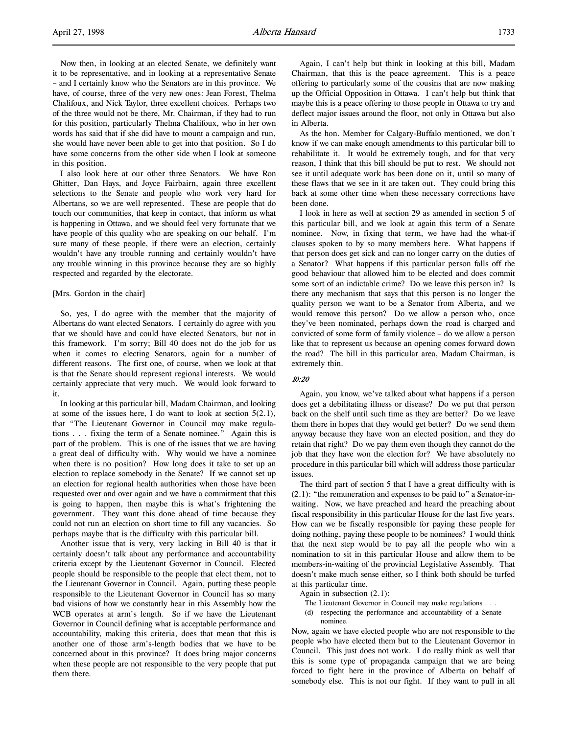Now then, in looking at an elected Senate, we definitely want it to be representative, and in looking at a representative Senate – and I certainly know who the Senators are in this province. We have, of course, three of the very new ones: Jean Forest, Thelma Chalifoux, and Nick Taylor, three excellent choices. Perhaps two of the three would not be there, Mr. Chairman, if they had to run for this position, particularly Thelma Chalifoux, who in her own words has said that if she did have to mount a campaign and run, she would have never been able to get into that position. So I do have some concerns from the other side when I look at someone in this position.

I also look here at our other three Senators. We have Ron Ghitter, Dan Hays, and Joyce Fairbairn, again three excellent selections to the Senate and people who work very hard for Albertans, so we are well represented. These are people that do touch our communities, that keep in contact, that inform us what is happening in Ottawa, and we should feel very fortunate that we have people of this quality who are speaking on our behalf. I'm sure many of these people, if there were an election, certainly wouldn't have any trouble running and certainly wouldn't have any trouble winning in this province because they are so highly respected and regarded by the electorate.

### [Mrs. Gordon in the chair]

So, yes, I do agree with the member that the majority of Albertans do want elected Senators. I certainly do agree with you that we should have and could have elected Senators, but not in this framework. I'm sorry; Bill 40 does not do the job for us when it comes to electing Senators, again for a number of different reasons. The first one, of course, when we look at that is that the Senate should represent regional interests. We would certainly appreciate that very much. We would look forward to it.

In looking at this particular bill, Madam Chairman, and looking at some of the issues here, I do want to look at section  $5(2.1)$ , that "The Lieutenant Governor in Council may make regulations . . . fixing the term of a Senate nominee." Again this is part of the problem. This is one of the issues that we are having a great deal of difficulty with. Why would we have a nominee when there is no position? How long does it take to set up an election to replace somebody in the Senate? If we cannot set up an election for regional health authorities when those have been requested over and over again and we have a commitment that this is going to happen, then maybe this is what's frightening the government. They want this done ahead of time because they could not run an election on short time to fill any vacancies. So perhaps maybe that is the difficulty with this particular bill.

Another issue that is very, very lacking in Bill 40 is that it certainly doesn't talk about any performance and accountability criteria except by the Lieutenant Governor in Council. Elected people should be responsible to the people that elect them, not to the Lieutenant Governor in Council. Again, putting these people responsible to the Lieutenant Governor in Council has so many bad visions of how we constantly hear in this Assembly how the WCB operates at arm's length. So if we have the Lieutenant Governor in Council defining what is acceptable performance and accountability, making this criteria, does that mean that this is another one of those arm's-length bodies that we have to be concerned about in this province? It does bring major concerns when these people are not responsible to the very people that put them there.

Again, I can't help but think in looking at this bill, Madam Chairman, that this is the peace agreement. This is a peace offering to particularly some of the cousins that are now making up the Official Opposition in Ottawa. I can't help but think that maybe this is a peace offering to those people in Ottawa to try and deflect major issues around the floor, not only in Ottawa but also in Alberta.

As the hon. Member for Calgary-Buffalo mentioned, we don't know if we can make enough amendments to this particular bill to rehabilitate it. It would be extremely tough, and for that very reason, I think that this bill should be put to rest. We should not see it until adequate work has been done on it, until so many of these flaws that we see in it are taken out. They could bring this back at some other time when these necessary corrections have been done.

I look in here as well at section 29 as amended in section 5 of this particular bill, and we look at again this term of a Senate nominee. Now, in fixing that term, we have had the what-if clauses spoken to by so many members here. What happens if that person does get sick and can no longer carry on the duties of a Senator? What happens if this particular person falls off the good behaviour that allowed him to be elected and does commit some sort of an indictable crime? Do we leave this person in? Is there any mechanism that says that this person is no longer the quality person we want to be a Senator from Alberta, and we would remove this person? Do we allow a person who, once they've been nominated, perhaps down the road is charged and convicted of some form of family violence – do we allow a person like that to represent us because an opening comes forward down the road? The bill in this particular area, Madam Chairman, is extremely thin.

#### 10:20

Again, you know, we've talked about what happens if a person does get a debilitating illness or disease? Do we put that person back on the shelf until such time as they are better? Do we leave them there in hopes that they would get better? Do we send them anyway because they have won an elected position, and they do retain that right? Do we pay them even though they cannot do the job that they have won the election for? We have absolutely no procedure in this particular bill which will address those particular issues.

The third part of section 5 that I have a great difficulty with is (2.1): "the remuneration and expenses to be paid to" a Senator-inwaiting. Now, we have preached and heard the preaching about fiscal responsibility in this particular House for the last five years. How can we be fiscally responsible for paying these people for doing nothing, paying these people to be nominees? I would think that the next step would be to pay all the people who win a nomination to sit in this particular House and allow them to be members-in-waiting of the provincial Legislative Assembly. That doesn't make much sense either, so I think both should be turfed at this particular time.

Again in subsection (2.1):

- The Lieutenant Governor in Council may make regulations . . .
- (d) respecting the performance and accountability of a Senate nominee.

Now, again we have elected people who are not responsible to the people who have elected them but to the Lieutenant Governor in Council. This just does not work. I do really think as well that this is some type of propaganda campaign that we are being forced to fight here in the province of Alberta on behalf of somebody else. This is not our fight. If they want to pull in all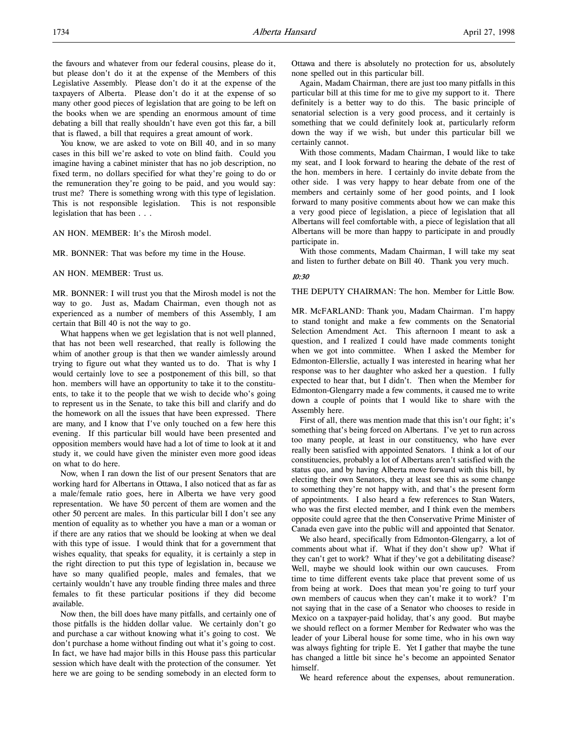You know, we are asked to vote on Bill 40, and in so many cases in this bill we're asked to vote on blind faith. Could you imagine having a cabinet minister that has no job description, no fixed term, no dollars specified for what they're going to do or the remuneration they're going to be paid, and you would say: trust me? There is something wrong with this type of legislation. This is not responsible legislation. This is not responsible legislation that has been . . .

AN HON. MEMBER: It's the Mirosh model.

MR. BONNER: That was before my time in the House.

AN HON. MEMBER: Trust us.

MR. BONNER: I will trust you that the Mirosh model is not the way to go. Just as, Madam Chairman, even though not as experienced as a number of members of this Assembly, I am certain that Bill 40 is not the way to go.

What happens when we get legislation that is not well planned, that has not been well researched, that really is following the whim of another group is that then we wander aimlessly around trying to figure out what they wanted us to do. That is why I would certainly love to see a postponement of this bill, so that hon. members will have an opportunity to take it to the constituents, to take it to the people that we wish to decide who's going to represent us in the Senate, to take this bill and clarify and do the homework on all the issues that have been expressed. There are many, and I know that I've only touched on a few here this evening. If this particular bill would have been presented and opposition members would have had a lot of time to look at it and study it, we could have given the minister even more good ideas on what to do here.

Now, when I ran down the list of our present Senators that are working hard for Albertans in Ottawa, I also noticed that as far as a male/female ratio goes, here in Alberta we have very good representation. We have 50 percent of them are women and the other 50 percent are males. In this particular bill I don't see any mention of equality as to whether you have a man or a woman or if there are any ratios that we should be looking at when we deal with this type of issue. I would think that for a government that wishes equality, that speaks for equality, it is certainly a step in the right direction to put this type of legislation in, because we have so many qualified people, males and females, that we certainly wouldn't have any trouble finding three males and three females to fit these particular positions if they did become available.

Now then, the bill does have many pitfalls, and certainly one of those pitfalls is the hidden dollar value. We certainly don't go and purchase a car without knowing what it's going to cost. We don't purchase a home without finding out what it's going to cost. In fact, we have had major bills in this House pass this particular session which have dealt with the protection of the consumer. Yet here we are going to be sending somebody in an elected form to

Ottawa and there is absolutely no protection for us, absolutely none spelled out in this particular bill.

Again, Madam Chairman, there are just too many pitfalls in this particular bill at this time for me to give my support to it. There definitely is a better way to do this. The basic principle of senatorial selection is a very good process, and it certainly is something that we could definitely look at, particularly reform down the way if we wish, but under this particular bill we certainly cannot.

With those comments, Madam Chairman, I would like to take my seat, and I look forward to hearing the debate of the rest of the hon. members in here. I certainly do invite debate from the other side. I was very happy to hear debate from one of the members and certainly some of her good points, and I look forward to many positive comments about how we can make this a very good piece of legislation, a piece of legislation that all Albertans will feel comfortable with, a piece of legislation that all Albertans will be more than happy to participate in and proudly participate in.

With those comments, Madam Chairman, I will take my seat and listen to further debate on Bill 40. Thank you very much.

#### 10:30

THE DEPUTY CHAIRMAN: The hon. Member for Little Bow.

MR. McFARLAND: Thank you, Madam Chairman. I'm happy to stand tonight and make a few comments on the Senatorial Selection Amendment Act. This afternoon I meant to ask a question, and I realized I could have made comments tonight when we got into committee. When I asked the Member for Edmonton-Ellerslie, actually I was interested in hearing what her response was to her daughter who asked her a question. I fully expected to hear that, but I didn't. Then when the Member for Edmonton-Glengarry made a few comments, it caused me to write down a couple of points that I would like to share with the Assembly here.

First of all, there was mention made that this isn't our fight; it's something that's being forced on Albertans. I've yet to run across too many people, at least in our constituency, who have ever really been satisfied with appointed Senators. I think a lot of our constituencies, probably a lot of Albertans aren't satisfied with the status quo, and by having Alberta move forward with this bill, by electing their own Senators, they at least see this as some change to something they're not happy with, and that's the present form of appointments. I also heard a few references to Stan Waters, who was the first elected member, and I think even the members opposite could agree that the then Conservative Prime Minister of Canada even gave into the public will and appointed that Senator.

We also heard, specifically from Edmonton-Glengarry, a lot of comments about what if. What if they don't show up? What if they can't get to work? What if they've got a debilitating disease? Well, maybe we should look within our own caucuses. From time to time different events take place that prevent some of us from being at work. Does that mean you're going to turf your own members of caucus when they can't make it to work? I'm not saying that in the case of a Senator who chooses to reside in Mexico on a taxpayer-paid holiday, that's any good. But maybe we should reflect on a former Member for Redwater who was the leader of your Liberal house for some time, who in his own way was always fighting for triple E. Yet I gather that maybe the tune has changed a little bit since he's become an appointed Senator himself.

We heard reference about the expenses, about remuneration.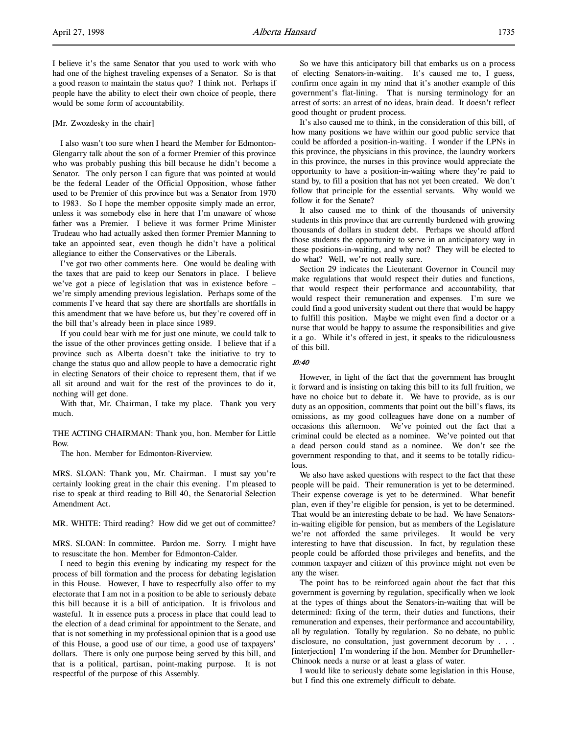I believe it's the same Senator that you used to work with who had one of the highest traveling expenses of a Senator. So is that a good reason to maintain the status quo? I think not. Perhaps if people have the ability to elect their own choice of people, there would be some form of accountability.

#### [Mr. Zwozdesky in the chair]

I also wasn't too sure when I heard the Member for Edmonton-Glengarry talk about the son of a former Premier of this province who was probably pushing this bill because he didn't become a Senator. The only person I can figure that was pointed at would be the federal Leader of the Official Opposition, whose father used to be Premier of this province but was a Senator from 1970 to 1983. So I hope the member opposite simply made an error, unless it was somebody else in here that I'm unaware of whose father was a Premier. I believe it was former Prime Minister Trudeau who had actually asked then former Premier Manning to take an appointed seat, even though he didn't have a political allegiance to either the Conservatives or the Liberals.

I've got two other comments here. One would be dealing with the taxes that are paid to keep our Senators in place. I believe we've got a piece of legislation that was in existence before – we're simply amending previous legislation. Perhaps some of the comments I've heard that say there are shortfalls are shortfalls in this amendment that we have before us, but they're covered off in the bill that's already been in place since 1989.

If you could bear with me for just one minute, we could talk to the issue of the other provinces getting onside. I believe that if a province such as Alberta doesn't take the initiative to try to change the status quo and allow people to have a democratic right in electing Senators of their choice to represent them, that if we all sit around and wait for the rest of the provinces to do it, nothing will get done.

With that, Mr. Chairman, I take my place. Thank you very much.

THE ACTING CHAIRMAN: Thank you, hon. Member for Little Bow.

The hon. Member for Edmonton-Riverview.

MRS. SLOAN: Thank you, Mr. Chairman. I must say you're certainly looking great in the chair this evening. I'm pleased to rise to speak at third reading to Bill 40, the Senatorial Selection Amendment Act.

MR. WHITE: Third reading? How did we get out of committee?

MRS. SLOAN: In committee. Pardon me. Sorry. I might have to resuscitate the hon. Member for Edmonton-Calder.

I need to begin this evening by indicating my respect for the process of bill formation and the process for debating legislation in this House. However, I have to respectfully also offer to my electorate that I am not in a position to be able to seriously debate this bill because it is a bill of anticipation. It is frivolous and wasteful. It in essence puts a process in place that could lead to the election of a dead criminal for appointment to the Senate, and that is not something in my professional opinion that is a good use of this House, a good use of our time, a good use of taxpayers' dollars. There is only one purpose being served by this bill, and that is a political, partisan, point-making purpose. It is not respectful of the purpose of this Assembly.

So we have this anticipatory bill that embarks us on a process of electing Senators-in-waiting. It's caused me to, I guess, confirm once again in my mind that it's another example of this government's flat-lining. That is nursing terminology for an arrest of sorts: an arrest of no ideas, brain dead. It doesn't reflect good thought or prudent process.

It's also caused me to think, in the consideration of this bill, of how many positions we have within our good public service that could be afforded a position-in-waiting. I wonder if the LPNs in this province, the physicians in this province, the laundry workers in this province, the nurses in this province would appreciate the opportunity to have a position-in-waiting where they're paid to stand by, to fill a position that has not yet been created. We don't follow that principle for the essential servants. Why would we follow it for the Senate?

It also caused me to think of the thousands of university students in this province that are currently burdened with growing thousands of dollars in student debt. Perhaps we should afford those students the opportunity to serve in an anticipatory way in these positions-in-waiting, and why not? They will be elected to do what? Well, we're not really sure.

Section 29 indicates the Lieutenant Governor in Council may make regulations that would respect their duties and functions, that would respect their performance and accountability, that would respect their remuneration and expenses. I'm sure we could find a good university student out there that would be happy to fulfill this position. Maybe we might even find a doctor or a nurse that would be happy to assume the responsibilities and give it a go. While it's offered in jest, it speaks to the ridiculousness of this bill.

### 10:40

However, in light of the fact that the government has brought it forward and is insisting on taking this bill to its full fruition, we have no choice but to debate it. We have to provide, as is our duty as an opposition, comments that point out the bill's flaws, its omissions, as my good colleagues have done on a number of occasions this afternoon. We've pointed out the fact that a criminal could be elected as a nominee. We've pointed out that a dead person could stand as a nominee. We don't see the government responding to that, and it seems to be totally ridiculous.

We also have asked questions with respect to the fact that these people will be paid. Their remuneration is yet to be determined. Their expense coverage is yet to be determined. What benefit plan, even if they're eligible for pension, is yet to be determined. That would be an interesting debate to be had. We have Senatorsin-waiting eligible for pension, but as members of the Legislature we're not afforded the same privileges. It would be very interesting to have that discussion. In fact, by regulation these people could be afforded those privileges and benefits, and the common taxpayer and citizen of this province might not even be any the wiser.

The point has to be reinforced again about the fact that this government is governing by regulation, specifically when we look at the types of things about the Senators-in-waiting that will be determined: fixing of the term, their duties and functions, their remuneration and expenses, their performance and accountability, all by regulation. Totally by regulation. So no debate, no public disclosure, no consultation, just government decorum by . . . [interjection] I'm wondering if the hon. Member for Drumheller-Chinook needs a nurse or at least a glass of water.

I would like to seriously debate some legislation in this House, but I find this one extremely difficult to debate.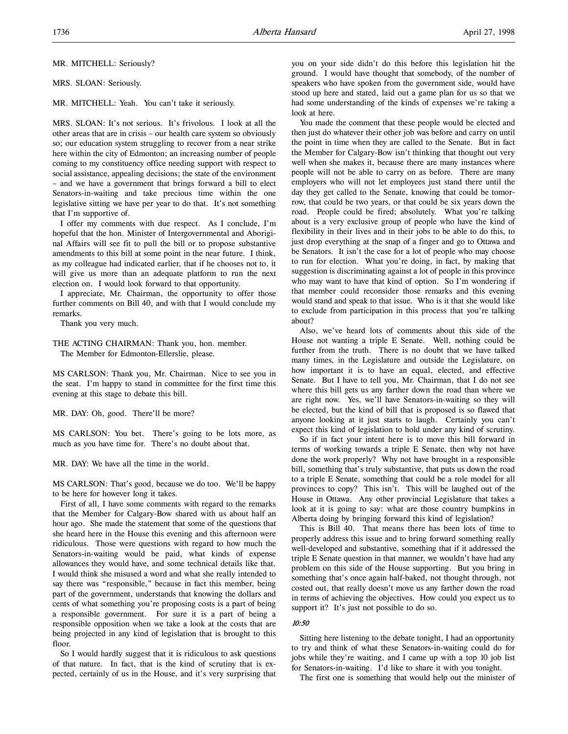MR. MITCHELL: Seriously?

MRS. SLOAN: Seriously.

MR. MITCHELL: Yeah. You can't take it seriously.

MRS. SLOAN: It's not serious. It's frivolous. I look at all the other areas that are in crisis – our health care system so obviously so; our education system struggling to recover from a near strike here within the city of Edmonton; an increasing number of people coming to my constituency office needing support with respect to social assistance, appealing decisions; the state of the environment – and we have a government that brings forward a bill to elect Senators-in-waiting and take precious time within the one legislative sitting we have per year to do that. It's not something that I'm supportive of.

I offer my comments with due respect. As I conclude, I'm hopeful that the hon. Minister of Intergovernmental and Aboriginal Affairs will see fit to pull the bill or to propose substantive amendments to this bill at some point in the near future. I think, as my colleague had indicated earlier, that if he chooses not to, it will give us more than an adequate platform to run the next election on. I would look forward to that opportunity.

I appreciate, Mr. Chairman, the opportunity to offer those further comments on Bill 40, and with that I would conclude my remarks.

Thank you very much.

THE ACTING CHAIRMAN: Thank you, hon. member. The Member for Edmonton-Ellerslie, please.

MS CARLSON: Thank you, Mr. Chairman. Nice to see you in the seat. I'm happy to stand in committee for the first time this evening at this stage to debate this bill.

MR. DAY: Oh, good. There'll be more?

MS CARLSON: You bet. There's going to be lots more, as much as you have time for. There's no doubt about that.

MR. DAY: We have all the time in the world.

MS CARLSON: That's good, because we do too. We'll be happy to be here for however long it takes.

First of all, I have some comments with regard to the remarks that the Member for Calgary-Bow shared with us about half an hour ago. She made the statement that some of the questions that she heard here in the House this evening and this afternoon were ridiculous. Those were questions with regard to how much the Senators-in-waiting would be paid, what kinds of expense allowances they would have, and some technical details like that. I would think she misused a word and what she really intended to say there was "responsible," because in fact this member, being part of the government, understands that knowing the dollars and cents of what something you're proposing costs is a part of being a responsible government. For sure it is a part of being a responsible opposition when we take a look at the costs that are being projected in any kind of legislation that is brought to this floor.

So I would hardly suggest that it is ridiculous to ask questions of that nature. In fact, that is the kind of scrutiny that is expected, certainly of us in the House, and it's very surprising that

you on your side didn't do this before this legislation hit the ground. I would have thought that somebody, of the number of speakers who have spoken from the government side, would have stood up here and stated, laid out a game plan for us so that we had some understanding of the kinds of expenses we're taking a look at here.

You made the comment that these people would be elected and then just do whatever their other job was before and carry on until the point in time when they are called to the Senate. But in fact the Member for Calgary-Bow isn't thinking that thought out very well when she makes it, because there are many instances where people will not be able to carry on as before. There are many employers who will not let employees just stand there until the day they get called to the Senate, knowing that could be tomorrow, that could be two years, or that could be six years down the road. People could be fired; absolutely. What you're talking about is a very exclusive group of people who have the kind of flexibility in their lives and in their jobs to be able to do this, to just drop everything at the snap of a finger and go to Ottawa and be Senators. It isn't the case for a lot of people who may choose to run for election. What you're doing, in fact, by making that suggestion is discriminating against a lot of people in this province who may want to have that kind of option. So I'm wondering if that member could reconsider those remarks and this evening would stand and speak to that issue. Who is it that she would like to exclude from participation in this process that you're talking about?

Also, we've heard lots of comments about this side of the House not wanting a triple E Senate. Well, nothing could be further from the truth. There is no doubt that we have talked many times, in the Legislature and outside the Legislature, on how important it is to have an equal, elected, and effective Senate. But I have to tell you, Mr. Chairman, that I do not see where this bill gets us any farther down the road than where we are right now. Yes, we'll have Senators-in-waiting so they will be elected, but the kind of bill that is proposed is so flawed that anyone looking at it just starts to laugh. Certainly you can't expect this kind of legislation to hold under any kind of scrutiny.

So if in fact your intent here is to move this bill forward in terms of working towards a triple E Senate, then why not have done the work properly? Why not have brought in a responsible bill, something that's truly substantive, that puts us down the road to a triple E Senate, something that could be a role model for all provinces to copy? This isn't. This will be laughed out of the House in Ottawa. Any other provincial Legislature that takes a look at it is going to say: what are those country bumpkins in Alberta doing by bringing forward this kind of legislation?

This is Bill 40. That means there has been lots of time to properly address this issue and to bring forward something really well-developed and substantive, something that if it addressed the triple E Senate question in that manner, we wouldn't have had any problem on this side of the House supporting. But you bring in something that's once again half-baked, not thought through, not costed out, that really doesn't move us any farther down the road in terms of achieving the objectives. How could you expect us to support it? It's just not possible to do so.

#### 10:50

Sitting here listening to the debate tonight, I had an opportunity to try and think of what these Senators-in-waiting could do for jobs while they're waiting, and I came up with a top 10 job list for Senators-in-waiting. I'd like to share it with you tonight.

The first one is something that would help out the minister of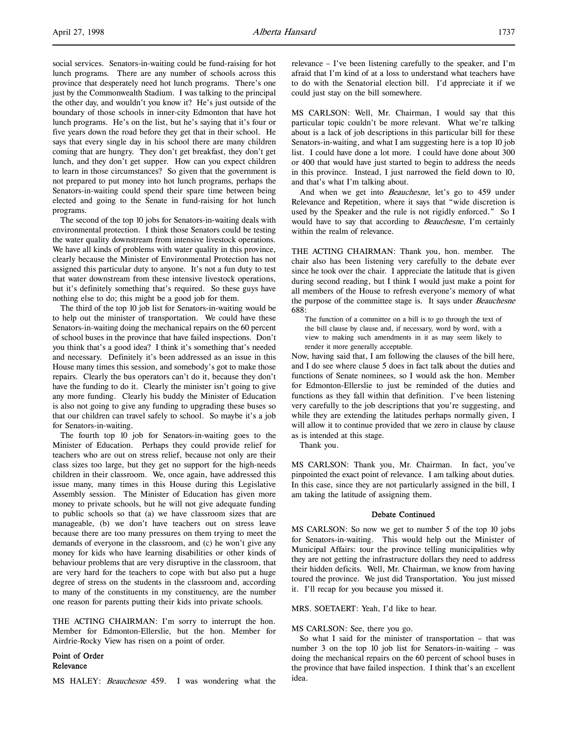social services. Senators-in-waiting could be fund-raising for hot lunch programs. There are any number of schools across this province that desperately need hot lunch programs. There's one just by the Commonwealth Stadium. I was talking to the principal the other day, and wouldn't you know it? He's just outside of the boundary of those schools in inner-city Edmonton that have hot lunch programs. He's on the list, but he's saying that it's four or five years down the road before they get that in their school. He says that every single day in his school there are many children coming that are hungry. They don't get breakfast, they don't get lunch, and they don't get supper. How can you expect children to learn in those circumstances? So given that the government is not prepared to put money into hot lunch programs, perhaps the Senators-in-waiting could spend their spare time between being elected and going to the Senate in fund-raising for hot lunch programs.

The second of the top 10 jobs for Senators-in-waiting deals with environmental protection. I think those Senators could be testing the water quality downstream from intensive livestock operations. We have all kinds of problems with water quality in this province, clearly because the Minister of Environmental Protection has not assigned this particular duty to anyone. It's not a fun duty to test that water downstream from these intensive livestock operations, but it's definitely something that's required. So these guys have nothing else to do; this might be a good job for them.

The third of the top 10 job list for Senators-in-waiting would be to help out the minister of transportation. We could have these Senators-in-waiting doing the mechanical repairs on the 60 percent of school buses in the province that have failed inspections. Don't you think that's a good idea? I think it's something that's needed and necessary. Definitely it's been addressed as an issue in this House many times this session, and somebody's got to make those repairs. Clearly the bus operators can't do it, because they don't have the funding to do it. Clearly the minister isn't going to give any more funding. Clearly his buddy the Minister of Education is also not going to give any funding to upgrading these buses so that our children can travel safely to school. So maybe it's a job for Senators-in-waiting.

The fourth top 10 job for Senators-in-waiting goes to the Minister of Education. Perhaps they could provide relief for teachers who are out on stress relief, because not only are their class sizes too large, but they get no support for the high-needs children in their classroom. We, once again, have addressed this issue many, many times in this House during this Legislative Assembly session. The Minister of Education has given more money to private schools, but he will not give adequate funding to public schools so that (a) we have classroom sizes that are manageable, (b) we don't have teachers out on stress leave because there are too many pressures on them trying to meet the demands of everyone in the classroom, and (c) he won't give any money for kids who have learning disabilities or other kinds of behaviour problems that are very disruptive in the classroom, that are very hard for the teachers to cope with but also put a huge degree of stress on the students in the classroom and, according to many of the constituents in my constituency, are the number one reason for parents putting their kids into private schools.

THE ACTING CHAIRMAN: I'm sorry to interrupt the hon. Member for Edmonton-Ellerslie, but the hon. Member for Airdrie-Rocky View has risen on a point of order.

Point of Order Relevance

MS HALEY: Beauchesne 459. I was wondering what the

relevance – I've been listening carefully to the speaker, and I'm afraid that I'm kind of at a loss to understand what teachers have to do with the Senatorial election bill. I'd appreciate it if we could just stay on the bill somewhere.

MS CARLSON: Well, Mr. Chairman, I would say that this particular topic couldn't be more relevant. What we're talking about is a lack of job descriptions in this particular bill for these Senators-in-waiting, and what I am suggesting here is a top 10 job list. I could have done a lot more. I could have done about 300 or 400 that would have just started to begin to address the needs in this province. Instead, I just narrowed the field down to 10, and that's what I'm talking about.

And when we get into Beauchesne, let's go to 459 under Relevance and Repetition, where it says that "wide discretion is used by the Speaker and the rule is not rigidly enforced." So I would have to say that according to *Beauchesne*, I'm certainly within the realm of relevance.

THE ACTING CHAIRMAN: Thank you, hon. member. The chair also has been listening very carefully to the debate ever since he took over the chair. I appreciate the latitude that is given during second reading, but I think I would just make a point for all members of the House to refresh everyone's memory of what the purpose of the committee stage is. It says under Beauchesne 688:

The function of a committee on a bill is to go through the text of the bill clause by clause and, if necessary, word by word, with a view to making such amendments in it as may seem likely to render it more generally acceptable.

Now, having said that, I am following the clauses of the bill here, and I do see where clause 5 does in fact talk about the duties and functions of Senate nominees, so I would ask the hon. Member for Edmonton-Ellerslie to just be reminded of the duties and functions as they fall within that definition. I've been listening very carefully to the job descriptions that you're suggesting, and while they are extending the latitudes perhaps normally given, I will allow it to continue provided that we zero in clause by clause as is intended at this stage.

Thank you.

MS CARLSON: Thank you, Mr. Chairman. In fact, you've pinpointed the exact point of relevance. I am talking about duties. In this case, since they are not particularly assigned in the bill, I am taking the latitude of assigning them.

### Debate Continued

MS CARLSON: So now we get to number 5 of the top 10 jobs for Senators-in-waiting. This would help out the Minister of Municipal Affairs: tour the province telling municipalities why they are not getting the infrastructure dollars they need to address their hidden deficits. Well, Mr. Chairman, we know from having toured the province. We just did Transportation. You just missed it. I'll recap for you because you missed it.

MRS. SOETAERT: Yeah, I'd like to hear.

#### MS CARLSON: See, there you go.

So what I said for the minister of transportation – that was number 3 on the top 10 job list for Senators-in-waiting – was doing the mechanical repairs on the 60 percent of school buses in the province that have failed inspection. I think that's an excellent idea.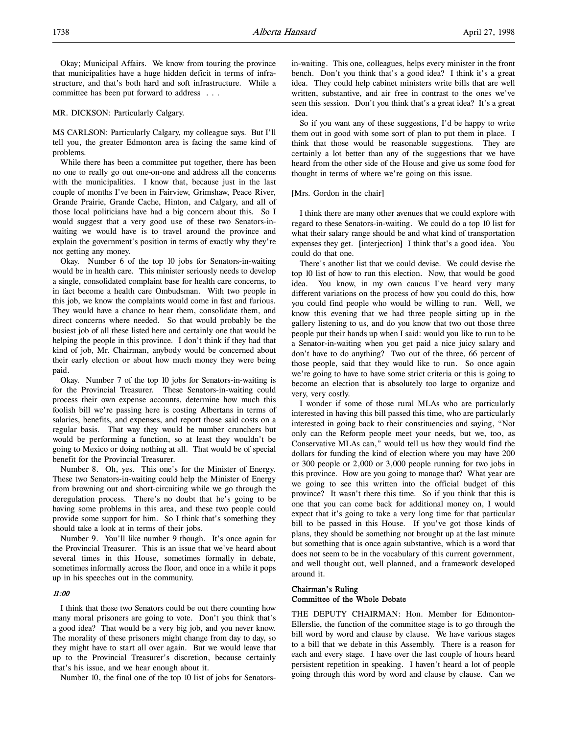Okay; Municipal Affairs. We know from touring the province that municipalities have a huge hidden deficit in terms of infrastructure, and that's both hard and soft infrastructure. While a committee has been put forward to address . . .

#### MR. DICKSON: Particularly Calgary.

MS CARLSON: Particularly Calgary, my colleague says. But I'll tell you, the greater Edmonton area is facing the same kind of problems.

While there has been a committee put together, there has been no one to really go out one-on-one and address all the concerns with the municipalities. I know that, because just in the last couple of months I've been in Fairview, Grimshaw, Peace River, Grande Prairie, Grande Cache, Hinton, and Calgary, and all of those local politicians have had a big concern about this. So I would suggest that a very good use of these two Senators-inwaiting we would have is to travel around the province and explain the government's position in terms of exactly why they're not getting any money.

Okay. Number 6 of the top 10 jobs for Senators-in-waiting would be in health care. This minister seriously needs to develop a single, consolidated complaint base for health care concerns, to in fact become a health care Ombudsman. With two people in this job, we know the complaints would come in fast and furious. They would have a chance to hear them, consolidate them, and direct concerns where needed. So that would probably be the busiest job of all these listed here and certainly one that would be helping the people in this province. I don't think if they had that kind of job, Mr. Chairman, anybody would be concerned about their early election or about how much money they were being paid.

Okay. Number 7 of the top 10 jobs for Senators-in-waiting is for the Provincial Treasurer. These Senators-in-waiting could process their own expense accounts, determine how much this foolish bill we're passing here is costing Albertans in terms of salaries, benefits, and expenses, and report those said costs on a regular basis. That way they would be number crunchers but would be performing a function, so at least they wouldn't be going to Mexico or doing nothing at all. That would be of special benefit for the Provincial Treasurer.

Number 8. Oh, yes. This one's for the Minister of Energy. These two Senators-in-waiting could help the Minister of Energy from browning out and short-circuiting while we go through the deregulation process. There's no doubt that he's going to be having some problems in this area, and these two people could provide some support for him. So I think that's something they should take a look at in terms of their jobs.

Number 9. You'll like number 9 though. It's once again for the Provincial Treasurer. This is an issue that we've heard about several times in this House, sometimes formally in debate, sometimes informally across the floor, and once in a while it pops up in his speeches out in the community.

#### 11:00

I think that these two Senators could be out there counting how many moral prisoners are going to vote. Don't you think that's a good idea? That would be a very big job, and you never know. The morality of these prisoners might change from day to day, so they might have to start all over again. But we would leave that up to the Provincial Treasurer's discretion, because certainly that's his issue, and we hear enough about it.

Number 10, the final one of the top 10 list of jobs for Senators-

in-waiting. This one, colleagues, helps every minister in the front bench. Don't you think that's a good idea? I think it's a great idea. They could help cabinet ministers write bills that are well written, substantive, and air free in contrast to the ones we've seen this session. Don't you think that's a great idea? It's a great idea.

So if you want any of these suggestions, I'd be happy to write them out in good with some sort of plan to put them in place. I think that those would be reasonable suggestions. They are certainly a lot better than any of the suggestions that we have heard from the other side of the House and give us some food for thought in terms of where we're going on this issue.

#### [Mrs. Gordon in the chair]

I think there are many other avenues that we could explore with regard to these Senators-in-waiting. We could do a top 10 list for what their salary range should be and what kind of transportation expenses they get. [interjection] I think that's a good idea. You could do that one.

There's another list that we could devise. We could devise the top 10 list of how to run this election. Now, that would be good idea. You know, in my own caucus I've heard very many different variations on the process of how you could do this, how you could find people who would be willing to run. Well, we know this evening that we had three people sitting up in the gallery listening to us, and do you know that two out those three people put their hands up when I said: would you like to run to be a Senator-in-waiting when you get paid a nice juicy salary and don't have to do anything? Two out of the three, 66 percent of those people, said that they would like to run. So once again we're going to have to have some strict criteria or this is going to become an election that is absolutely too large to organize and very, very costly.

I wonder if some of those rural MLAs who are particularly interested in having this bill passed this time, who are particularly interested in going back to their constituencies and saying, "Not only can the Reform people meet your needs, but we, too, as Conservative MLAs can," would tell us how they would find the dollars for funding the kind of election where you may have 200 or 300 people or 2,000 or 3,000 people running for two jobs in this province. How are you going to manage that? What year are we going to see this written into the official budget of this province? It wasn't there this time. So if you think that this is one that you can come back for additional money on, I would expect that it's going to take a very long time for that particular bill to be passed in this House. If you've got those kinds of plans, they should be something not brought up at the last minute but something that is once again substantive, which is a word that does not seem to be in the vocabulary of this current government, and well thought out, well planned, and a framework developed around it.

### Chairman's Ruling Committee of the Whole Debate

THE DEPUTY CHAIRMAN: Hon. Member for Edmonton-Ellerslie, the function of the committee stage is to go through the bill word by word and clause by clause. We have various stages to a bill that we debate in this Assembly. There is a reason for each and every stage. I have over the last couple of hours heard persistent repetition in speaking. I haven't heard a lot of people going through this word by word and clause by clause. Can we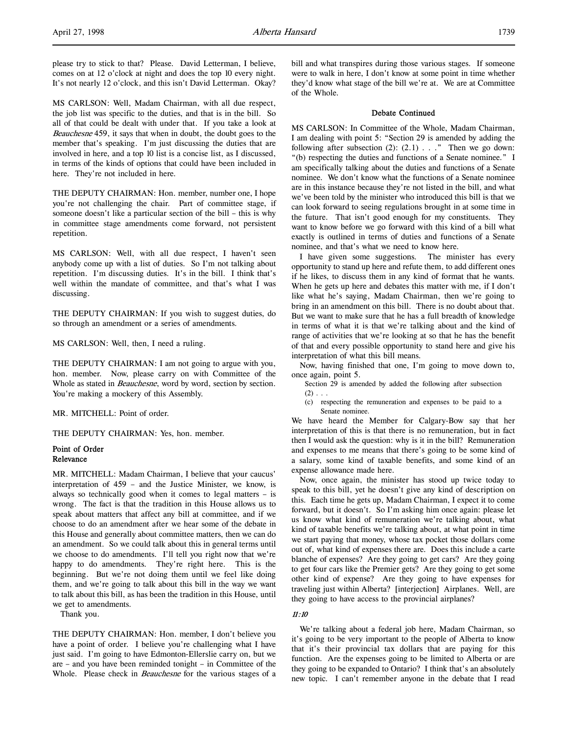MS CARLSON: Well, Madam Chairman, with all due respect, the job list was specific to the duties, and that is in the bill. So all of that could be dealt with under that. If you take a look at Beauchesne 459, it says that when in doubt, the doubt goes to the member that's speaking. I'm just discussing the duties that are involved in here, and a top 10 list is a concise list, as I discussed, in terms of the kinds of options that could have been included in here. They're not included in here.

THE DEPUTY CHAIRMAN: Hon. member, number one, I hope you're not challenging the chair. Part of committee stage, if someone doesn't like a particular section of the bill – this is why in committee stage amendments come forward, not persistent repetition.

MS CARLSON: Well, with all due respect, I haven't seen anybody come up with a list of duties. So I'm not talking about repetition. I'm discussing duties. It's in the bill. I think that's well within the mandate of committee, and that's what I was discussing.

THE DEPUTY CHAIRMAN: If you wish to suggest duties, do so through an amendment or a series of amendments.

MS CARLSON: Well, then, I need a ruling.

THE DEPUTY CHAIRMAN: I am not going to argue with you, hon. member. Now, please carry on with Committee of the Whole as stated in *Beauchesne*, word by word, section by section. You're making a mockery of this Assembly.

MR. MITCHELL: Point of order.

THE DEPUTY CHAIRMAN: Yes, hon. member.

# Point of Order Relevance

MR. MITCHELL: Madam Chairman, I believe that your caucus' interpretation of 459 – and the Justice Minister, we know, is always so technically good when it comes to legal matters – is wrong. The fact is that the tradition in this House allows us to speak about matters that affect any bill at committee, and if we choose to do an amendment after we hear some of the debate in this House and generally about committee matters, then we can do an amendment. So we could talk about this in general terms until we choose to do amendments. I'll tell you right now that we're happy to do amendments. They're right here. This is the beginning. But we're not doing them until we feel like doing them, and we're going to talk about this bill in the way we want to talk about this bill, as has been the tradition in this House, until we get to amendments.

Thank you.

THE DEPUTY CHAIRMAN: Hon. member, I don't believe you have a point of order. I believe you're challenging what I have just said. I'm going to have Edmonton-Ellerslie carry on, but we are – and you have been reminded tonight – in Committee of the Whole. Please check in *Beauchesne* for the various stages of a

bill and what transpires during those various stages. If someone were to walk in here, I don't know at some point in time whether they'd know what stage of the bill we're at. We are at Committee of the Whole.

### Debate Continued

MS CARLSON: In Committee of the Whole, Madam Chairman, I am dealing with point 5: "Section 29 is amended by adding the following after subsection  $(2)$ :  $(2.1)$  . . ." Then we go down: "(b) respecting the duties and functions of a Senate nominee." I am specifically talking about the duties and functions of a Senate nominee. We don't know what the functions of a Senate nominee are in this instance because they're not listed in the bill, and what we've been told by the minister who introduced this bill is that we can look forward to seeing regulations brought in at some time in the future. That isn't good enough for my constituents. They want to know before we go forward with this kind of a bill what exactly is outlined in terms of duties and functions of a Senate nominee, and that's what we need to know here.

I have given some suggestions. The minister has every opportunity to stand up here and refute them, to add different ones if he likes, to discuss them in any kind of format that he wants. When he gets up here and debates this matter with me, if I don't like what he's saying, Madam Chairman, then we're going to bring in an amendment on this bill. There is no doubt about that. But we want to make sure that he has a full breadth of knowledge in terms of what it is that we're talking about and the kind of range of activities that we're looking at so that he has the benefit of that and every possible opportunity to stand here and give his interpretation of what this bill means.

Now, having finished that one, I'm going to move down to, once again, point 5.

- Section 29 is amended by added the following after subsection  $(2) \ldots$
- (c) respecting the remuneration and expenses to be paid to a Senate nominee.

We have heard the Member for Calgary-Bow say that her interpretation of this is that there is no remuneration, but in fact then I would ask the question: why is it in the bill? Remuneration and expenses to me means that there's going to be some kind of a salary, some kind of taxable benefits, and some kind of an expense allowance made here.

Now, once again, the minister has stood up twice today to speak to this bill, yet he doesn't give any kind of description on this. Each time he gets up, Madam Chairman, I expect it to come forward, but it doesn't. So I'm asking him once again: please let us know what kind of remuneration we're talking about, what kind of taxable benefits we're talking about, at what point in time we start paying that money, whose tax pocket those dollars come out of, what kind of expenses there are. Does this include a carte blanche of expenses? Are they going to get cars? Are they going to get four cars like the Premier gets? Are they going to get some other kind of expense? Are they going to have expenses for traveling just within Alberta? [interjection] Airplanes. Well, are they going to have access to the provincial airplanes?

#### 11:10

We're talking about a federal job here, Madam Chairman, so it's going to be very important to the people of Alberta to know that it's their provincial tax dollars that are paying for this function. Are the expenses going to be limited to Alberta or are they going to be expanded to Ontario? I think that's an absolutely new topic. I can't remember anyone in the debate that I read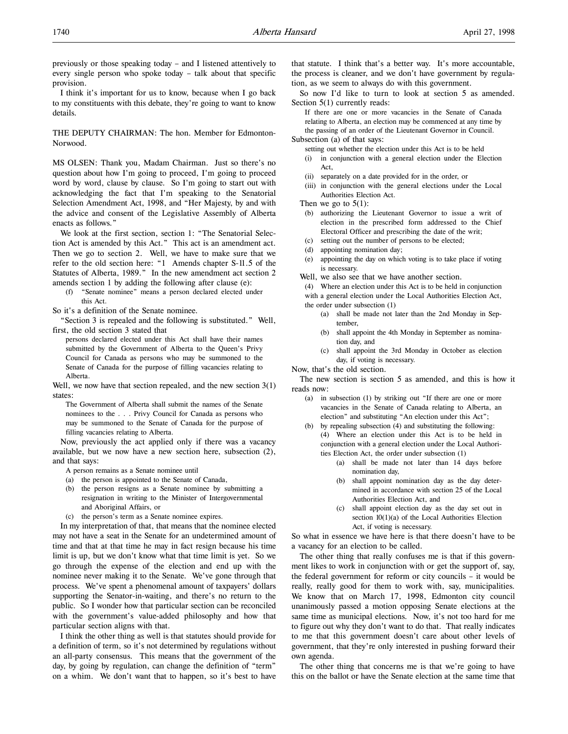previously or those speaking today – and I listened attentively to every single person who spoke today – talk about that specific provision.

I think it's important for us to know, because when I go back to my constituents with this debate, they're going to want to know details.

THE DEPUTY CHAIRMAN: The hon. Member for Edmonton-Norwood.

MS OLSEN: Thank you, Madam Chairman. Just so there's no question about how I'm going to proceed, I'm going to proceed word by word, clause by clause. So I'm going to start out with acknowledging the fact that I'm speaking to the Senatorial Selection Amendment Act, 1998, and "Her Majesty, by and with the advice and consent of the Legislative Assembly of Alberta enacts as follows."

We look at the first section, section 1: "The Senatorial Selection Act is amended by this Act." This act is an amendment act. Then we go to section 2. Well, we have to make sure that we refer to the old section here: "1 Amends chapter S-11.5 of the Statutes of Alberta, 1989." In the new amendment act section 2 amends section 1 by adding the following after clause (e):

(f) "Senate nominee" means a person declared elected under this Act.

So it's a definition of the Senate nominee.

"Section 3 is repealed and the following is substituted." Well, first, the old section 3 stated that

persons declared elected under this Act shall have their names submitted by the Government of Alberta to the Queen's Privy Council for Canada as persons who may be summoned to the Senate of Canada for the purpose of filling vacancies relating to Alberta.

Well, we now have that section repealed, and the new section  $3(1)$ states:

The Government of Alberta shall submit the names of the Senate nominees to the . . . Privy Council for Canada as persons who may be summoned to the Senate of Canada for the purpose of filling vacancies relating to Alberta.

Now, previously the act applied only if there was a vacancy available, but we now have a new section here, subsection (2), and that says:

- A person remains as a Senate nominee until
- (a) the person is appointed to the Senate of Canada,
- (b) the person resigns as a Senate nominee by submitting a resignation in writing to the Minister of Intergovernmental and Aboriginal Affairs, or
- (c) the person's term as a Senate nominee expires.

In my interpretation of that, that means that the nominee elected may not have a seat in the Senate for an undetermined amount of time and that at that time he may in fact resign because his time limit is up, but we don't know what that time limit is yet. So we go through the expense of the election and end up with the nominee never making it to the Senate. We've gone through that process. We've spent a phenomenal amount of taxpayers' dollars supporting the Senator-in-waiting, and there's no return to the public. So I wonder how that particular section can be reconciled with the government's value-added philosophy and how that particular section aligns with that.

I think the other thing as well is that statutes should provide for a definition of term, so it's not determined by regulations without an all-party consensus. This means that the government of the day, by going by regulation, can change the definition of "term" on a whim. We don't want that to happen, so it's best to have

that statute. I think that's a better way. It's more accountable, the process is cleaner, and we don't have government by regulation, as we seem to always do with this government.

So now I'd like to turn to look at section 5 as amended. Section 5(1) currently reads:

If there are one or more vacancies in the Senate of Canada relating to Alberta, an election may be commenced at any time by the passing of an order of the Lieutenant Governor in Council. Subsection (a) of that says:

- setting out whether the election under this Act is to be held (i) in conjunction with a general election under the Election Act,
- (ii) separately on a date provided for in the order, or
- (iii) in conjunction with the general elections under the Local Authorities Election Act.

Then we go to  $5(1)$ :

- (b) authorizing the Lieutenant Governor to issue a writ of election in the prescribed form addressed to the Chief Electoral Officer and prescribing the date of the writ;
- (c) setting out the number of persons to be elected;
- (d) appointing nomination day;
- (e) appointing the day on which voting is to take place if voting is necessary.
- Well, we also see that we have another section.

(4) Where an election under this Act is to be held in conjunction with a general election under the Local Authorities Election Act, the order under subsection (1)

- (a) shall be made not later than the 2nd Monday in September,
- (b) shall appoint the 4th Monday in September as nomination day, and
- (c) shall appoint the 3rd Monday in October as election day, if voting is necessary.

Now, that's the old section.

The new section is section 5 as amended, and this is how it reads now:

(a) in subsection (1) by striking out "If there are one or more vacancies in the Senate of Canada relating to Alberta, an election" and substituting "An election under this Act";

(b) by repealing subsection (4) and substituting the following: (4) Where an election under this Act is to be held in conjunction with a general election under the Local Authorities Election Act, the order under subsection (1)

- (a) shall be made not later than 14 days before nomination day,
- (b) shall appoint nomination day as the day determined in accordance with section 25 of the Local Authorities Election Act, and
- (c) shall appoint election day as the day set out in section 10(1)(a) of the Local Authorities Election Act, if voting is necessary.

So what in essence we have here is that there doesn't have to be a vacancy for an election to be called.

The other thing that really confuses me is that if this government likes to work in conjunction with or get the support of, say, the federal government for reform or city councils – it would be really, really good for them to work with, say, municipalities. We know that on March 17, 1998, Edmonton city council unanimously passed a motion opposing Senate elections at the same time as municipal elections. Now, it's not too hard for me to figure out why they don't want to do that. That really indicates to me that this government doesn't care about other levels of government, that they're only interested in pushing forward their own agenda.

The other thing that concerns me is that we're going to have this on the ballot or have the Senate election at the same time that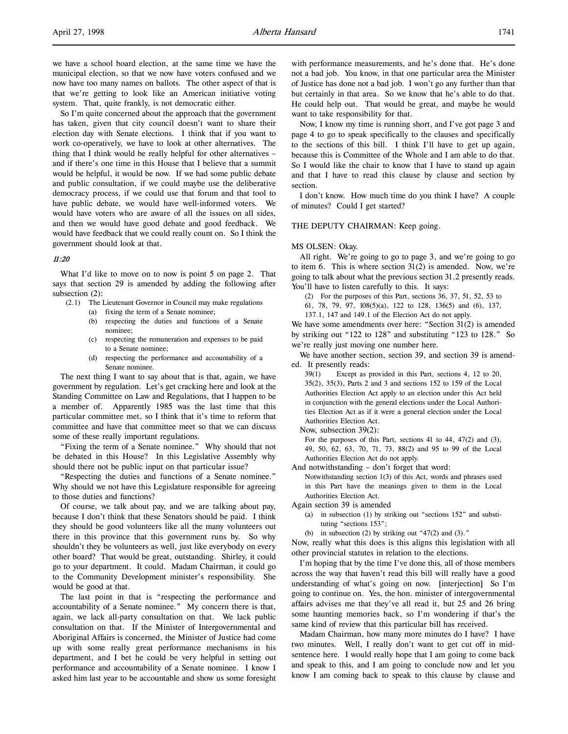So I'm quite concerned about the approach that the government has taken, given that city council doesn't want to share their election day with Senate elections. I think that if you want to work co-operatively, we have to look at other alternatives. The thing that I think would be really helpful for other alternatives – and if there's one time in this House that I believe that a summit would be helpful, it would be now. If we had some public debate and public consultation, if we could maybe use the deliberative democracy process, if we could use that forum and that tool to have public debate, we would have well-informed voters. We would have voters who are aware of all the issues on all sides, and then we would have good debate and good feedback. We would have feedback that we could really count on. So I think the government should look at that.

### 11:20

What I'd like to move on to now is point 5 on page 2. That says that section 29 is amended by adding the following after subsection (2):

- (2.1) The Lieutenant Governor in Council may make regulations
	- (a) fixing the term of a Senate nominee;
	- (b) respecting the duties and functions of a Senate nominee;
	- (c) respecting the remuneration and expenses to be paid to a Senate nominee;
	- (d) respecting the performance and accountability of a Senate nominee.

The next thing I want to say about that is that, again, we have government by regulation. Let's get cracking here and look at the Standing Committee on Law and Regulations, that I happen to be a member of. Apparently 1985 was the last time that this particular committee met, so I think that it's time to reform that committee and have that committee meet so that we can discuss some of these really important regulations.

"Fixing the term of a Senate nominee." Why should that not be debated in this House? In this Legislative Assembly why should there not be public input on that particular issue?

"Respecting the duties and functions of a Senate nominee." Why should we not have this Legislature responsible for agreeing to those duties and functions?

Of course, we talk about pay, and we are talking about pay, because I don't think that these Senators should be paid. I think they should be good volunteers like all the many volunteers out there in this province that this government runs by. So why shouldn't they be volunteers as well, just like everybody on every other board? That would be great, outstanding. Shirley, it could go to your department. It could. Madam Chairman, it could go to the Community Development minister's responsibility. She would be good at that.

The last point in that is "respecting the performance and accountability of a Senate nominee." My concern there is that, again, we lack all-party consultation on that. We lack public consultation on that. If the Minister of Intergovernmental and Aboriginal Affairs is concerned, the Minister of Justice had come up with some really great performance mechanisms in his department, and I bet he could be very helpful in setting out performance and accountability of a Senate nominee. I know I asked him last year to be accountable and show us some foresight

with performance measurements, and he's done that. He's done not a bad job. You know, in that one particular area the Minister of Justice has done not a bad job. I won't go any further than that but certainly in that area. So we know that he's able to do that. He could help out. That would be great, and maybe he would want to take responsibility for that.

Now, I know my time is running short, and I've got page 3 and page 4 to go to speak specifically to the clauses and specifically to the sections of this bill. I think I'll have to get up again, because this is Committee of the Whole and I am able to do that. So I would like the chair to know that I have to stand up again and that I have to read this clause by clause and section by section.

I don't know. How much time do you think I have? A couple of minutes? Could I get started?

#### THE DEPUTY CHAIRMAN: Keep going.

#### MS OLSEN: Okay.

All right. We're going to go to page 3, and we're going to go to item 6. This is where section 31(2) is amended. Now, we're going to talk about what the previous section 31.2 presently reads. You'll have to listen carefully to this. It says:

(2) For the purposes of this Part, sections 36, 37, 51, 52, 53 to

61, 78, 79, 97, 108(5)(a), 122 to 128, 136(5) and (6), 137,

137.1, 147 and 149.1 of the Election Act do not apply.

We have some amendments over here: "Section 31(2) is amended by striking out "122 to 128" and substituting "123 to 128." So we're really just moving one number here.

We have another section, section 39, and section 39 is amended. It presently reads:

39(1) Except as provided in this Part, sections 4, 12 to 20, 35(2), 35(3), Parts 2 and 3 and sections 152 to 159 of the Local Authorities Election Act apply to an election under this Act held in conjunction with the general elections under the Local Authorities Election Act as if it were a general election under the Local Authorities Election Act.

Now, subsection 39(2):

For the purposes of this Part, sections 41 to 44, 47(2) and (3), 49, 50, 62, 63, 70, 71, 73, 88(2) and 95 to 99 of the Local Authorities Election Act do not apply.

And notwithstanding – don't forget that word:

Notwithstanding section 1(3) of this Act, words and phrases used in this Part have the meanings given to them in the Local Authorities Election Act.

Again section 39 is amended

- (a) in subsection (1) by striking out "sections 152" and substituting "sections 153";
- (b) in subsection (2) by striking out "47(2) and (3)."

Now, really what this does is this aligns this legislation with all other provincial statutes in relation to the elections.

I'm hoping that by the time I've done this, all of those members across the way that haven't read this bill will really have a good understanding of what's going on now. [interjection] So I'm going to continue on. Yes, the hon. minister of intergovernmental affairs advises me that they've all read it, but 25 and 26 bring some haunting memories back, so I'm wondering if that's the same kind of review that this particular bill has received.

Madam Chairman, how many more minutes do I have? I have two minutes. Well, I really don't want to get cut off in midsentence here. I would really hope that I am going to come back and speak to this, and I am going to conclude now and let you know I am coming back to speak to this clause by clause and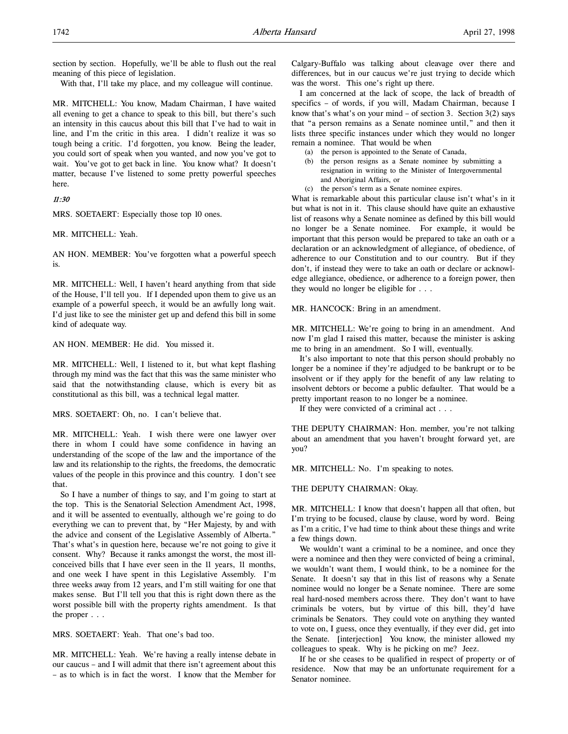section by section. Hopefully, we'll be able to flush out the real meaning of this piece of legislation.

With that, I'll take my place, and my colleague will continue.

MR. MITCHELL: You know, Madam Chairman, I have waited all evening to get a chance to speak to this bill, but there's such an intensity in this caucus about this bill that I've had to wait in line, and I'm the critic in this area. I didn't realize it was so tough being a critic. I'd forgotten, you know. Being the leader, you could sort of speak when you wanted, and now you've got to wait. You've got to get back in line. You know what? It doesn't matter, because I've listened to some pretty powerful speeches here.

### 11:30

MRS. SOETAERT: Especially those top 10 ones.

MR. MITCHELL: Yeah.

AN HON. MEMBER: You've forgotten what a powerful speech is.

MR. MITCHELL: Well, I haven't heard anything from that side of the House, I'll tell you. If I depended upon them to give us an example of a powerful speech, it would be an awfully long wait. I'd just like to see the minister get up and defend this bill in some kind of adequate way.

AN HON. MEMBER: He did. You missed it.

MR. MITCHELL: Well, I listened to it, but what kept flashing through my mind was the fact that this was the same minister who said that the notwithstanding clause, which is every bit as constitutional as this bill, was a technical legal matter.

MRS. SOETAERT: Oh, no. I can't believe that.

MR. MITCHELL: Yeah. I wish there were one lawyer over there in whom I could have some confidence in having an understanding of the scope of the law and the importance of the law and its relationship to the rights, the freedoms, the democratic values of the people in this province and this country. I don't see that.

So I have a number of things to say, and I'm going to start at the top. This is the Senatorial Selection Amendment Act, 1998, and it will be assented to eventually, although we're going to do everything we can to prevent that, by "Her Majesty, by and with the advice and consent of the Legislative Assembly of Alberta." That's what's in question here, because we're not going to give it consent. Why? Because it ranks amongst the worst, the most illconceived bills that I have ever seen in the 11 years, 11 months, and one week I have spent in this Legislative Assembly. I'm three weeks away from 12 years, and I'm still waiting for one that makes sense. But I'll tell you that this is right down there as the worst possible bill with the property rights amendment. Is that the proper . . .

MRS. SOETAERT: Yeah. That one's bad too.

MR. MITCHELL: Yeah. We're having a really intense debate in our caucus – and I will admit that there isn't agreement about this – as to which is in fact the worst. I know that the Member for Calgary-Buffalo was talking about cleavage over there and differences, but in our caucus we're just trying to decide which was the worst. This one's right up there.

I am concerned at the lack of scope, the lack of breadth of specifics – of words, if you will, Madam Chairman, because I know that's what's on your mind – of section 3. Section  $3(2)$  says that "a person remains as a Senate nominee until," and then it lists three specific instances under which they would no longer remain a nominee. That would be when

- (a) the person is appointed to the Senate of Canada,
- (b) the person resigns as a Senate nominee by submitting a resignation in writing to the Minister of Intergovernmental and Aboriginal Affairs, or
- (c) the person's term as a Senate nominee expires.

What is remarkable about this particular clause isn't what's in it but what is not in it. This clause should have quite an exhaustive list of reasons why a Senate nominee as defined by this bill would no longer be a Senate nominee. For example, it would be important that this person would be prepared to take an oath or a declaration or an acknowledgment of allegiance, of obedience, of adherence to our Constitution and to our country. But if they don't, if instead they were to take an oath or declare or acknowledge allegiance, obedience, or adherence to a foreign power, then they would no longer be eligible for . . .

MR. HANCOCK: Bring in an amendment.

MR. MITCHELL: We're going to bring in an amendment. And now I'm glad I raised this matter, because the minister is asking me to bring in an amendment. So I will, eventually.

It's also important to note that this person should probably no longer be a nominee if they're adjudged to be bankrupt or to be insolvent or if they apply for the benefit of any law relating to insolvent debtors or become a public defaulter. That would be a pretty important reason to no longer be a nominee.

If they were convicted of a criminal act . . .

THE DEPUTY CHAIRMAN: Hon. member, you're not talking about an amendment that you haven't brought forward yet, are you?

MR. MITCHELL: No. I'm speaking to notes.

#### THE DEPUTY CHAIRMAN: Okay.

MR. MITCHELL: I know that doesn't happen all that often, but I'm trying to be focused, clause by clause, word by word. Being as I'm a critic, I've had time to think about these things and write a few things down.

We wouldn't want a criminal to be a nominee, and once they were a nominee and then they were convicted of being a criminal, we wouldn't want them, I would think, to be a nominee for the Senate. It doesn't say that in this list of reasons why a Senate nominee would no longer be a Senate nominee. There are some real hard-nosed members across there. They don't want to have criminals be voters, but by virtue of this bill, they'd have criminals be Senators. They could vote on anything they wanted to vote on, I guess, once they eventually, if they ever did, get into the Senate. [interjection] You know, the minister allowed my colleagues to speak. Why is he picking on me? Jeez.

If he or she ceases to be qualified in respect of property or of residence. Now that may be an unfortunate requirement for a Senator nominee.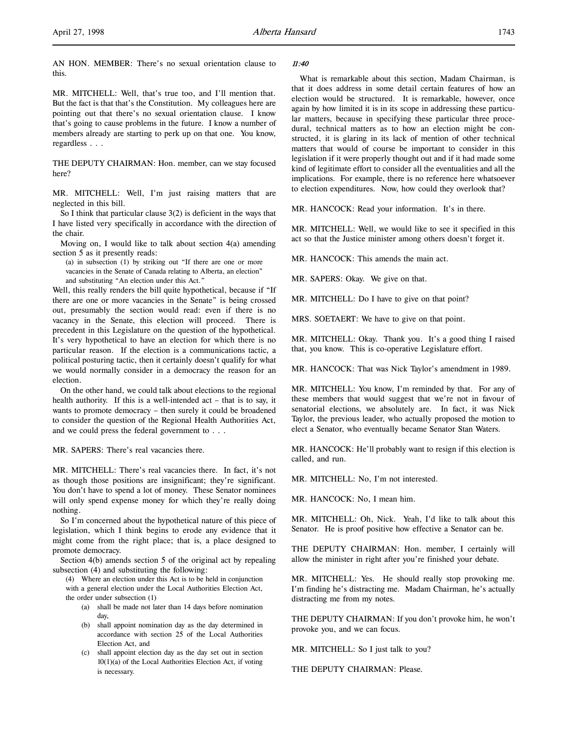AN HON. MEMBER: There's no sexual orientation clause to this.

MR. MITCHELL: Well, that's true too, and I'll mention that. But the fact is that that's the Constitution. My colleagues here are pointing out that there's no sexual orientation clause. I know that's going to cause problems in the future. I know a number of members already are starting to perk up on that one. You know, regardless . . .

THE DEPUTY CHAIRMAN: Hon. member, can we stay focused here?

MR. MITCHELL: Well, I'm just raising matters that are neglected in this bill.

So I think that particular clause  $3(2)$  is deficient in the ways that I have listed very specifically in accordance with the direction of the chair.

Moving on, I would like to talk about section 4(a) amending section 5 as it presently reads:

(a) in subsection (1) by striking out "If there are one or more vacancies in the Senate of Canada relating to Alberta, an election" and substituting "An election under this Act."

Well, this really renders the bill quite hypothetical, because if "If there are one or more vacancies in the Senate" is being crossed out, presumably the section would read: even if there is no vacancy in the Senate, this election will proceed. There is precedent in this Legislature on the question of the hypothetical. It's very hypothetical to have an election for which there is no particular reason. If the election is a communications tactic, a political posturing tactic, then it certainly doesn't qualify for what we would normally consider in a democracy the reason for an election.

On the other hand, we could talk about elections to the regional health authority. If this is a well-intended act – that is to say, it wants to promote democracy – then surely it could be broadened to consider the question of the Regional Health Authorities Act, and we could press the federal government to . . .

MR. SAPERS: There's real vacancies there.

MR. MITCHELL: There's real vacancies there. In fact, it's not as though those positions are insignificant; they're significant. You don't have to spend a lot of money. These Senator nominees will only spend expense money for which they're really doing nothing.

So I'm concerned about the hypothetical nature of this piece of legislation, which I think begins to erode any evidence that it might come from the right place; that is, a place designed to promote democracy.

Section 4(b) amends section 5 of the original act by repealing subsection (4) and substituting the following:

(4) Where an election under this Act is to be held in conjunction with a general election under the Local Authorities Election Act, the order under subsection (1)

- (a) shall be made not later than 14 days before nomination day,
- (b) shall appoint nomination day as the day determined in accordance with section 25 of the Local Authorities Election Act, and
- (c) shall appoint election day as the day set out in section  $10(1)(a)$  of the Local Authorities Election Act, if voting is necessary.

#### 11:40

What is remarkable about this section, Madam Chairman, is that it does address in some detail certain features of how an election would be structured. It is remarkable, however, once again by how limited it is in its scope in addressing these particular matters, because in specifying these particular three procedural, technical matters as to how an election might be constructed, it is glaring in its lack of mention of other technical matters that would of course be important to consider in this legislation if it were properly thought out and if it had made some kind of legitimate effort to consider all the eventualities and all the implications. For example, there is no reference here whatsoever to election expenditures. Now, how could they overlook that?

MR. HANCOCK: Read your information. It's in there.

MR. MITCHELL: Well, we would like to see it specified in this act so that the Justice minister among others doesn't forget it.

MR. HANCOCK: This amends the main act.

MR. SAPERS: Okay. We give on that.

MR. MITCHELL: Do I have to give on that point?

MRS. SOETAERT: We have to give on that point.

MR. MITCHELL: Okay. Thank you. It's a good thing I raised that, you know. This is co-operative Legislature effort.

MR. HANCOCK: That was Nick Taylor's amendment in 1989.

MR. MITCHELL: You know, I'm reminded by that. For any of these members that would suggest that we're not in favour of senatorial elections, we absolutely are. In fact, it was Nick Taylor, the previous leader, who actually proposed the motion to elect a Senator, who eventually became Senator Stan Waters.

MR. HANCOCK: He'll probably want to resign if this election is called, and run.

MR. MITCHELL: No, I'm not interested.

MR. HANCOCK: No, I mean him.

MR. MITCHELL: Oh, Nick. Yeah, I'd like to talk about this Senator. He is proof positive how effective a Senator can be.

THE DEPUTY CHAIRMAN: Hon. member, I certainly will allow the minister in right after you're finished your debate.

MR. MITCHELL: Yes. He should really stop provoking me. I'm finding he's distracting me. Madam Chairman, he's actually distracting me from my notes.

THE DEPUTY CHAIRMAN: If you don't provoke him, he won't provoke you, and we can focus.

MR. MITCHELL: So I just talk to you?

THE DEPUTY CHAIRMAN: Please.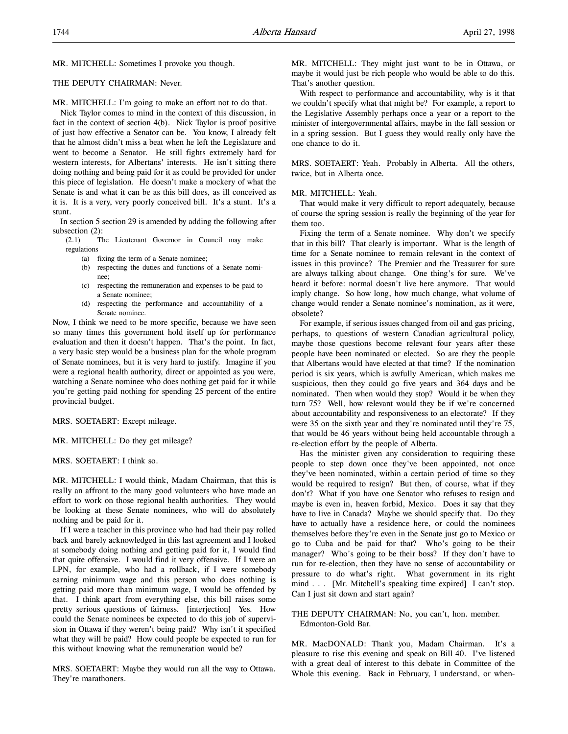MR. MITCHELL: Sometimes I provoke you though.

#### THE DEPUTY CHAIRMAN: Never.

MR. MITCHELL: I'm going to make an effort not to do that.

Nick Taylor comes to mind in the context of this discussion, in fact in the context of section 4(b). Nick Taylor is proof positive of just how effective a Senator can be. You know, I already felt that he almost didn't miss a beat when he left the Legislature and went to become a Senator. He still fights extremely hard for western interests, for Albertans' interests. He isn't sitting there doing nothing and being paid for it as could be provided for under this piece of legislation. He doesn't make a mockery of what the Senate is and what it can be as this bill does, as ill conceived as it is. It is a very, very poorly conceived bill. It's a stunt. It's a stunt.

In section 5 section 29 is amended by adding the following after subsection (2):

(2.1) The Lieutenant Governor in Council may make regulations

- (a) fixing the term of a Senate nominee;
- (b) respecting the duties and functions of a Senate nominee;
- (c) respecting the remuneration and expenses to be paid to a Senate nominee;
- (d) respecting the performance and accountability of a Senate nominee.

Now, I think we need to be more specific, because we have seen so many times this government hold itself up for performance evaluation and then it doesn't happen. That's the point. In fact, a very basic step would be a business plan for the whole program of Senate nominees, but it is very hard to justify. Imagine if you were a regional health authority, direct or appointed as you were, watching a Senate nominee who does nothing get paid for it while you're getting paid nothing for spending 25 percent of the entire provincial budget.

MRS. SOETAERT: Except mileage.

MR. MITCHELL: Do they get mileage?

MRS. SOETAERT: I think so.

MR. MITCHELL: I would think, Madam Chairman, that this is really an affront to the many good volunteers who have made an effort to work on those regional health authorities. They would be looking at these Senate nominees, who will do absolutely nothing and be paid for it.

If I were a teacher in this province who had had their pay rolled back and barely acknowledged in this last agreement and I looked at somebody doing nothing and getting paid for it, I would find that quite offensive. I would find it very offensive. If I were an LPN, for example, who had a rollback, if I were somebody earning minimum wage and this person who does nothing is getting paid more than minimum wage, I would be offended by that. I think apart from everything else, this bill raises some pretty serious questions of fairness. [interjection] Yes. How could the Senate nominees be expected to do this job of supervision in Ottawa if they weren't being paid? Why isn't it specified what they will be paid? How could people be expected to run for this without knowing what the remuneration would be?

MRS. SOETAERT: Maybe they would run all the way to Ottawa. They're marathoners.

MR. MITCHELL: They might just want to be in Ottawa, or maybe it would just be rich people who would be able to do this. That's another question.

With respect to performance and accountability, why is it that we couldn't specify what that might be? For example, a report to the Legislative Assembly perhaps once a year or a report to the minister of intergovernmental affairs, maybe in the fall session or in a spring session. But I guess they would really only have the one chance to do it.

MRS. SOETAERT: Yeah. Probably in Alberta. All the others, twice, but in Alberta once.

#### MR. MITCHELL: Yeah.

That would make it very difficult to report adequately, because of course the spring session is really the beginning of the year for them too.

Fixing the term of a Senate nominee. Why don't we specify that in this bill? That clearly is important. What is the length of time for a Senate nominee to remain relevant in the context of issues in this province? The Premier and the Treasurer for sure are always talking about change. One thing's for sure. We've heard it before: normal doesn't live here anymore. That would imply change. So how long, how much change, what volume of change would render a Senate nominee's nomination, as it were, obsolete?

For example, if serious issues changed from oil and gas pricing, perhaps, to questions of western Canadian agricultural policy, maybe those questions become relevant four years after these people have been nominated or elected. So are they the people that Albertans would have elected at that time? If the nomination period is six years, which is awfully American, which makes me suspicious, then they could go five years and 364 days and be nominated. Then when would they stop? Would it be when they turn 75? Well, how relevant would they be if we're concerned about accountability and responsiveness to an electorate? If they were 35 on the sixth year and they're nominated until they're 75, that would be 46 years without being held accountable through a re-election effort by the people of Alberta.

Has the minister given any consideration to requiring these people to step down once they've been appointed, not once they've been nominated, within a certain period of time so they would be required to resign? But then, of course, what if they don't? What if you have one Senator who refuses to resign and maybe is even in, heaven forbid, Mexico. Does it say that they have to live in Canada? Maybe we should specify that. Do they have to actually have a residence here, or could the nominees themselves before they're even in the Senate just go to Mexico or go to Cuba and be paid for that? Who's going to be their manager? Who's going to be their boss? If they don't have to run for re-election, then they have no sense of accountability or pressure to do what's right. What government in its right mind . . . [Mr. Mitchell's speaking time expired] I can't stop. Can I just sit down and start again?

### THE DEPUTY CHAIRMAN: No, you can't, hon. member. Edmonton-Gold Bar.

MR. MacDONALD: Thank you, Madam Chairman. It's a pleasure to rise this evening and speak on Bill 40. I've listened with a great deal of interest to this debate in Committee of the Whole this evening. Back in February, I understand, or when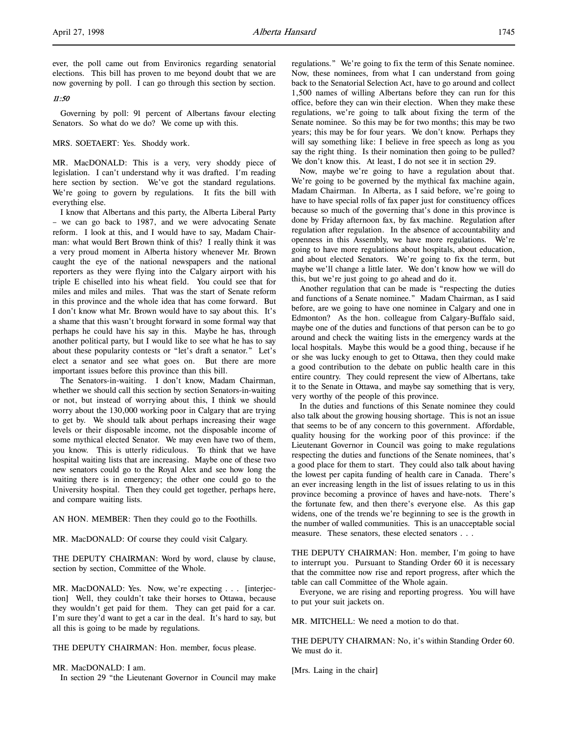ever, the poll came out from Environics regarding senatorial elections. This bill has proven to me beyond doubt that we are now governing by poll. I can go through this section by section.

### 11:50

Governing by poll: 91 percent of Albertans favour electing Senators. So what do we do? We come up with this.

### MRS. SOETAERT: Yes. Shoddy work.

MR. MacDONALD: This is a very, very shoddy piece of legislation. I can't understand why it was drafted. I'm reading here section by section. We've got the standard regulations. We're going to govern by regulations. It fits the bill with everything else.

I know that Albertans and this party, the Alberta Liberal Party – we can go back to 1987, and we were advocating Senate reform. I look at this, and I would have to say, Madam Chairman: what would Bert Brown think of this? I really think it was a very proud moment in Alberta history whenever Mr. Brown caught the eye of the national newspapers and the national reporters as they were flying into the Calgary airport with his triple E chiselled into his wheat field. You could see that for miles and miles and miles. That was the start of Senate reform in this province and the whole idea that has come forward. But I don't know what Mr. Brown would have to say about this. It's a shame that this wasn't brought forward in some formal way that perhaps he could have his say in this. Maybe he has, through another political party, but I would like to see what he has to say about these popularity contests or "let's draft a senator." Let's elect a senator and see what goes on. But there are more important issues before this province than this bill.

The Senators-in-waiting. I don't know, Madam Chairman, whether we should call this section by section Senators-in-waiting or not, but instead of worrying about this, I think we should worry about the 130,000 working poor in Calgary that are trying to get by. We should talk about perhaps increasing their wage levels or their disposable income, not the disposable income of some mythical elected Senator. We may even have two of them, you know. This is utterly ridiculous. To think that we have hospital waiting lists that are increasing. Maybe one of these two new senators could go to the Royal Alex and see how long the waiting there is in emergency; the other one could go to the University hospital. Then they could get together, perhaps here, and compare waiting lists.

AN HON. MEMBER: Then they could go to the Foothills.

MR. MacDONALD: Of course they could visit Calgary.

THE DEPUTY CHAIRMAN: Word by word, clause by clause, section by section, Committee of the Whole.

MR. MacDONALD: Yes. Now, we're expecting . . . [interjection] Well, they couldn't take their horses to Ottawa, because they wouldn't get paid for them. They can get paid for a car. I'm sure they'd want to get a car in the deal. It's hard to say, but all this is going to be made by regulations.

THE DEPUTY CHAIRMAN: Hon. member, focus please.

MR. MacDONALD: I am.

In section 29 "the Lieutenant Governor in Council may make

regulations." We're going to fix the term of this Senate nominee. Now, these nominees, from what I can understand from going back to the Senatorial Selection Act, have to go around and collect 1,500 names of willing Albertans before they can run for this office, before they can win their election. When they make these regulations, we're going to talk about fixing the term of the Senate nominee. So this may be for two months; this may be two years; this may be for four years. We don't know. Perhaps they will say something like: I believe in free speech as long as you say the right thing. Is their nomination then going to be pulled? We don't know this. At least, I do not see it in section 29.

Now, maybe we're going to have a regulation about that. We're going to be governed by the mythical fax machine again, Madam Chairman. In Alberta, as I said before, we're going to have to have special rolls of fax paper just for constituency offices because so much of the governing that's done in this province is done by Friday afternoon fax, by fax machine. Regulation after regulation after regulation. In the absence of accountability and openness in this Assembly, we have more regulations. We're going to have more regulations about hospitals, about education, and about elected Senators. We're going to fix the term, but maybe we'll change a little later. We don't know how we will do this, but we're just going to go ahead and do it.

Another regulation that can be made is "respecting the duties and functions of a Senate nominee." Madam Chairman, as I said before, are we going to have one nominee in Calgary and one in Edmonton? As the hon. colleague from Calgary-Buffalo said, maybe one of the duties and functions of that person can be to go around and check the waiting lists in the emergency wards at the local hospitals. Maybe this would be a good thing, because if he or she was lucky enough to get to Ottawa, then they could make a good contribution to the debate on public health care in this entire country. They could represent the view of Albertans, take it to the Senate in Ottawa, and maybe say something that is very, very worthy of the people of this province.

In the duties and functions of this Senate nominee they could also talk about the growing housing shortage. This is not an issue that seems to be of any concern to this government. Affordable, quality housing for the working poor of this province: if the Lieutenant Governor in Council was going to make regulations respecting the duties and functions of the Senate nominees, that's a good place for them to start. They could also talk about having the lowest per capita funding of health care in Canada. There's an ever increasing length in the list of issues relating to us in this province becoming a province of haves and have-nots. There's the fortunate few, and then there's everyone else. As this gap widens, one of the trends we're beginning to see is the growth in the number of walled communities. This is an unacceptable social measure. These senators, these elected senators . . .

THE DEPUTY CHAIRMAN: Hon. member, I'm going to have to interrupt you. Pursuant to Standing Order 60 it is necessary that the committee now rise and report progress, after which the table can call Committee of the Whole again.

Everyone, we are rising and reporting progress. You will have to put your suit jackets on.

MR. MITCHELL: We need a motion to do that.

THE DEPUTY CHAIRMAN: No, it's within Standing Order 60. We must do it.

[Mrs. Laing in the chair]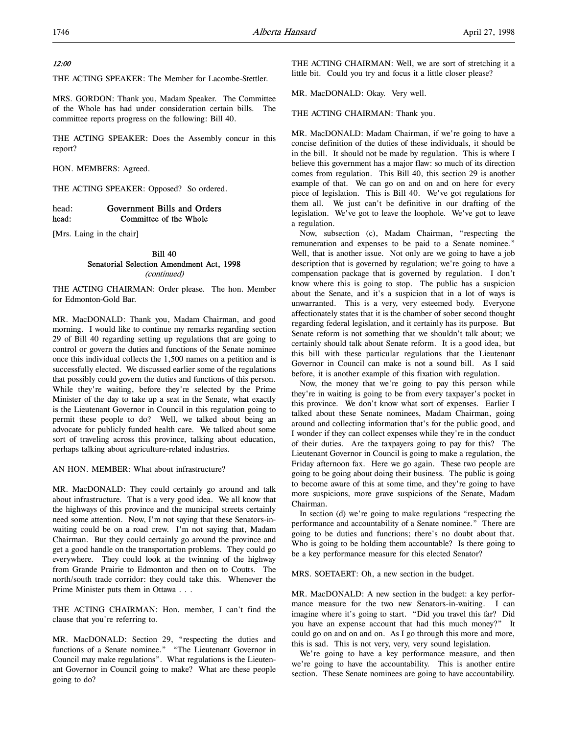### 12:00

THE ACTING SPEAKER: The Member for Lacombe-Stettler.

MRS. GORDON: Thank you, Madam Speaker. The Committee of the Whole has had under consideration certain bills. The committee reports progress on the following: Bill 40.

THE ACTING SPEAKER: Does the Assembly concur in this report?

HON. MEMBERS: Agreed.

THE ACTING SPEAKER: Opposed? So ordered.

### head: Government Bills and Orders<br>head: Committee of the Whole Committee of the Whole

[Mrs. Laing in the chair]

### Bill 40 Senatorial Selection Amendment Act, 1998 (continued)

THE ACTING CHAIRMAN: Order please. The hon. Member for Edmonton-Gold Bar.

MR. MacDONALD: Thank you, Madam Chairman, and good morning. I would like to continue my remarks regarding section 29 of Bill 40 regarding setting up regulations that are going to control or govern the duties and functions of the Senate nominee once this individual collects the 1,500 names on a petition and is successfully elected. We discussed earlier some of the regulations that possibly could govern the duties and functions of this person. While they're waiting, before they're selected by the Prime Minister of the day to take up a seat in the Senate, what exactly is the Lieutenant Governor in Council in this regulation going to permit these people to do? Well, we talked about being an advocate for publicly funded health care. We talked about some sort of traveling across this province, talking about education, perhaps talking about agriculture-related industries.

AN HON. MEMBER: What about infrastructure?

MR. MacDONALD: They could certainly go around and talk about infrastructure. That is a very good idea. We all know that the highways of this province and the municipal streets certainly need some attention. Now, I'm not saying that these Senators-inwaiting could be on a road crew. I'm not saying that, Madam Chairman. But they could certainly go around the province and get a good handle on the transportation problems. They could go everywhere. They could look at the twinning of the highway from Grande Prairie to Edmonton and then on to Coutts. The north/south trade corridor: they could take this. Whenever the Prime Minister puts them in Ottawa . . .

THE ACTING CHAIRMAN: Hon. member, I can't find the clause that you're referring to.

MR. MacDONALD: Section 29, "respecting the duties and functions of a Senate nominee." "The Lieutenant Governor in Council may make regulations". What regulations is the Lieutenant Governor in Council going to make? What are these people going to do?

THE ACTING CHAIRMAN: Well, we are sort of stretching it a little bit. Could you try and focus it a little closer please?

MR. MacDONALD: Okay. Very well.

THE ACTING CHAIRMAN: Thank you.

MR. MacDONALD: Madam Chairman, if we're going to have a concise definition of the duties of these individuals, it should be in the bill. It should not be made by regulation. This is where I believe this government has a major flaw: so much of its direction comes from regulation. This Bill 40, this section 29 is another example of that. We can go on and on and on here for every piece of legislation. This is Bill 40. We've got regulations for them all. We just can't be definitive in our drafting of the legislation. We've got to leave the loophole. We've got to leave a regulation.

Now, subsection (c), Madam Chairman, "respecting the remuneration and expenses to be paid to a Senate nominee." Well, that is another issue. Not only are we going to have a job description that is governed by regulation; we're going to have a compensation package that is governed by regulation. I don't know where this is going to stop. The public has a suspicion about the Senate, and it's a suspicion that in a lot of ways is unwarranted. This is a very, very esteemed body. Everyone affectionately states that it is the chamber of sober second thought regarding federal legislation, and it certainly has its purpose. But Senate reform is not something that we shouldn't talk about; we certainly should talk about Senate reform. It is a good idea, but this bill with these particular regulations that the Lieutenant Governor in Council can make is not a sound bill. As I said before, it is another example of this fixation with regulation.

Now, the money that we're going to pay this person while they're in waiting is going to be from every taxpayer's pocket in this province. We don't know what sort of expenses. Earlier I talked about these Senate nominees, Madam Chairman, going around and collecting information that's for the public good, and I wonder if they can collect expenses while they're in the conduct of their duties. Are the taxpayers going to pay for this? The Lieutenant Governor in Council is going to make a regulation, the Friday afternoon fax. Here we go again. These two people are going to be going about doing their business. The public is going to become aware of this at some time, and they're going to have more suspicions, more grave suspicions of the Senate, Madam Chairman.

In section (d) we're going to make regulations "respecting the performance and accountability of a Senate nominee." There are going to be duties and functions; there's no doubt about that. Who is going to be holding them accountable? Is there going to be a key performance measure for this elected Senator?

MRS. SOETAERT: Oh, a new section in the budget.

MR. MacDONALD: A new section in the budget: a key performance measure for the two new Senators-in-waiting. I can imagine where it's going to start. "Did you travel this far? Did you have an expense account that had this much money?" It could go on and on and on. As I go through this more and more, this is sad. This is not very, very, very sound legislation.

We're going to have a key performance measure, and then we're going to have the accountability. This is another entire section. These Senate nominees are going to have accountability.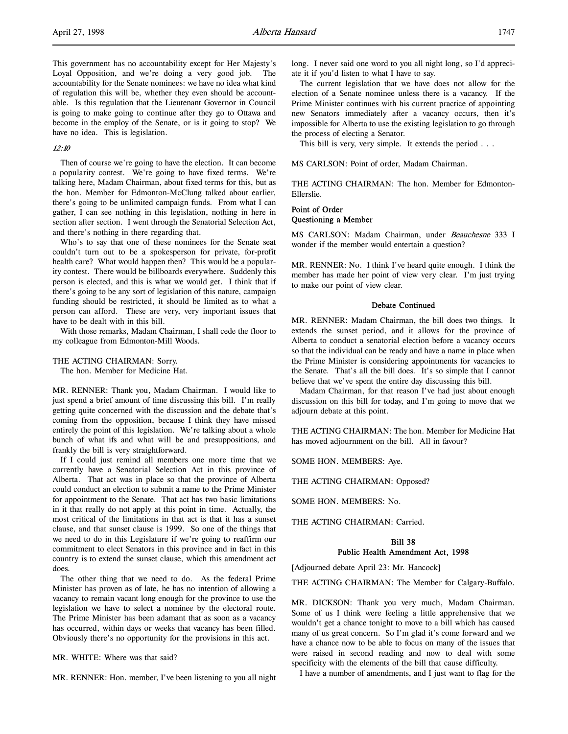This government has no accountability except for Her Majesty's Loyal Opposition, and we're doing a very good job. The accountability for the Senate nominees: we have no idea what kind of regulation this will be, whether they even should be accountable. Is this regulation that the Lieutenant Governor in Council is going to make going to continue after they go to Ottawa and become in the employ of the Senate, or is it going to stop? We have no idea. This is legislation.

### 12:10

Then of course we're going to have the election. It can become a popularity contest. We're going to have fixed terms. We're talking here, Madam Chairman, about fixed terms for this, but as the hon. Member for Edmonton-McClung talked about earlier, there's going to be unlimited campaign funds. From what I can gather, I can see nothing in this legislation, nothing in here in section after section. I went through the Senatorial Selection Act, and there's nothing in there regarding that.

Who's to say that one of these nominees for the Senate seat couldn't turn out to be a spokesperson for private, for-profit health care? What would happen then? This would be a popularity contest. There would be billboards everywhere. Suddenly this person is elected, and this is what we would get. I think that if there's going to be any sort of legislation of this nature, campaign funding should be restricted, it should be limited as to what a person can afford. These are very, very important issues that have to be dealt with in this bill.

With those remarks, Madam Chairman, I shall cede the floor to my colleague from Edmonton-Mill Woods.

### THE ACTING CHAIRMAN: Sorry.

The hon. Member for Medicine Hat.

MR. RENNER: Thank you, Madam Chairman. I would like to just spend a brief amount of time discussing this bill. I'm really getting quite concerned with the discussion and the debate that's coming from the opposition, because I think they have missed entirely the point of this legislation. We're talking about a whole bunch of what ifs and what will be and presuppositions, and frankly the bill is very straightforward.

If I could just remind all members one more time that we currently have a Senatorial Selection Act in this province of Alberta. That act was in place so that the province of Alberta could conduct an election to submit a name to the Prime Minister for appointment to the Senate. That act has two basic limitations in it that really do not apply at this point in time. Actually, the most critical of the limitations in that act is that it has a sunset clause, and that sunset clause is 1999. So one of the things that we need to do in this Legislature if we're going to reaffirm our commitment to elect Senators in this province and in fact in this country is to extend the sunset clause, which this amendment act does.

The other thing that we need to do. As the federal Prime Minister has proven as of late, he has no intention of allowing a vacancy to remain vacant long enough for the province to use the legislation we have to select a nominee by the electoral route. The Prime Minister has been adamant that as soon as a vacancy has occurred, within days or weeks that vacancy has been filled. Obviously there's no opportunity for the provisions in this act.

MR. WHITE: Where was that said?

MR. RENNER: Hon. member, I've been listening to you all night

long. I never said one word to you all night long, so I'd appreciate it if you'd listen to what I have to say.

The current legislation that we have does not allow for the election of a Senate nominee unless there is a vacancy. If the Prime Minister continues with his current practice of appointing new Senators immediately after a vacancy occurs, then it's impossible for Alberta to use the existing legislation to go through the process of electing a Senator.

This bill is very, very simple. It extends the period . . .

MS CARLSON: Point of order, Madam Chairman.

THE ACTING CHAIRMAN: The hon. Member for Edmonton-Ellerslie.

### Point of Order Questioning a Member

MS CARLSON: Madam Chairman, under Beauchesne 333 I wonder if the member would entertain a question?

MR. RENNER: No. I think I've heard quite enough. I think the member has made her point of view very clear. I'm just trying to make our point of view clear.

#### Debate Continued

MR. RENNER: Madam Chairman, the bill does two things. It extends the sunset period, and it allows for the province of Alberta to conduct a senatorial election before a vacancy occurs so that the individual can be ready and have a name in place when the Prime Minister is considering appointments for vacancies to the Senate. That's all the bill does. It's so simple that I cannot believe that we've spent the entire day discussing this bill.

Madam Chairman, for that reason I've had just about enough discussion on this bill for today, and I'm going to move that we adjourn debate at this point.

THE ACTING CHAIRMAN: The hon. Member for Medicine Hat has moved adjournment on the bill. All in favour?

SOME HON. MEMBERS: Aye.

THE ACTING CHAIRMAN: Opposed?

SOME HON. MEMBERS: No.

THE ACTING CHAIRMAN: Carried.

### Bill 38 Public Health Amendment Act, 1998

[Adjourned debate April 23: Mr. Hancock]

THE ACTING CHAIRMAN: The Member for Calgary-Buffalo.

MR. DICKSON: Thank you very much, Madam Chairman. Some of us I think were feeling a little apprehensive that we wouldn't get a chance tonight to move to a bill which has caused many of us great concern. So I'm glad it's come forward and we have a chance now to be able to focus on many of the issues that were raised in second reading and now to deal with some specificity with the elements of the bill that cause difficulty.

I have a number of amendments, and I just want to flag for the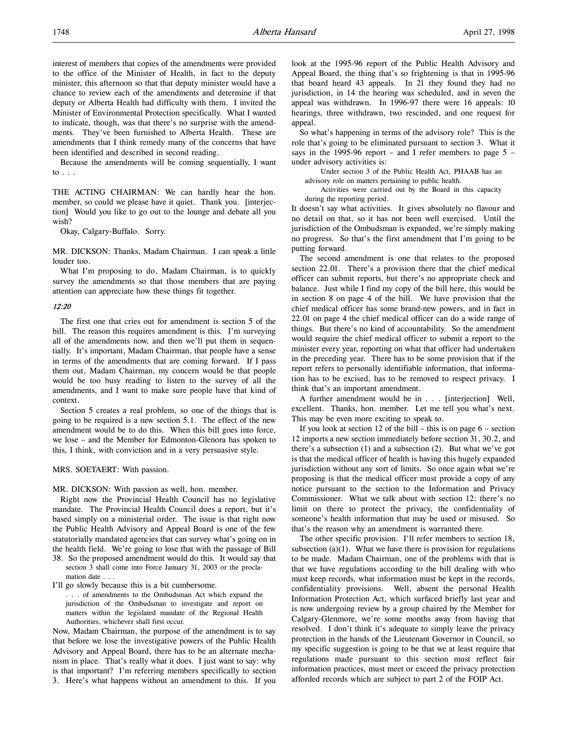interest of members that copies of the amendments were provided to the office of the Minister of Health, in fact to the deputy minister, this afternoon so that that deputy minister would have a chance to review each of the amendments and determine if that deputy or Alberta Health had difficulty with them. I invited the Minister of Environmental Protection specifically. What I wanted to indicate, though, was that there's no surprise with the amendments. They've been furnished to Alberta Health. These are amendments that I think remedy many of the concerns that have been identified and described in second reading.

Because the amendments will be coming sequentially, I want to . . .

THE ACTING CHAIRMAN: We can hardly hear the hon. member, so could we please have it quiet. Thank you. [interjection] Would you like to go out to the lounge and debate all you wish?

Okay, Calgary-Buffalo. Sorry.

MR. DICKSON: Thanks, Madam Chairman. I can speak a little louder too.

What I'm proposing to do, Madam Chairman, is to quickly survey the amendments so that those members that are paying attention can appreciate how these things fit together.

### $12.20$

The first one that cries out for amendment is section 5 of the bill. The reason this requires amendment is this. I'm surveying all of the amendments now, and then we'll put them in sequentially. It's important, Madam Chairman, that people have a sense in terms of the amendments that are coming forward. If I pass them out, Madam Chairman, my concern would be that people would be too busy reading to listen to the survey of all the amendments, and I want to make sure people have that kind of context.

Section 5 creates a real problem, so one of the things that is going to be required is a new section 5.1. The effect of the new amendment would be to do this. When this bill goes into force, we lose – and the Member for Edmonton-Glenora has spoken to this, I think, with conviction and in a very persuasive style.

MRS. SOETAERT: With passion.

MR. DICKSON: With passion as well, hon. member.

Right now the Provincial Health Council has no legislative mandate. The Provincial Health Council does a report, but it's based simply on a ministerial order. The issue is that right now the Public Health Advisory and Appeal Board is one of the few statutorially mandated agencies that can survey what's going on in the health field. We're going to lose that with the passage of Bill

38. So the proposed amendment would do this. It would say that section 3 shall come into Force January 31, 2003 or the proclamation date . . .

I'll go slowly because this is a bit cumbersome.

. . . of amendments to the Ombudsman Act which expand the jurisdiction of the Ombudsman to investigate and report on matters within the legislated mandate of the Regional Health Authorities, whichever shall first occur.

Now, Madam Chairman, the purpose of the amendment is to say that before we lose the investigative powers of the Public Health Advisory and Appeal Board, there has to be an alternate mechanism in place. That's really what it does. I just want to say: why is that important? I'm referring members specifically to section 3. Here's what happens without an amendment to this. If you

look at the 1995-96 report of the Public Health Advisory and Appeal Board, the thing that's so frightening is that in 1995-96 that board heard 43 appeals. In 21 they found they had no jurisdiction, in 14 the hearing was scheduled, and in seven the appeal was withdrawn. In 1996-97 there were 16 appeals: 10 hearings, three withdrawn, two rescinded, and one request for appeal.

So what's happening in terms of the advisory role? This is the role that's going to be eliminated pursuant to section 3. What it says in the 1995-96 report – and I refer members to page 5 – under advisory activities is:

Under section 3 of the Public Health Act, PHAAB has an advisory role on matters pertaining to public health.

Activities were carried out by the Board in this capacity during the reporting period.

It doesn't say what activities. It gives absolutely no flavour and no detail on that, so it has not been well exercised. Until the jurisdiction of the Ombudsman is expanded, we're simply making no progress. So that's the first amendment that I'm going to be putting forward.

The second amendment is one that relates to the proposed section 22.01. There's a provision there that the chief medical officer can submit reports, but there's no appropriate check and balance. Just while I find my copy of the bill here, this would be in section 8 on page 4 of the bill. We have provision that the chief medical officer has some brand-new powers, and in fact in 22.01 on page 4 the chief medical officer can do a wide range of things. But there's no kind of accountability. So the amendment would require the chief medical officer to submit a report to the minister every year, reporting on what that officer had undertaken in the preceding year. There has to be some provision that if the report refers to personally identifiable information, that information has to be excised, has to be removed to respect privacy. I think that's an important amendment.

A further amendment would be in . . . [interjection] Well, excellent. Thanks, hon. member. Let me tell you what's next. This may be even more exciting to speak to.

If you look at section 12 of the bill – this is on page  $6$  – section 12 imports a new section immediately before section 31, 30.2, and there's a subsection (1) and a subsection (2). But what we've got is that the medical officer of health is having this hugely expanded jurisdiction without any sort of limits. So once again what we're proposing is that the medical officer must provide a copy of any notice pursuant to the section to the Information and Privacy Commissioner. What we talk about with section 12: there's no limit on there to protect the privacy, the confidentiality of someone's health information that may be used or misused. So that's the reason why an amendment is warranted there.

The other specific provision. I'll refer members to section 18, subsection  $(a)(1)$ . What we have there is provision for regulations to be made. Madam Chairman, one of the problems with that is that we have regulations according to the bill dealing with who must keep records, what information must be kept in the records, confidentiality provisions. Well, absent the personal Health Information Protection Act, which surfaced briefly last year and is now undergoing review by a group chaired by the Member for Calgary-Glenmore, we're some months away from having that resolved. I don't think it's adequate to simply leave the privacy protection in the hands of the Lieutenant Governor in Council, so my specific suggestion is going to be that we at least require that regulations made pursuant to this section must reflect fair information practices, must meet or exceed the privacy protection afforded records which are subject to part 2 of the FOIP Act.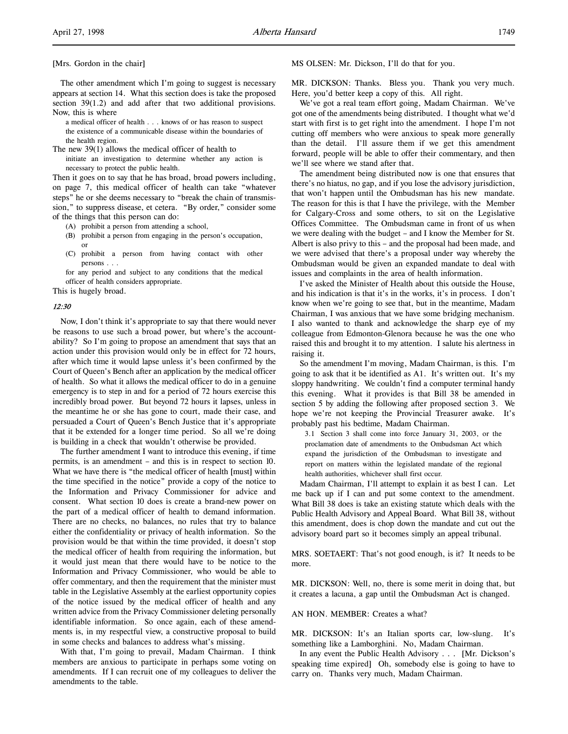#### [Mrs. Gordon in the chair]

The other amendment which I'm going to suggest is necessary appears at section 14. What this section does is take the proposed section 39(1.2) and add after that two additional provisions. Now, this is where

a medical officer of health . . . knows of or has reason to suspect the existence of a communicable disease within the boundaries of the health region.

The new 39(1) allows the medical officer of health to

initiate an investigation to determine whether any action is necessary to protect the public health.

Then it goes on to say that he has broad, broad powers including, on page 7, this medical officer of health can take "whatever steps" he or she deems necessary to "break the chain of transmission," to suppress disease, et cetera. "By order," consider some of the things that this person can do:

- (A) prohibit a person from attending a school,
- (B) prohibit a person from engaging in the person's occupation, or
- (C) prohibit a person from having contact with other persons . . .

for any period and subject to any conditions that the medical officer of health considers appropriate.

This is hugely broad.

#### 12:30

Now, I don't think it's appropriate to say that there would never be reasons to use such a broad power, but where's the accountability? So I'm going to propose an amendment that says that an action under this provision would only be in effect for 72 hours, after which time it would lapse unless it's been confirmed by the Court of Queen's Bench after an application by the medical officer of health. So what it allows the medical officer to do in a genuine emergency is to step in and for a period of 72 hours exercise this incredibly broad power. But beyond 72 hours it lapses, unless in the meantime he or she has gone to court, made their case, and persuaded a Court of Queen's Bench Justice that it's appropriate that it be extended for a longer time period. So all we're doing is building in a check that wouldn't otherwise be provided.

The further amendment I want to introduce this evening, if time permits, is an amendment – and this is in respect to section 10. What we have there is "the medical officer of health [must] within the time specified in the notice" provide a copy of the notice to the Information and Privacy Commissioner for advice and consent. What section 10 does is create a brand-new power on the part of a medical officer of health to demand information. There are no checks, no balances, no rules that try to balance either the confidentiality or privacy of health information. So the provision would be that within the time provided, it doesn't stop the medical officer of health from requiring the information, but it would just mean that there would have to be notice to the Information and Privacy Commissioner, who would be able to offer commentary, and then the requirement that the minister must table in the Legislative Assembly at the earliest opportunity copies of the notice issued by the medical officer of health and any written advice from the Privacy Commissioner deleting personally identifiable information. So once again, each of these amendments is, in my respectful view, a constructive proposal to build in some checks and balances to address what's missing.

With that, I'm going to prevail, Madam Chairman. I think members are anxious to participate in perhaps some voting on amendments. If I can recruit one of my colleagues to deliver the amendments to the table.

MS OLSEN: Mr. Dickson, I'll do that for you.

MR. DICKSON: Thanks. Bless you. Thank you very much. Here, you'd better keep a copy of this. All right.

We've got a real team effort going, Madam Chairman. We've got one of the amendments being distributed. I thought what we'd start with first is to get right into the amendment. I hope I'm not cutting off members who were anxious to speak more generally than the detail. I'll assure them if we get this amendment forward, people will be able to offer their commentary, and then we'll see where we stand after that.

The amendment being distributed now is one that ensures that there's no hiatus, no gap, and if you lose the advisory jurisdiction, that won't happen until the Ombudsman has his new mandate. The reason for this is that I have the privilege, with the Member for Calgary-Cross and some others, to sit on the Legislative Offices Committee. The Ombudsman came in front of us when we were dealing with the budget – and I know the Member for St. Albert is also privy to this – and the proposal had been made, and we were advised that there's a proposal under way whereby the Ombudsman would be given an expanded mandate to deal with issues and complaints in the area of health information.

I've asked the Minister of Health about this outside the House, and his indication is that it's in the works, it's in process. I don't know when we're going to see that, but in the meantime, Madam Chairman, I was anxious that we have some bridging mechanism. I also wanted to thank and acknowledge the sharp eye of my colleague from Edmonton-Glenora because he was the one who raised this and brought it to my attention. I salute his alertness in raising it.

So the amendment I'm moving, Madam Chairman, is this. I'm going to ask that it be identified as A1. It's written out. It's my sloppy handwriting. We couldn't find a computer terminal handy this evening. What it provides is that Bill 38 be amended in section 5 by adding the following after proposed section 3. We hope we're not keeping the Provincial Treasurer awake. It's probably past his bedtime, Madam Chairman.

3.1 Section 3 shall come into force January 31, 2003, or the proclamation date of amendments to the Ombudsman Act which expand the jurisdiction of the Ombudsman to investigate and report on matters within the legislated mandate of the regional health authorities, whichever shall first occur.

Madam Chairman, I'll attempt to explain it as best I can. Let me back up if I can and put some context to the amendment. What Bill 38 does is take an existing statute which deals with the Public Health Advisory and Appeal Board. What Bill 38, without this amendment, does is chop down the mandate and cut out the advisory board part so it becomes simply an appeal tribunal.

MRS. SOETAERT: That's not good enough, is it? It needs to be more.

MR. DICKSON: Well, no, there is some merit in doing that, but it creates a lacuna, a gap until the Ombudsman Act is changed.

#### AN HON. MEMBER: Creates a what?

MR. DICKSON: It's an Italian sports car, low-slung. It's something like a Lamborghini. No, Madam Chairman.

In any event the Public Health Advisory . . . [Mr. Dickson's speaking time expired] Oh, somebody else is going to have to carry on. Thanks very much, Madam Chairman.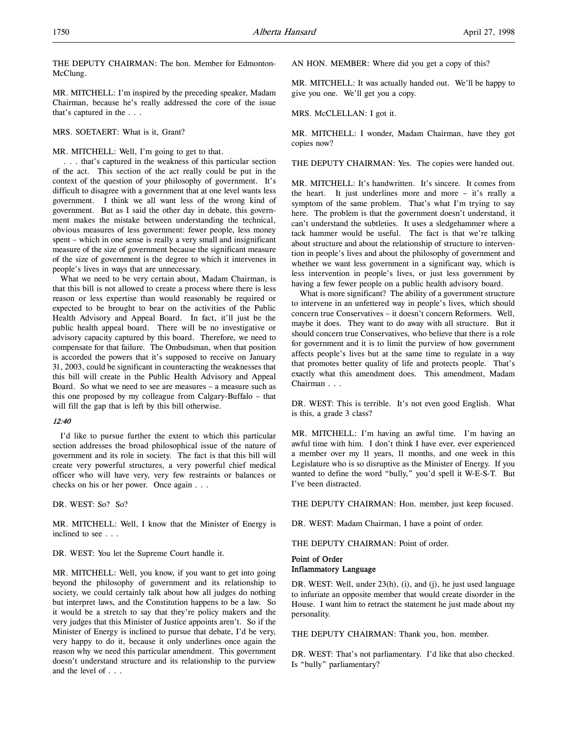THE DEPUTY CHAIRMAN: The hon. Member for Edmonton-McClung.

MR. MITCHELL: I'm inspired by the preceding speaker, Madam Chairman, because he's really addressed the core of the issue that's captured in the . . .

MRS. SOETAERT: What is it, Grant?

### MR. MITCHELL: Well, I'm going to get to that.

 . . . that's captured in the weakness of this particular section of the act. This section of the act really could be put in the context of the question of your philosophy of government. It's difficult to disagree with a government that at one level wants less government. I think we all want less of the wrong kind of government. But as I said the other day in debate, this government makes the mistake between understanding the technical, obvious measures of less government: fewer people, less money spent – which in one sense is really a very small and insignificant measure of the size of government because the significant measure of the size of government is the degree to which it intervenes in people's lives in ways that are unnecessary.

What we need to be very certain about, Madam Chairman, is that this bill is not allowed to create a process where there is less reason or less expertise than would reasonably be required or expected to be brought to bear on the activities of the Public Health Advisory and Appeal Board. In fact, it'll just be the public health appeal board. There will be no investigative or advisory capacity captured by this board. Therefore, we need to compensate for that failure. The Ombudsman, when that position is accorded the powers that it's supposed to receive on January 31, 2003, could be significant in counteracting the weaknesses that this bill will create in the Public Health Advisory and Appeal Board. So what we need to see are measures – a measure such as this one proposed by my colleague from Calgary-Buffalo – that will fill the gap that is left by this bill otherwise.

#### 12:40

I'd like to pursue further the extent to which this particular section addresses the broad philosophical issue of the nature of government and its role in society. The fact is that this bill will create very powerful structures, a very powerful chief medical officer who will have very, very few restraints or balances or checks on his or her power. Once again . . .

DR. WEST: So? So?

MR. MITCHELL: Well, I know that the Minister of Energy is inclined to see . . .

DR. WEST: You let the Supreme Court handle it.

MR. MITCHELL: Well, you know, if you want to get into going beyond the philosophy of government and its relationship to society, we could certainly talk about how all judges do nothing but interpret laws, and the Constitution happens to be a law. So it would be a stretch to say that they're policy makers and the very judges that this Minister of Justice appoints aren't. So if the Minister of Energy is inclined to pursue that debate, I'd be very, very happy to do it, because it only underlines once again the reason why we need this particular amendment. This government doesn't understand structure and its relationship to the purview and the level of . . .

AN HON. MEMBER: Where did you get a copy of this?

MR. MITCHELL: It was actually handed out. We'll be happy to give you one. We'll get you a copy.

MRS. McCLELLAN: I got it.

MR. MITCHELL: I wonder, Madam Chairman, have they got copies now?

THE DEPUTY CHAIRMAN: Yes. The copies were handed out.

MR. MITCHELL: It's handwritten. It's sincere. It comes from the heart. It just underlines more and more – it's really a symptom of the same problem. That's what I'm trying to say here. The problem is that the government doesn't understand, it can't understand the subtleties. It uses a sledgehammer where a tack hammer would be useful. The fact is that we're talking about structure and about the relationship of structure to intervention in people's lives and about the philosophy of government and whether we want less government in a significant way, which is less intervention in people's lives, or just less government by having a few fewer people on a public health advisory board.

What is more significant? The ability of a government structure to intervene in an unfettered way in people's lives, which should concern true Conservatives – it doesn't concern Reformers. Well, maybe it does. They want to do away with all structure. But it should concern true Conservatives, who believe that there is a role for government and it is to limit the purview of how government affects people's lives but at the same time to regulate in a way that promotes better quality of life and protects people. That's exactly what this amendment does. This amendment, Madam Chairman . . .

DR. WEST: This is terrible. It's not even good English. What is this, a grade 3 class?

MR. MITCHELL: I'm having an awful time. I'm having an awful time with him. I don't think I have ever, ever experienced a member over my 11 years, 11 months, and one week in this Legislature who is so disruptive as the Minister of Energy. If you wanted to define the word "bully," you'd spell it W-E-S-T. But I've been distracted.

THE DEPUTY CHAIRMAN: Hon. member, just keep focused.

DR. WEST: Madam Chairman, I have a point of order.

THE DEPUTY CHAIRMAN: Point of order.

### Point of Order Inflammatory Language

DR. WEST: Well, under 23(h), (i), and (j), he just used language to infuriate an opposite member that would create disorder in the House. I want him to retract the statement he just made about my personality.

THE DEPUTY CHAIRMAN: Thank you, hon. member.

DR. WEST: That's not parliamentary. I'd like that also checked. Is "bully" parliamentary?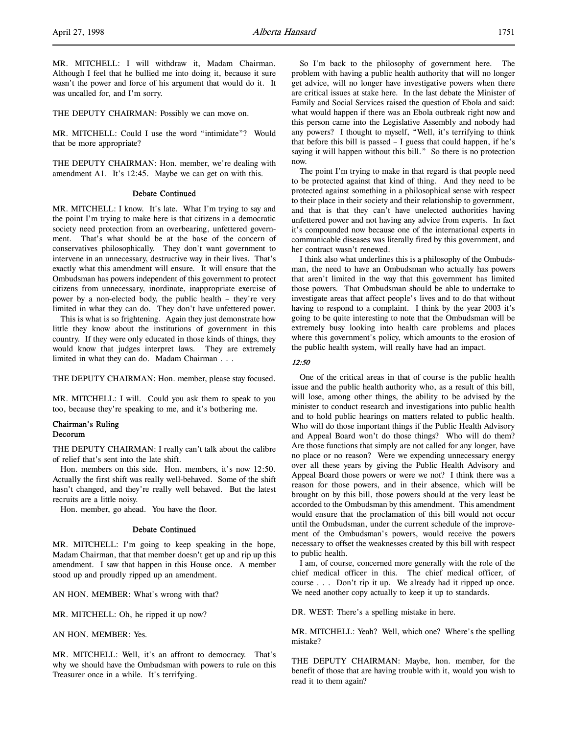MR. MITCHELL: I will withdraw it, Madam Chairman. Although I feel that he bullied me into doing it, because it sure wasn't the power and force of his argument that would do it. It was uncalled for, and I'm sorry.

THE DEPUTY CHAIRMAN: Possibly we can move on.

MR. MITCHELL: Could I use the word "intimidate"? Would that be more appropriate?

THE DEPUTY CHAIRMAN: Hon. member, we're dealing with amendment A1. It's 12:45. Maybe we can get on with this.

#### Debate Continued

MR. MITCHELL: I know. It's late. What I'm trying to say and the point I'm trying to make here is that citizens in a democratic society need protection from an overbearing, unfettered government. That's what should be at the base of the concern of conservatives philosophically. They don't want government to intervene in an unnecessary, destructive way in their lives. That's exactly what this amendment will ensure. It will ensure that the Ombudsman has powers independent of this government to protect citizens from unnecessary, inordinate, inappropriate exercise of power by a non-elected body, the public health – they're very limited in what they can do. They don't have unfettered power.

This is what is so frightening. Again they just demonstrate how little they know about the institutions of government in this country. If they were only educated in those kinds of things, they would know that judges interpret laws. They are extremely limited in what they can do. Madam Chairman . . .

THE DEPUTY CHAIRMAN: Hon. member, please stay focused.

MR. MITCHELL: I will. Could you ask them to speak to you too, because they're speaking to me, and it's bothering me.

#### Chairman's Ruling Decorum

THE DEPUTY CHAIRMAN: I really can't talk about the calibre of relief that's sent into the late shift.

Hon. members on this side. Hon. members, it's now 12:50. Actually the first shift was really well-behaved. Some of the shift hasn't changed, and they're really well behaved. But the latest recruits are a little noisy.

Hon. member, go ahead. You have the floor.

#### Debate Continued

MR. MITCHELL: I'm going to keep speaking in the hope, Madam Chairman, that that member doesn't get up and rip up this amendment. I saw that happen in this House once. A member stood up and proudly ripped up an amendment.

AN HON. MEMBER: What's wrong with that?

MR. MITCHELL: Oh, he ripped it up now?

AN HON. MEMBER: Yes.

MR. MITCHELL: Well, it's an affront to democracy. That's why we should have the Ombudsman with powers to rule on this Treasurer once in a while. It's terrifying.

So I'm back to the philosophy of government here. The problem with having a public health authority that will no longer get advice, will no longer have investigative powers when there are critical issues at stake here. In the last debate the Minister of Family and Social Services raised the question of Ebola and said: what would happen if there was an Ebola outbreak right now and this person came into the Legislative Assembly and nobody had any powers? I thought to myself, "Well, it's terrifying to think that before this bill is passed – I guess that could happen, if he's saying it will happen without this bill." So there is no protection now.

The point I'm trying to make in that regard is that people need to be protected against that kind of thing. And they need to be protected against something in a philosophical sense with respect to their place in their society and their relationship to government, and that is that they can't have unelected authorities having unfettered power and not having any advice from experts. In fact it's compounded now because one of the international experts in communicable diseases was literally fired by this government, and her contract wasn't renewed.

I think also what underlines this is a philosophy of the Ombudsman, the need to have an Ombudsman who actually has powers that aren't limited in the way that this government has limited those powers. That Ombudsman should be able to undertake to investigate areas that affect people's lives and to do that without having to respond to a complaint. I think by the year 2003 it's going to be quite interesting to note that the Ombudsman will be extremely busy looking into health care problems and places where this government's policy, which amounts to the erosion of the public health system, will really have had an impact.

### 12:50

One of the critical areas in that of course is the public health issue and the public health authority who, as a result of this bill, will lose, among other things, the ability to be advised by the minister to conduct research and investigations into public health and to hold public hearings on matters related to public health. Who will do those important things if the Public Health Advisory and Appeal Board won't do those things? Who will do them? Are those functions that simply are not called for any longer, have no place or no reason? Were we expending unnecessary energy over all these years by giving the Public Health Advisory and Appeal Board those powers or were we not? I think there was a reason for those powers, and in their absence, which will be brought on by this bill, those powers should at the very least be accorded to the Ombudsman by this amendment. This amendment would ensure that the proclamation of this bill would not occur until the Ombudsman, under the current schedule of the improvement of the Ombudsman's powers, would receive the powers necessary to offset the weaknesses created by this bill with respect to public health.

I am, of course, concerned more generally with the role of the chief medical officer in this. The chief medical officer, of course . . . Don't rip it up. We already had it ripped up once. We need another copy actually to keep it up to standards.

DR. WEST: There's a spelling mistake in here.

MR. MITCHELL: Yeah? Well, which one? Where's the spelling mistake?

THE DEPUTY CHAIRMAN: Maybe, hon. member, for the benefit of those that are having trouble with it, would you wish to read it to them again?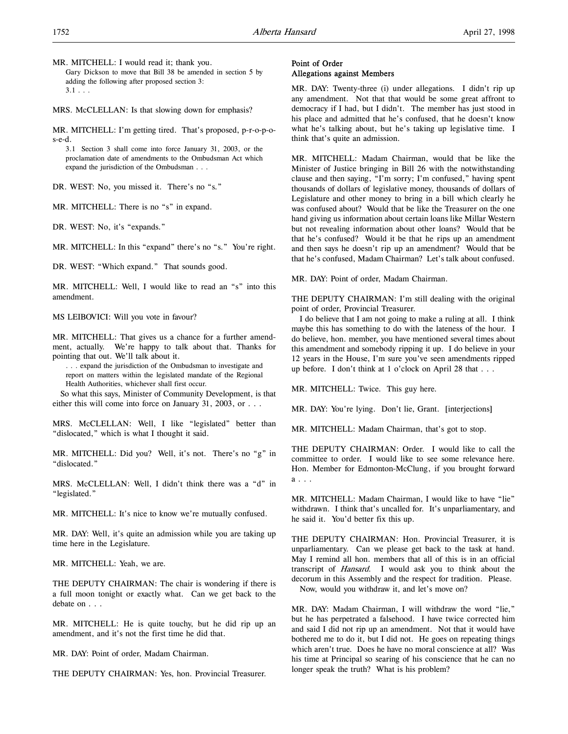MR. MITCHELL: I would read it; thank you. Gary Dickson to move that Bill 38 be amended in section 5 by adding the following after proposed section 3:  $3.1 \ldots$ 

MRS. McCLELLAN: Is that slowing down for emphasis?

MR. MITCHELL: I'm getting tired. That's proposed, p-r-o-p-os-e-d.

3.1 Section 3 shall come into force January 31, 2003, or the proclamation date of amendments to the Ombudsman Act which expand the jurisdiction of the Ombudsman . . .

DR. WEST: No, you missed it. There's no "s."

MR. MITCHELL: There is no "s" in expand.

DR. WEST: No, it's "expands."

MR. MITCHELL: In this "expand" there's no "s." You're right.

DR. WEST: "Which expand." That sounds good.

MR. MITCHELL: Well, I would like to read an "s" into this amendment.

MS LEIBOVICI: Will you vote in favour?

MR. MITCHELL: That gives us a chance for a further amendment, actually. We're happy to talk about that. Thanks for pointing that out. We'll talk about it.

. . . expand the jurisdiction of the Ombudsman to investigate and report on matters within the legislated mandate of the Regional Health Authorities, whichever shall first occur.

So what this says, Minister of Community Development, is that either this will come into force on January 31, 2003, or . . .

MRS. McCLELLAN: Well, I like "legislated" better than "dislocated," which is what I thought it said.

MR. MITCHELL: Did you? Well, it's not. There's no "g" in "dislocated."

MRS. McCLELLAN: Well, I didn't think there was a "d" in "legislated."

MR. MITCHELL: It's nice to know we're mutually confused.

MR. DAY: Well, it's quite an admission while you are taking up time here in the Legislature.

MR. MITCHELL: Yeah, we are.

THE DEPUTY CHAIRMAN: The chair is wondering if there is a full moon tonight or exactly what. Can we get back to the debate on . . .

MR. MITCHELL: He is quite touchy, but he did rip up an amendment, and it's not the first time he did that.

MR. DAY: Point of order, Madam Chairman.

THE DEPUTY CHAIRMAN: Yes, hon. Provincial Treasurer.

### Point of Order Allegations against Members

MR. DAY: Twenty-three (i) under allegations. I didn't rip up any amendment. Not that that would be some great affront to democracy if I had, but I didn't. The member has just stood in his place and admitted that he's confused, that he doesn't know what he's talking about, but he's taking up legislative time. I think that's quite an admission.

MR. MITCHELL: Madam Chairman, would that be like the Minister of Justice bringing in Bill 26 with the notwithstanding clause and then saying, "I'm sorry; I'm confused," having spent thousands of dollars of legislative money, thousands of dollars of Legislature and other money to bring in a bill which clearly he was confused about? Would that be like the Treasurer on the one hand giving us information about certain loans like Millar Western but not revealing information about other loans? Would that be that he's confused? Would it be that he rips up an amendment and then says he doesn't rip up an amendment? Would that be that he's confused, Madam Chairman? Let's talk about confused.

MR. DAY: Point of order, Madam Chairman.

THE DEPUTY CHAIRMAN: I'm still dealing with the original point of order, Provincial Treasurer.

I do believe that I am not going to make a ruling at all. I think maybe this has something to do with the lateness of the hour. I do believe, hon. member, you have mentioned several times about this amendment and somebody ripping it up. I do believe in your 12 years in the House, I'm sure you've seen amendments ripped up before. I don't think at 1 o'clock on April 28 that . . .

MR. MITCHELL: Twice. This guy here.

MR. DAY: You're lying. Don't lie, Grant. [interjections]

MR. MITCHELL: Madam Chairman, that's got to stop.

THE DEPUTY CHAIRMAN: Order. I would like to call the committee to order. I would like to see some relevance here. Hon. Member for Edmonton-McClung, if you brought forward a . . .

MR. MITCHELL: Madam Chairman, I would like to have "lie" withdrawn. I think that's uncalled for. It's unparliamentary, and he said it. You'd better fix this up.

THE DEPUTY CHAIRMAN: Hon. Provincial Treasurer, it is unparliamentary. Can we please get back to the task at hand. May I remind all hon. members that all of this is in an official transcript of Hansard. I would ask you to think about the decorum in this Assembly and the respect for tradition. Please. Now, would you withdraw it, and let's move on?

MR. DAY: Madam Chairman, I will withdraw the word "lie," but he has perpetrated a falsehood. I have twice corrected him and said I did not rip up an amendment. Not that it would have bothered me to do it, but I did not. He goes on repeating things which aren't true. Does he have no moral conscience at all? Was his time at Principal so searing of his conscience that he can no longer speak the truth? What is his problem?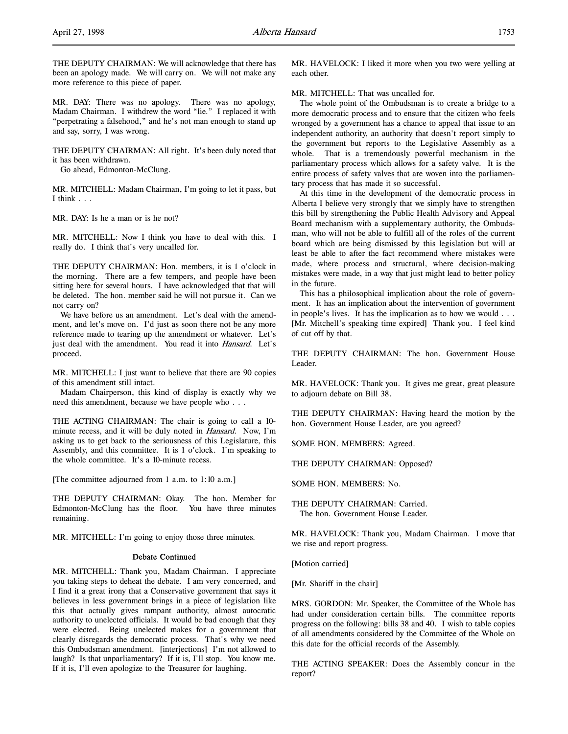THE DEPUTY CHAIRMAN: We will acknowledge that there has been an apology made. We will carry on. We will not make any more reference to this piece of paper.

MR. DAY: There was no apology. There was no apology, Madam Chairman. I withdrew the word "lie." I replaced it with "perpetrating a falsehood," and he's not man enough to stand up and say, sorry, I was wrong.

THE DEPUTY CHAIRMAN: All right. It's been duly noted that it has been withdrawn.

Go ahead, Edmonton-McClung.

MR. MITCHELL: Madam Chairman, I'm going to let it pass, but I think . . .

MR. DAY: Is he a man or is he not?

MR. MITCHELL: Now I think you have to deal with this. I really do. I think that's very uncalled for.

THE DEPUTY CHAIRMAN: Hon. members, it is 1 o'clock in the morning. There are a few tempers, and people have been sitting here for several hours. I have acknowledged that that will be deleted. The hon. member said he will not pursue it. Can we not carry on?

We have before us an amendment. Let's deal with the amendment, and let's move on. I'd just as soon there not be any more reference made to tearing up the amendment or whatever. Let's just deal with the amendment. You read it into *Hansard*. Let's proceed.

MR. MITCHELL: I just want to believe that there are 90 copies of this amendment still intact.

Madam Chairperson, this kind of display is exactly why we need this amendment, because we have people who . . .

THE ACTING CHAIRMAN: The chair is going to call a 10 minute recess, and it will be duly noted in Hansard. Now, I'm asking us to get back to the seriousness of this Legislature, this Assembly, and this committee. It is 1 o'clock. I'm speaking to the whole committee. It's a 10-minute recess.

[The committee adjourned from 1 a.m. to 1:10 a.m.]

THE DEPUTY CHAIRMAN: Okay. The hon. Member for Edmonton-McClung has the floor. You have three minutes remaining.

MR. MITCHELL: I'm going to enjoy those three minutes.

#### Debate Continued

MR. MITCHELL: Thank you, Madam Chairman. I appreciate you taking steps to deheat the debate. I am very concerned, and I find it a great irony that a Conservative government that says it believes in less government brings in a piece of legislation like this that actually gives rampant authority, almost autocratic authority to unelected officials. It would be bad enough that they were elected. Being unelected makes for a government that clearly disregards the democratic process. That's why we need this Ombudsman amendment. [interjections] I'm not allowed to laugh? Is that unparliamentary? If it is, I'll stop. You know me. If it is, I'll even apologize to the Treasurer for laughing.

MR. HAVELOCK: I liked it more when you two were yelling at each other.

MR. MITCHELL: That was uncalled for.

The whole point of the Ombudsman is to create a bridge to a more democratic process and to ensure that the citizen who feels wronged by a government has a chance to appeal that issue to an independent authority, an authority that doesn't report simply to the government but reports to the Legislative Assembly as a whole. That is a tremendously powerful mechanism in the parliamentary process which allows for a safety valve. It is the entire process of safety valves that are woven into the parliamentary process that has made it so successful.

At this time in the development of the democratic process in Alberta I believe very strongly that we simply have to strengthen this bill by strengthening the Public Health Advisory and Appeal Board mechanism with a supplementary authority, the Ombudsman, who will not be able to fulfill all of the roles of the current board which are being dismissed by this legislation but will at least be able to after the fact recommend where mistakes were made, where process and structural, where decision-making mistakes were made, in a way that just might lead to better policy in the future.

This has a philosophical implication about the role of government. It has an implication about the intervention of government in people's lives. It has the implication as to how we would . . . [Mr. Mitchell's speaking time expired] Thank you. I feel kind of cut off by that.

THE DEPUTY CHAIRMAN: The hon. Government House Leader.

MR. HAVELOCK: Thank you. It gives me great, great pleasure to adjourn debate on Bill 38.

THE DEPUTY CHAIRMAN: Having heard the motion by the hon. Government House Leader, are you agreed?

SOME HON. MEMBERS: Agreed.

THE DEPUTY CHAIRMAN: Opposed?

SOME HON. MEMBERS: No.

THE DEPUTY CHAIRMAN: Carried. The hon. Government House Leader.

MR. HAVELOCK: Thank you, Madam Chairman. I move that we rise and report progress.

[Motion carried]

[Mr. Shariff in the chair]

MRS. GORDON: Mr. Speaker, the Committee of the Whole has had under consideration certain bills. The committee reports progress on the following: bills 38 and 40. I wish to table copies of all amendments considered by the Committee of the Whole on this date for the official records of the Assembly.

THE ACTING SPEAKER: Does the Assembly concur in the report?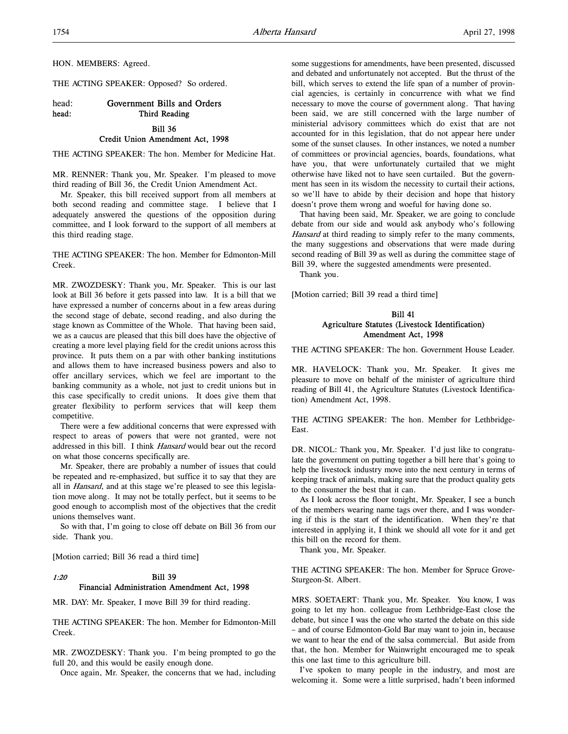HON. MEMBERS: Agreed.

THE ACTING SPEAKER: Opposed? So ordered.

# head: Government Bills and Orders head: Third Reading

# Bill 36

### Credit Union Amendment Act, 1998

THE ACTING SPEAKER: The hon. Member for Medicine Hat.

MR. RENNER: Thank you, Mr. Speaker. I'm pleased to move third reading of Bill 36, the Credit Union Amendment Act.

Mr. Speaker, this bill received support from all members at both second reading and committee stage. I believe that I adequately answered the questions of the opposition during committee, and I look forward to the support of all members at this third reading stage.

THE ACTING SPEAKER: The hon. Member for Edmonton-Mill Creek.

MR. ZWOZDESKY: Thank you, Mr. Speaker. This is our last look at Bill 36 before it gets passed into law. It is a bill that we have expressed a number of concerns about in a few areas during the second stage of debate, second reading, and also during the stage known as Committee of the Whole. That having been said, we as a caucus are pleased that this bill does have the objective of creating a more level playing field for the credit unions across this province. It puts them on a par with other banking institutions and allows them to have increased business powers and also to offer ancillary services, which we feel are important to the banking community as a whole, not just to credit unions but in this case specifically to credit unions. It does give them that greater flexibility to perform services that will keep them competitive.

There were a few additional concerns that were expressed with respect to areas of powers that were not granted, were not addressed in this bill. I think Hansard would bear out the record on what those concerns specifically are.

Mr. Speaker, there are probably a number of issues that could be repeated and re-emphasized, but suffice it to say that they are all in *Hansard*, and at this stage we're pleased to see this legislation move along. It may not be totally perfect, but it seems to be good enough to accomplish most of the objectives that the credit unions themselves want.

So with that, I'm going to close off debate on Bill 36 from our side. Thank you.

[Motion carried; Bill 36 read a third time]

### 1:20 Bill 39 Financial Administration Amendment Act, 1998

MR. DAY: Mr. Speaker, I move Bill 39 for third reading.

THE ACTING SPEAKER: The hon. Member for Edmonton-Mill Creek.

MR. ZWOZDESKY: Thank you. I'm being prompted to go the full 20, and this would be easily enough done.

Once again, Mr. Speaker, the concerns that we had, including

some suggestions for amendments, have been presented, discussed and debated and unfortunately not accepted. But the thrust of the bill, which serves to extend the life span of a number of provincial agencies, is certainly in concurrence with what we find necessary to move the course of government along. That having been said, we are still concerned with the large number of ministerial advisory committees which do exist that are not accounted for in this legislation, that do not appear here under some of the sunset clauses. In other instances, we noted a number of committees or provincial agencies, boards, foundations, what have you, that were unfortunately curtailed that we might otherwise have liked not to have seen curtailed. But the government has seen in its wisdom the necessity to curtail their actions, so we'll have to abide by their decision and hope that history doesn't prove them wrong and woeful for having done so.

That having been said, Mr. Speaker, we are going to conclude debate from our side and would ask anybody who's following Hansard at third reading to simply refer to the many comments, the many suggestions and observations that were made during second reading of Bill 39 as well as during the committee stage of Bill 39, where the suggested amendments were presented.

Thank you.

[Motion carried; Bill 39 read a third time]

### Bill 41 Agriculture Statutes (Livestock Identification) Amendment Act, 1998

THE ACTING SPEAKER: The hon. Government House Leader.

MR. HAVELOCK: Thank you, Mr. Speaker. It gives me pleasure to move on behalf of the minister of agriculture third reading of Bill 41, the Agriculture Statutes (Livestock Identification) Amendment Act, 1998.

THE ACTING SPEAKER: The hon. Member for Lethbridge-East.

DR. NICOL: Thank you, Mr. Speaker. I'd just like to congratulate the government on putting together a bill here that's going to help the livestock industry move into the next century in terms of keeping track of animals, making sure that the product quality gets to the consumer the best that it can.

As I look across the floor tonight, Mr. Speaker, I see a bunch of the members wearing name tags over there, and I was wondering if this is the start of the identification. When they're that interested in applying it, I think we should all vote for it and get this bill on the record for them.

Thank you, Mr. Speaker.

THE ACTING SPEAKER: The hon. Member for Spruce Grove-Sturgeon-St. Albert.

MRS. SOETAERT: Thank you, Mr. Speaker. You know, I was going to let my hon. colleague from Lethbridge-East close the debate, but since I was the one who started the debate on this side – and of course Edmonton-Gold Bar may want to join in, because we want to hear the end of the salsa commercial. But aside from that, the hon. Member for Wainwright encouraged me to speak this one last time to this agriculture bill.

I've spoken to many people in the industry, and most are welcoming it. Some were a little surprised, hadn't been informed